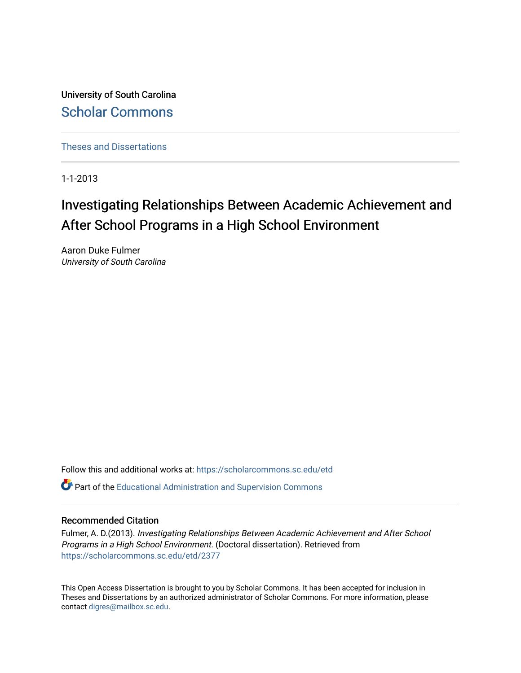University of South Carolina [Scholar Commons](https://scholarcommons.sc.edu/) 

[Theses and Dissertations](https://scholarcommons.sc.edu/etd)

1-1-2013

# Investigating Relationships Between Academic Achievement and After School Programs in a High School Environment

Aaron Duke Fulmer University of South Carolina

Follow this and additional works at: [https://scholarcommons.sc.edu/etd](https://scholarcommons.sc.edu/etd?utm_source=scholarcommons.sc.edu%2Fetd%2F2377&utm_medium=PDF&utm_campaign=PDFCoverPages)

**P** Part of the [Educational Administration and Supervision Commons](http://network.bepress.com/hgg/discipline/787?utm_source=scholarcommons.sc.edu%2Fetd%2F2377&utm_medium=PDF&utm_campaign=PDFCoverPages)

### Recommended Citation

Fulmer, A. D.(2013). Investigating Relationships Between Academic Achievement and After School Programs in a High School Environment. (Doctoral dissertation). Retrieved from [https://scholarcommons.sc.edu/etd/2377](https://scholarcommons.sc.edu/etd/2377?utm_source=scholarcommons.sc.edu%2Fetd%2F2377&utm_medium=PDF&utm_campaign=PDFCoverPages) 

This Open Access Dissertation is brought to you by Scholar Commons. It has been accepted for inclusion in Theses and Dissertations by an authorized administrator of Scholar Commons. For more information, please contact [digres@mailbox.sc.edu.](mailto:digres@mailbox.sc.edu)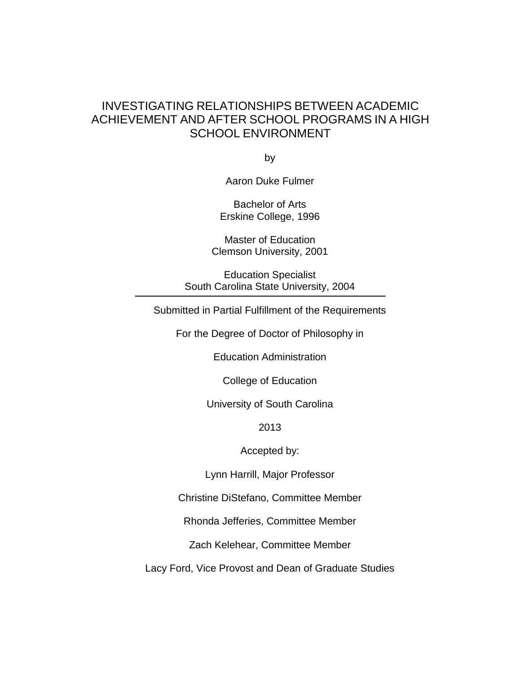## INVESTIGATING RELATIONSHIPS BETWEEN ACADEMIC ACHIEVEMENT AND AFTER SCHOOL PROGRAMS IN A HIGH SCHOOL ENVIRONMENT

by

Aaron Duke Fulmer

Bachelor of Arts Erskine College, 1996

Master of Education Clemson University, 2001

Education Specialist South Carolina State University, 2004

Submitted in Partial Fulfillment of the Requirements

For the Degree of Doctor of Philosophy in

Education Administration

College of Education

University of South Carolina

2013

Accepted by:

Lynn Harrill, Major Professor

Christine DiStefano, Committee Member

Rhonda Jefferies, Committee Member

Zach Kelehear, Committee Member

Lacy Ford, Vice Provost and Dean of Graduate Studies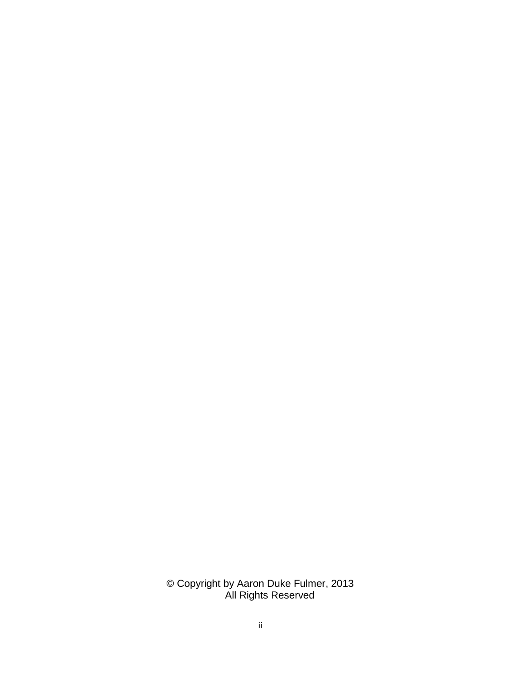© Copyright by Aaron Duke Fulmer, 2013 All Rights Reserved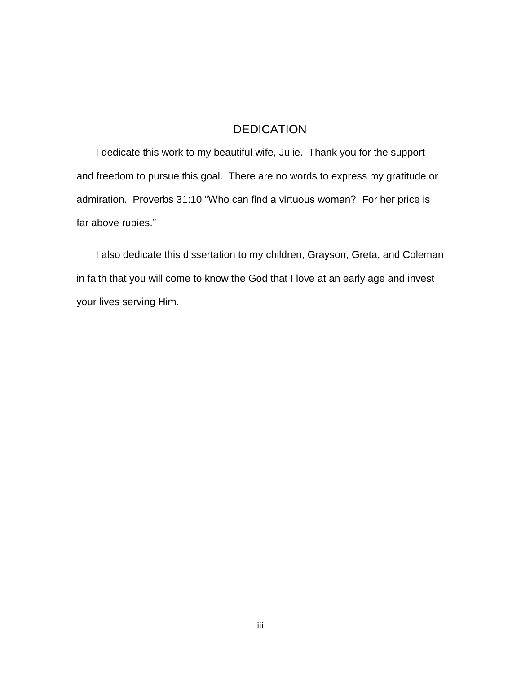## DEDICATION

I dedicate this work to my beautiful wife, Julie. Thank you for the support and freedom to pursue this goal. There are no words to express my gratitude or admiration. Proverbs 31:10 "Who can find a virtuous woman? For her price is far above rubies."

I also dedicate this dissertation to my children, Grayson, Greta, and Coleman in faith that you will come to know the God that I love at an early age and invest your lives serving Him.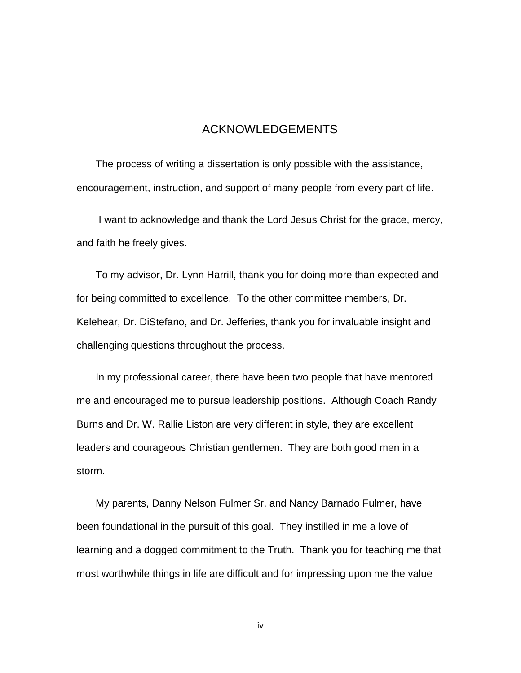## ACKNOWLEDGEMENTS

The process of writing a dissertation is only possible with the assistance, encouragement, instruction, and support of many people from every part of life.

I want to acknowledge and thank the Lord Jesus Christ for the grace, mercy, and faith he freely gives.

To my advisor, Dr. Lynn Harrill, thank you for doing more than expected and for being committed to excellence. To the other committee members, Dr. Kelehear, Dr. DiStefano, and Dr. Jefferies, thank you for invaluable insight and challenging questions throughout the process.

In my professional career, there have been two people that have mentored me and encouraged me to pursue leadership positions. Although Coach Randy Burns and Dr. W. Rallie Liston are very different in style, they are excellent leaders and courageous Christian gentlemen. They are both good men in a storm.

My parents, Danny Nelson Fulmer Sr. and Nancy Barnado Fulmer, have been foundational in the pursuit of this goal. They instilled in me a love of learning and a dogged commitment to the Truth. Thank you for teaching me that most worthwhile things in life are difficult and for impressing upon me the value

iv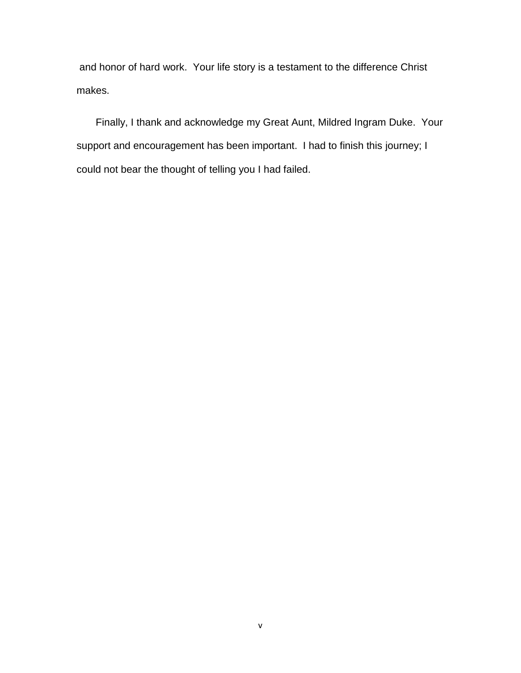and honor of hard work. Your life story is a testament to the difference Christ makes.

Finally, I thank and acknowledge my Great Aunt, Mildred Ingram Duke. Your support and encouragement has been important. I had to finish this journey; I could not bear the thought of telling you I had failed.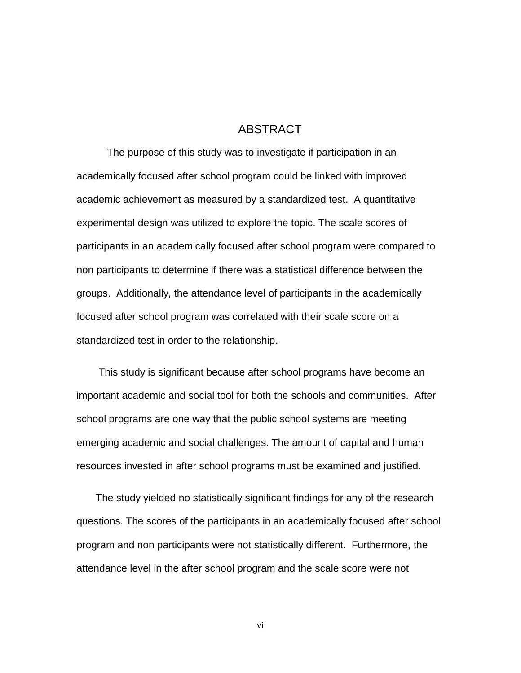## ABSTRACT

The purpose of this study was to investigate if participation in an academically focused after school program could be linked with improved academic achievement as measured by a standardized test. A quantitative experimental design was utilized to explore the topic. The scale scores of participants in an academically focused after school program were compared to non participants to determine if there was a statistical difference between the groups. Additionally, the attendance level of participants in the academically focused after school program was correlated with their scale score on a standardized test in order to the relationship.

This study is significant because after school programs have become an important academic and social tool for both the schools and communities. After school programs are one way that the public school systems are meeting emerging academic and social challenges. The amount of capital and human resources invested in after school programs must be examined and justified.

The study yielded no statistically significant findings for any of the research questions. The scores of the participants in an academically focused after school program and non participants were not statistically different. Furthermore, the attendance level in the after school program and the scale score were not

vi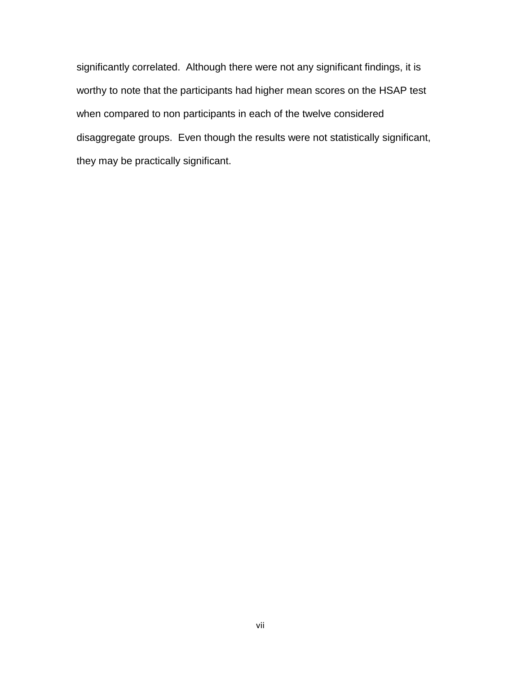significantly correlated. Although there were not any significant findings, it is worthy to note that the participants had higher mean scores on the HSAP test when compared to non participants in each of the twelve considered disaggregate groups. Even though the results were not statistically significant, they may be practically significant.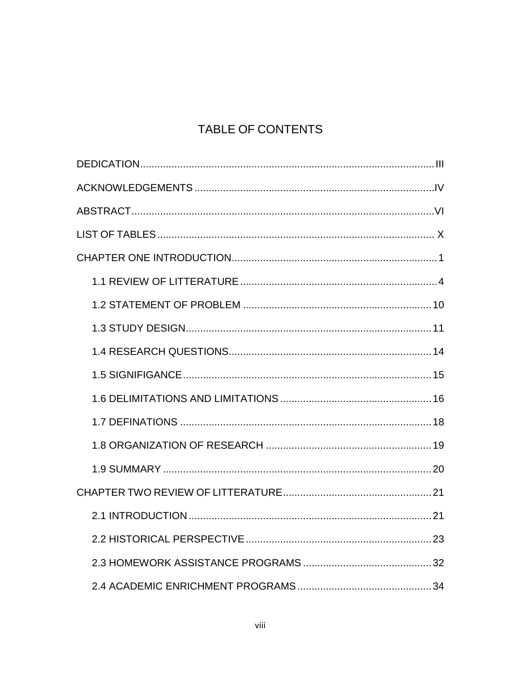# TABLE OF CONTENTS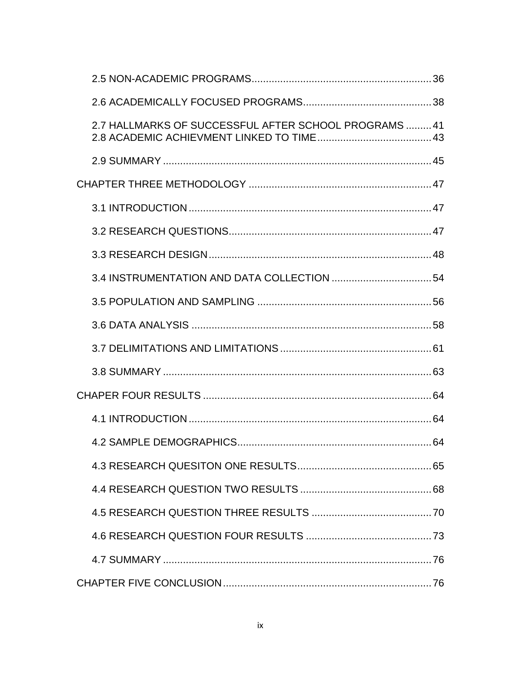| 2.7 HALLMARKS OF SUCCESSFUL AFTER SCHOOL PROGRAMS 41 |  |
|------------------------------------------------------|--|
|                                                      |  |
|                                                      |  |
|                                                      |  |
|                                                      |  |
|                                                      |  |
|                                                      |  |
|                                                      |  |
|                                                      |  |
|                                                      |  |
|                                                      |  |
|                                                      |  |
|                                                      |  |
|                                                      |  |
|                                                      |  |
|                                                      |  |
|                                                      |  |
|                                                      |  |
|                                                      |  |
|                                                      |  |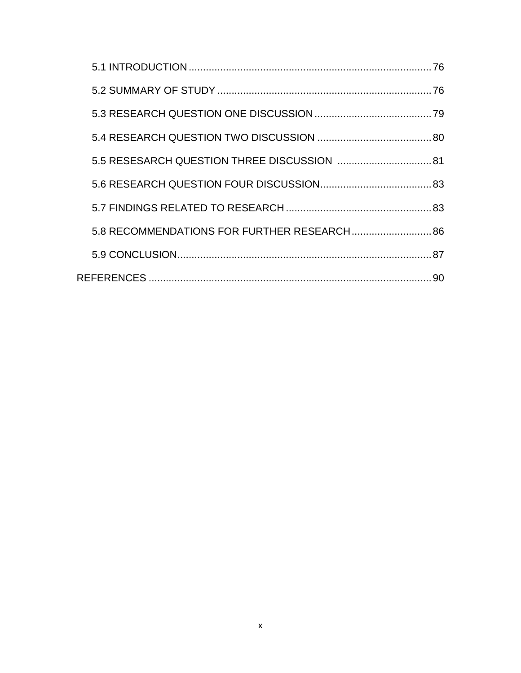| 5.8 RECOMMENDATIONS FOR FURTHER RESEARCH 86 |  |
|---------------------------------------------|--|
|                                             |  |
|                                             |  |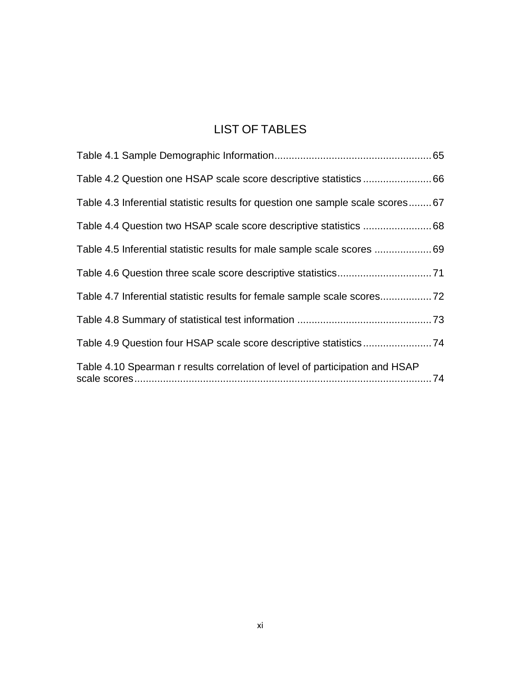# LIST OF TABLES

| Table 4.3 Inferential statistic results for question one sample scale scores67 |  |
|--------------------------------------------------------------------------------|--|
|                                                                                |  |
| Table 4.5 Inferential statistic results for male sample scale scores 69        |  |
|                                                                                |  |
| Table 4.7 Inferential statistic results for female sample scale scores72       |  |
|                                                                                |  |
| Table 4.9 Question four HSAP scale score descriptive statistics74              |  |
| Table 4.10 Spearman r results correlation of level of participation and HSAP   |  |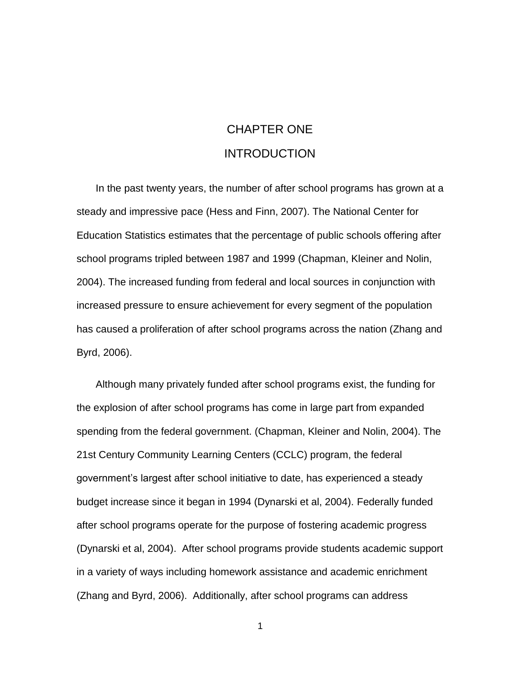# CHAPTER ONE INTRODUCTION

In the past twenty years, the number of after school programs has grown at a steady and impressive pace (Hess and Finn, 2007). The National Center for Education Statistics estimates that the percentage of public schools offering after school programs tripled between 1987 and 1999 (Chapman, Kleiner and Nolin, 2004). The increased funding from federal and local sources in conjunction with increased pressure to ensure achievement for every segment of the population has caused a proliferation of after school programs across the nation (Zhang and Byrd, 2006).

Although many privately funded after school programs exist, the funding for the explosion of after school programs has come in large part from expanded spending from the federal government. (Chapman, Kleiner and Nolin, 2004). The 21st Century Community Learning Centers (CCLC) program, the federal government's largest after school initiative to date, has experienced a steady budget increase since it began in 1994 (Dynarski et al, 2004). Federally funded after school programs operate for the purpose of fostering academic progress (Dynarski et al, 2004). After school programs provide students academic support in a variety of ways including homework assistance and academic enrichment (Zhang and Byrd, 2006). Additionally, after school programs can address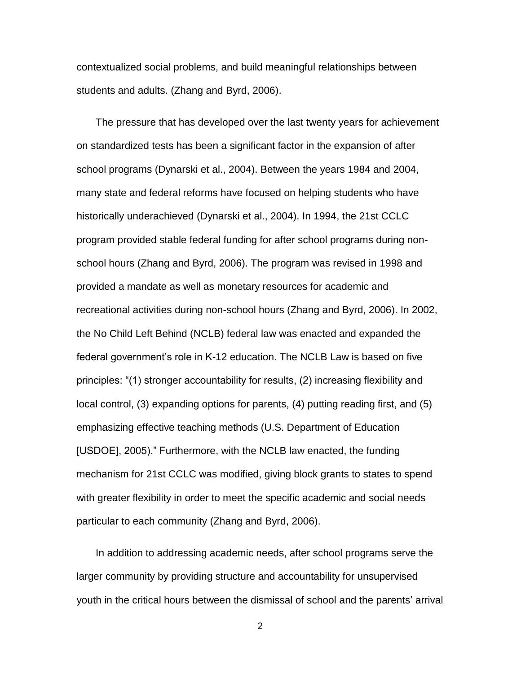contextualized social problems, and build meaningful relationships between students and adults. (Zhang and Byrd, 2006).

The pressure that has developed over the last twenty years for achievement on standardized tests has been a significant factor in the expansion of after school programs (Dynarski et al., 2004). Between the years 1984 and 2004, many state and federal reforms have focused on helping students who have historically underachieved (Dynarski et al., 2004). In 1994, the 21st CCLC program provided stable federal funding for after school programs during nonschool hours (Zhang and Byrd, 2006). The program was revised in 1998 and provided a mandate as well as monetary resources for academic and recreational activities during non-school hours (Zhang and Byrd, 2006). In 2002, the No Child Left Behind (NCLB) federal law was enacted and expanded the federal government's role in K-12 education. The NCLB Law is based on five principles: "(1) stronger accountability for results, (2) increasing flexibility and local control, (3) expanding options for parents, (4) putting reading first, and (5) emphasizing effective teaching methods (U.S. Department of Education [USDOE], 2005)." Furthermore, with the NCLB law enacted, the funding mechanism for 21st CCLC was modified, giving block grants to states to spend with greater flexibility in order to meet the specific academic and social needs particular to each community (Zhang and Byrd, 2006).

In addition to addressing academic needs, after school programs serve the larger community by providing structure and accountability for unsupervised youth in the critical hours between the dismissal of school and the parents' arrival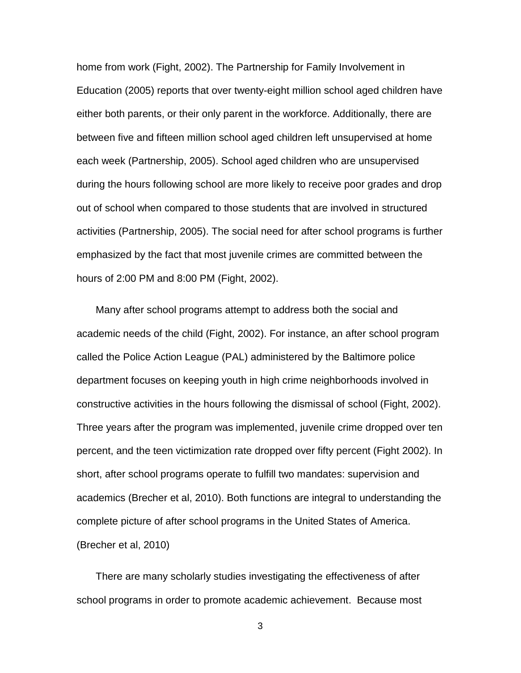home from work (Fight, 2002). The Partnership for Family Involvement in Education (2005) reports that over twenty-eight million school aged children have either both parents, or their only parent in the workforce. Additionally, there are between five and fifteen million school aged children left unsupervised at home each week (Partnership, 2005). School aged children who are unsupervised during the hours following school are more likely to receive poor grades and drop out of school when compared to those students that are involved in structured activities (Partnership, 2005). The social need for after school programs is further emphasized by the fact that most juvenile crimes are committed between the hours of 2:00 PM and 8:00 PM (Fight, 2002).

Many after school programs attempt to address both the social and academic needs of the child (Fight, 2002). For instance, an after school program called the Police Action League (PAL) administered by the Baltimore police department focuses on keeping youth in high crime neighborhoods involved in constructive activities in the hours following the dismissal of school (Fight, 2002). Three years after the program was implemented, juvenile crime dropped over ten percent, and the teen victimization rate dropped over fifty percent (Fight 2002). In short, after school programs operate to fulfill two mandates: supervision and academics (Brecher et al, 2010). Both functions are integral to understanding the complete picture of after school programs in the United States of America. (Brecher et al, 2010)

There are many scholarly studies investigating the effectiveness of after school programs in order to promote academic achievement. Because most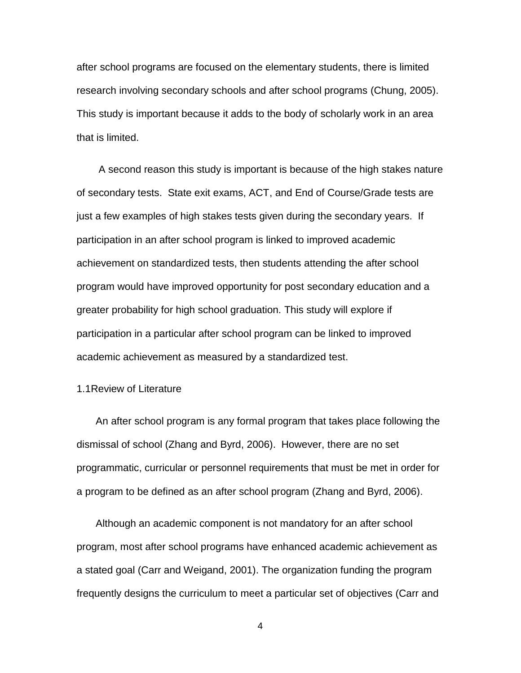after school programs are focused on the elementary students, there is limited research involving secondary schools and after school programs (Chung, 2005). This study is important because it adds to the body of scholarly work in an area that is limited.

A second reason this study is important is because of the high stakes nature of secondary tests. State exit exams, ACT, and End of Course/Grade tests are just a few examples of high stakes tests given during the secondary years. If participation in an after school program is linked to improved academic achievement on standardized tests, then students attending the after school program would have improved opportunity for post secondary education and a greater probability for high school graduation. This study will explore if participation in a particular after school program can be linked to improved academic achievement as measured by a standardized test.

## 1.1Review of Literature

An after school program is any formal program that takes place following the dismissal of school (Zhang and Byrd, 2006). However, there are no set programmatic, curricular or personnel requirements that must be met in order for a program to be defined as an after school program (Zhang and Byrd, 2006).

Although an academic component is not mandatory for an after school program, most after school programs have enhanced academic achievement as a stated goal (Carr and Weigand, 2001). The organization funding the program frequently designs the curriculum to meet a particular set of objectives (Carr and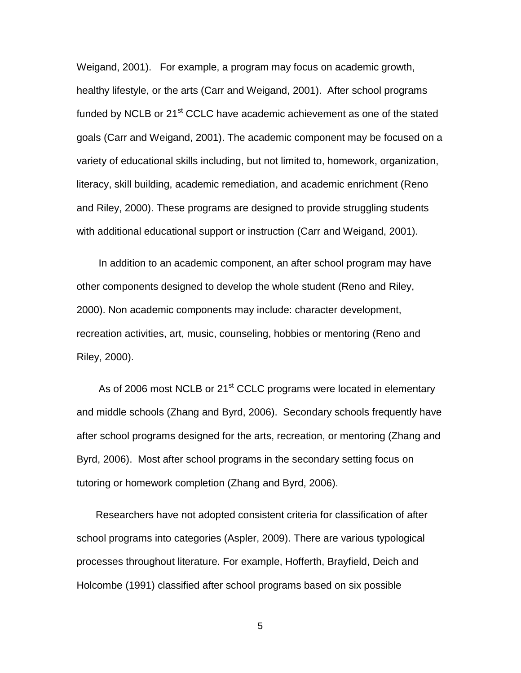Weigand, 2001). For example, a program may focus on academic growth, healthy lifestyle, or the arts (Carr and Weigand, 2001). After school programs funded by NCLB or 21<sup>st</sup> CCLC have academic achievement as one of the stated goals (Carr and Weigand, 2001). The academic component may be focused on a variety of educational skills including, but not limited to, homework, organization, literacy, skill building, academic remediation, and academic enrichment (Reno and Riley, 2000). These programs are designed to provide struggling students with additional educational support or instruction (Carr and Weigand, 2001).

In addition to an academic component, an after school program may have other components designed to develop the whole student (Reno and Riley, 2000). Non academic components may include: character development, recreation activities, art, music, counseling, hobbies or mentoring (Reno and Riley, 2000).

As of 2006 most NCLB or 21<sup>st</sup> CCLC programs were located in elementary and middle schools (Zhang and Byrd, 2006). Secondary schools frequently have after school programs designed for the arts, recreation, or mentoring (Zhang and Byrd, 2006). Most after school programs in the secondary setting focus on tutoring or homework completion (Zhang and Byrd, 2006).

Researchers have not adopted consistent criteria for classification of after school programs into categories (Aspler, 2009). There are various typological processes throughout literature. For example, Hofferth, Brayfield, Deich and Holcombe (1991) classified after school programs based on six possible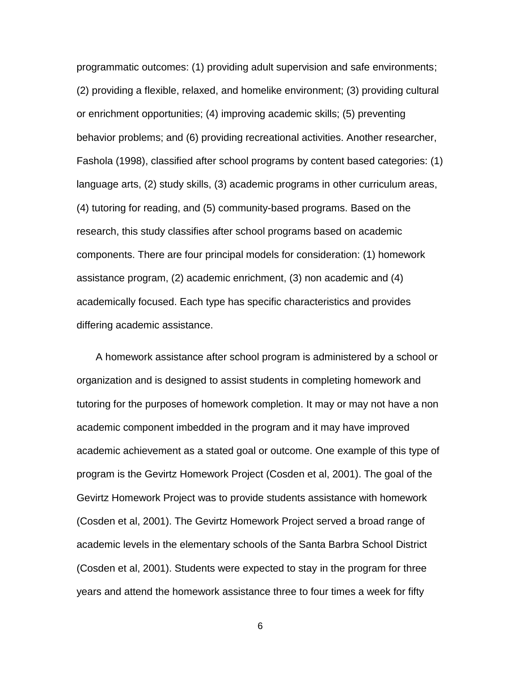programmatic outcomes: (1) providing adult supervision and safe environments; (2) providing a flexible, relaxed, and homelike environment; (3) providing cultural or enrichment opportunities; (4) improving academic skills; (5) preventing behavior problems; and (6) providing recreational activities. Another researcher, Fashola (1998), classified after school programs by content based categories: (1) language arts, (2) study skills, (3) academic programs in other curriculum areas, (4) tutoring for reading, and (5) community-based programs. Based on the research, this study classifies after school programs based on academic components. There are four principal models for consideration: (1) homework assistance program, (2) academic enrichment, (3) non academic and (4) academically focused. Each type has specific characteristics and provides differing academic assistance.

A homework assistance after school program is administered by a school or organization and is designed to assist students in completing homework and tutoring for the purposes of homework completion. It may or may not have a non academic component imbedded in the program and it may have improved academic achievement as a stated goal or outcome. One example of this type of program is the Gevirtz Homework Project (Cosden et al, 2001). The goal of the Gevirtz Homework Project was to provide students assistance with homework (Cosden et al, 2001). The Gevirtz Homework Project served a broad range of academic levels in the elementary schools of the Santa Barbra School District (Cosden et al, 2001). Students were expected to stay in the program for three years and attend the homework assistance three to four times a week for fifty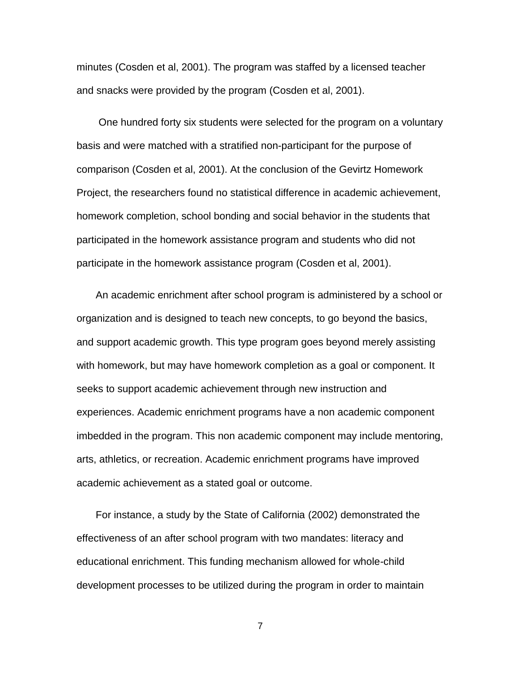minutes (Cosden et al, 2001). The program was staffed by a licensed teacher and snacks were provided by the program (Cosden et al, 2001).

One hundred forty six students were selected for the program on a voluntary basis and were matched with a stratified non-participant for the purpose of comparison (Cosden et al, 2001). At the conclusion of the Gevirtz Homework Project, the researchers found no statistical difference in academic achievement, homework completion, school bonding and social behavior in the students that participated in the homework assistance program and students who did not participate in the homework assistance program (Cosden et al, 2001).

An academic enrichment after school program is administered by a school or organization and is designed to teach new concepts, to go beyond the basics, and support academic growth. This type program goes beyond merely assisting with homework, but may have homework completion as a goal or component. It seeks to support academic achievement through new instruction and experiences. Academic enrichment programs have a non academic component imbedded in the program. This non academic component may include mentoring, arts, athletics, or recreation. Academic enrichment programs have improved academic achievement as a stated goal or outcome.

For instance, a study by the State of California (2002) demonstrated the effectiveness of an after school program with two mandates: literacy and educational enrichment. This funding mechanism allowed for whole-child development processes to be utilized during the program in order to maintain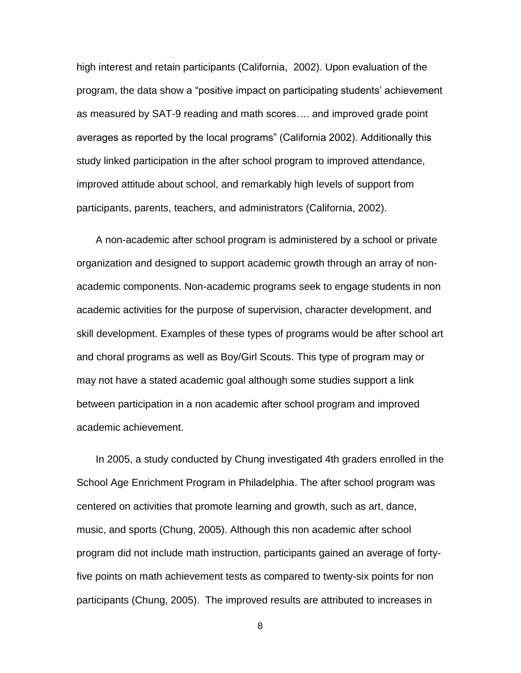high interest and retain participants (California, 2002). Upon evaluation of the program, the data show a "positive impact on participating students' achievement as measured by SAT-9 reading and math scores…. and improved grade point averages as reported by the local programs" (California 2002). Additionally this study linked participation in the after school program to improved attendance, improved attitude about school, and remarkably high levels of support from participants, parents, teachers, and administrators (California, 2002).

A non-academic after school program is administered by a school or private organization and designed to support academic growth through an array of nonacademic components. Non-academic programs seek to engage students in non academic activities for the purpose of supervision, character development, and skill development. Examples of these types of programs would be after school art and choral programs as well as Boy/Girl Scouts. This type of program may or may not have a stated academic goal although some studies support a link between participation in a non academic after school program and improved academic achievement.

In 2005, a study conducted by Chung investigated 4th graders enrolled in the School Age Enrichment Program in Philadelphia. The after school program was centered on activities that promote learning and growth, such as art, dance, music, and sports (Chung, 2005). Although this non academic after school program did not include math instruction, participants gained an average of fortyfive points on math achievement tests as compared to twenty-six points for non participants (Chung, 2005). The improved results are attributed to increases in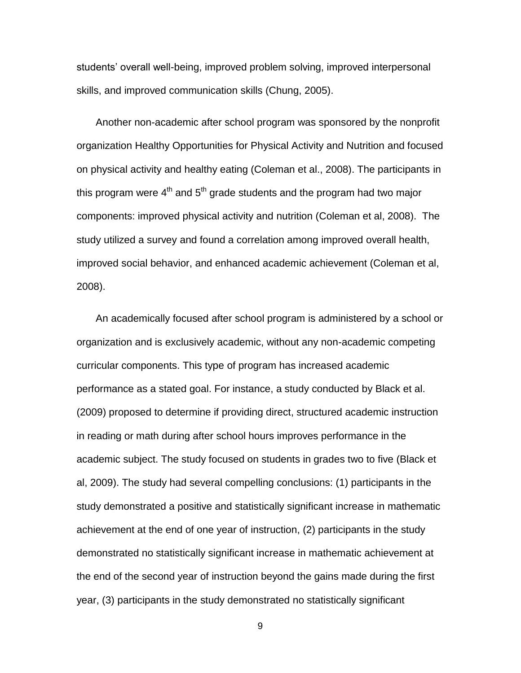students' overall well-being, improved problem solving, improved interpersonal skills, and improved communication skills (Chung, 2005).

Another non-academic after school program was sponsored by the nonprofit organization Healthy Opportunities for Physical Activity and Nutrition and focused on physical activity and healthy eating (Coleman et al., 2008). The participants in this program were 4<sup>th</sup> and 5<sup>th</sup> grade students and the program had two major components: improved physical activity and nutrition (Coleman et al, 2008). The study utilized a survey and found a correlation among improved overall health, improved social behavior, and enhanced academic achievement (Coleman et al, 2008).

An academically focused after school program is administered by a school or organization and is exclusively academic, without any non-academic competing curricular components. This type of program has increased academic performance as a stated goal. For instance, a study conducted by Black et al. (2009) proposed to determine if providing direct, structured academic instruction in reading or math during after school hours improves performance in the academic subject. The study focused on students in grades two to five (Black et al, 2009). The study had several compelling conclusions: (1) participants in the study demonstrated a positive and statistically significant increase in mathematic achievement at the end of one year of instruction, (2) participants in the study demonstrated no statistically significant increase in mathematic achievement at the end of the second year of instruction beyond the gains made during the first year, (3) participants in the study demonstrated no statistically significant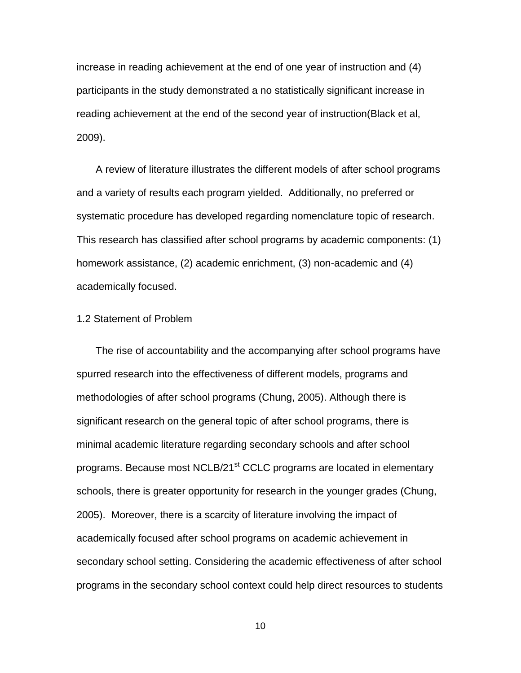increase in reading achievement at the end of one year of instruction and (4) participants in the study demonstrated a no statistically significant increase in reading achievement at the end of the second year of instruction(Black et al, 2009).

A review of literature illustrates the different models of after school programs and a variety of results each program yielded. Additionally, no preferred or systematic procedure has developed regarding nomenclature topic of research. This research has classified after school programs by academic components: (1) homework assistance, (2) academic enrichment, (3) non-academic and (4) academically focused.

### 1.2 Statement of Problem

The rise of accountability and the accompanying after school programs have spurred research into the effectiveness of different models, programs and methodologies of after school programs (Chung, 2005). Although there is significant research on the general topic of after school programs, there is minimal academic literature regarding secondary schools and after school programs. Because most NCLB/21<sup>st</sup> CCLC programs are located in elementary schools, there is greater opportunity for research in the younger grades (Chung, 2005). Moreover, there is a scarcity of literature involving the impact of academically focused after school programs on academic achievement in secondary school setting. Considering the academic effectiveness of after school programs in the secondary school context could help direct resources to students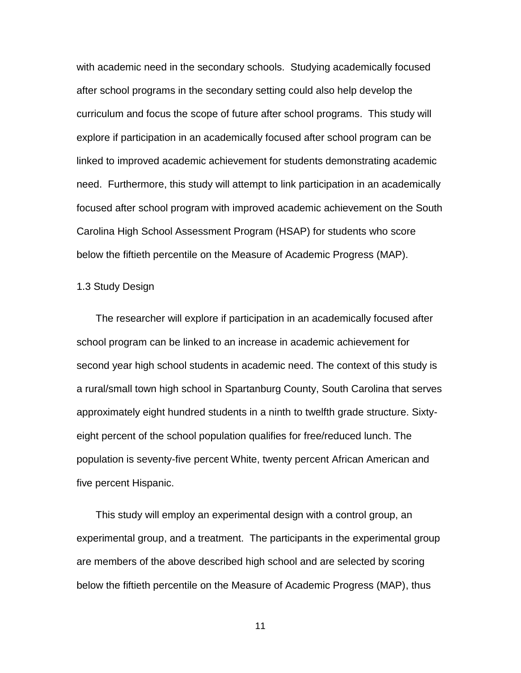with academic need in the secondary schools. Studying academically focused after school programs in the secondary setting could also help develop the curriculum and focus the scope of future after school programs. This study will explore if participation in an academically focused after school program can be linked to improved academic achievement for students demonstrating academic need. Furthermore, this study will attempt to link participation in an academically focused after school program with improved academic achievement on the South Carolina High School Assessment Program (HSAP) for students who score below the fiftieth percentile on the Measure of Academic Progress (MAP).

### 1.3 Study Design

The researcher will explore if participation in an academically focused after school program can be linked to an increase in academic achievement for second year high school students in academic need. The context of this study is a rural/small town high school in Spartanburg County, South Carolina that serves approximately eight hundred students in a ninth to twelfth grade structure. Sixtyeight percent of the school population qualifies for free/reduced lunch. The population is seventy-five percent White, twenty percent African American and five percent Hispanic.

This study will employ an experimental design with a control group, an experimental group, and a treatment. The participants in the experimental group are members of the above described high school and are selected by scoring below the fiftieth percentile on the Measure of Academic Progress (MAP), thus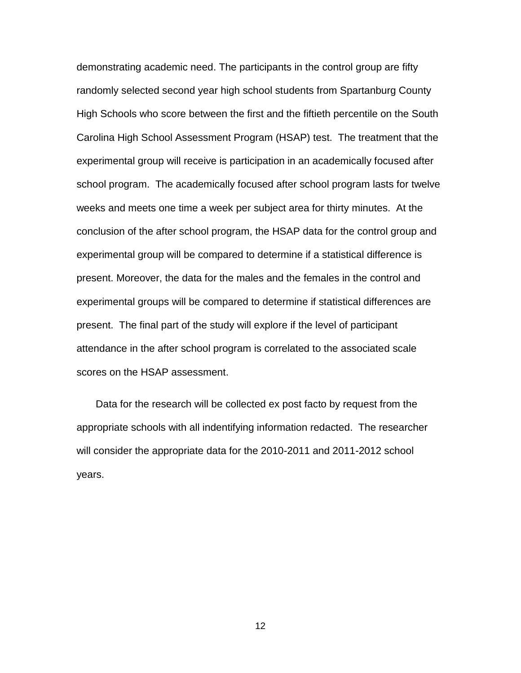demonstrating academic need. The participants in the control group are fifty randomly selected second year high school students from Spartanburg County High Schools who score between the first and the fiftieth percentile on the South Carolina High School Assessment Program (HSAP) test. The treatment that the experimental group will receive is participation in an academically focused after school program. The academically focused after school program lasts for twelve weeks and meets one time a week per subject area for thirty minutes. At the conclusion of the after school program, the HSAP data for the control group and experimental group will be compared to determine if a statistical difference is present. Moreover, the data for the males and the females in the control and experimental groups will be compared to determine if statistical differences are present. The final part of the study will explore if the level of participant attendance in the after school program is correlated to the associated scale scores on the HSAP assessment.

Data for the research will be collected ex post facto by request from the appropriate schools with all indentifying information redacted. The researcher will consider the appropriate data for the 2010-2011 and 2011-2012 school years.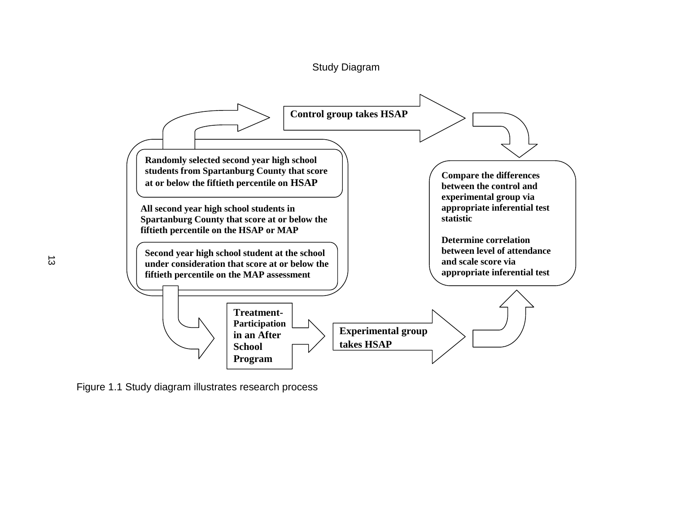



Figure 1.1 Study diagram illustrates research process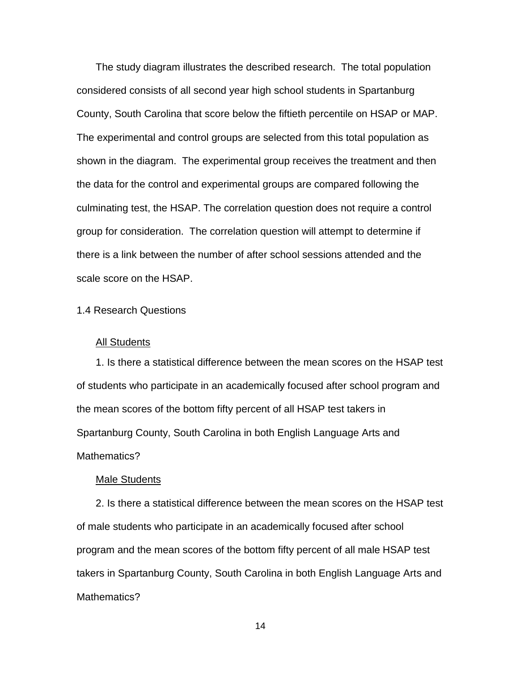The study diagram illustrates the described research. The total population considered consists of all second year high school students in Spartanburg County, South Carolina that score below the fiftieth percentile on HSAP or MAP. The experimental and control groups are selected from this total population as shown in the diagram. The experimental group receives the treatment and then the data for the control and experimental groups are compared following the culminating test, the HSAP. The correlation question does not require a control group for consideration. The correlation question will attempt to determine if there is a link between the number of after school sessions attended and the scale score on the HSAP.

### 1.4 Research Questions

#### All Students

1. Is there a statistical difference between the mean scores on the HSAP test of students who participate in an academically focused after school program and the mean scores of the bottom fifty percent of all HSAP test takers in Spartanburg County, South Carolina in both English Language Arts and Mathematics?

#### Male Students

2. Is there a statistical difference between the mean scores on the HSAP test of male students who participate in an academically focused after school program and the mean scores of the bottom fifty percent of all male HSAP test takers in Spartanburg County, South Carolina in both English Language Arts and Mathematics?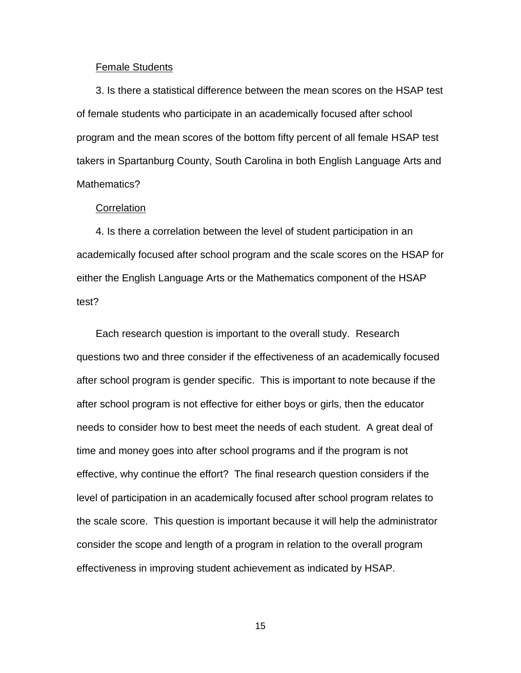#### Female Students

3. Is there a statistical difference between the mean scores on the HSAP test of female students who participate in an academically focused after school program and the mean scores of the bottom fifty percent of all female HSAP test takers in Spartanburg County, South Carolina in both English Language Arts and Mathematics?

#### **Correlation**

4. Is there a correlation between the level of student participation in an academically focused after school program and the scale scores on the HSAP for either the English Language Arts or the Mathematics component of the HSAP test?

Each research question is important to the overall study. Research questions two and three consider if the effectiveness of an academically focused after school program is gender specific. This is important to note because if the after school program is not effective for either boys or girls, then the educator needs to consider how to best meet the needs of each student. A great deal of time and money goes into after school programs and if the program is not effective, why continue the effort? The final research question considers if the level of participation in an academically focused after school program relates to the scale score. This question is important because it will help the administrator consider the scope and length of a program in relation to the overall program effectiveness in improving student achievement as indicated by HSAP.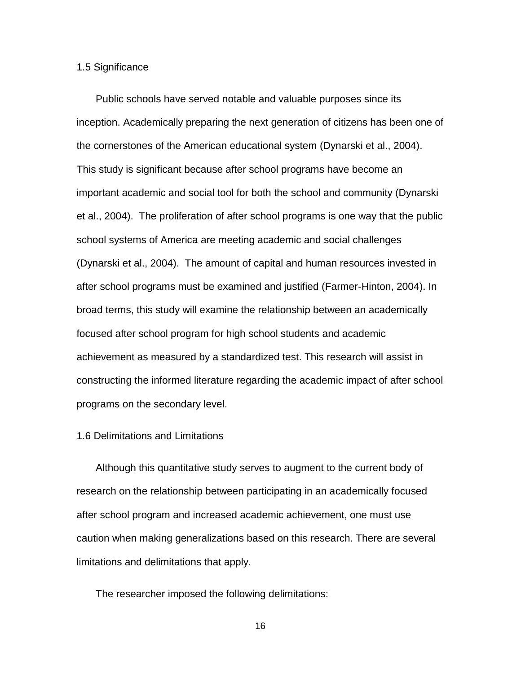#### 1.5 Significance

Public schools have served notable and valuable purposes since its inception. Academically preparing the next generation of citizens has been one of the cornerstones of the American educational system (Dynarski et al., 2004). This study is significant because after school programs have become an important academic and social tool for both the school and community (Dynarski et al., 2004). The proliferation of after school programs is one way that the public school systems of America are meeting academic and social challenges (Dynarski et al., 2004). The amount of capital and human resources invested in after school programs must be examined and justified (Farmer-Hinton, 2004). In broad terms, this study will examine the relationship between an academically focused after school program for high school students and academic achievement as measured by a standardized test. This research will assist in constructing the informed literature regarding the academic impact of after school programs on the secondary level.

## 1.6 Delimitations and Limitations

Although this quantitative study serves to augment to the current body of research on the relationship between participating in an academically focused after school program and increased academic achievement, one must use caution when making generalizations based on this research. There are several limitations and delimitations that apply.

The researcher imposed the following delimitations: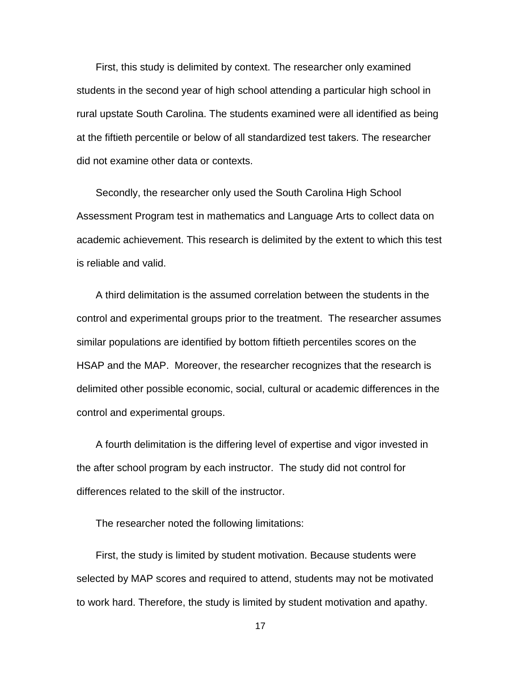First, this study is delimited by context. The researcher only examined students in the second year of high school attending a particular high school in rural upstate South Carolina. The students examined were all identified as being at the fiftieth percentile or below of all standardized test takers. The researcher did not examine other data or contexts.

Secondly, the researcher only used the South Carolina High School Assessment Program test in mathematics and Language Arts to collect data on academic achievement. This research is delimited by the extent to which this test is reliable and valid.

A third delimitation is the assumed correlation between the students in the control and experimental groups prior to the treatment. The researcher assumes similar populations are identified by bottom fiftieth percentiles scores on the HSAP and the MAP. Moreover, the researcher recognizes that the research is delimited other possible economic, social, cultural or academic differences in the control and experimental groups.

A fourth delimitation is the differing level of expertise and vigor invested in the after school program by each instructor. The study did not control for differences related to the skill of the instructor.

The researcher noted the following limitations:

First, the study is limited by student motivation. Because students were selected by MAP scores and required to attend, students may not be motivated to work hard. Therefore, the study is limited by student motivation and apathy.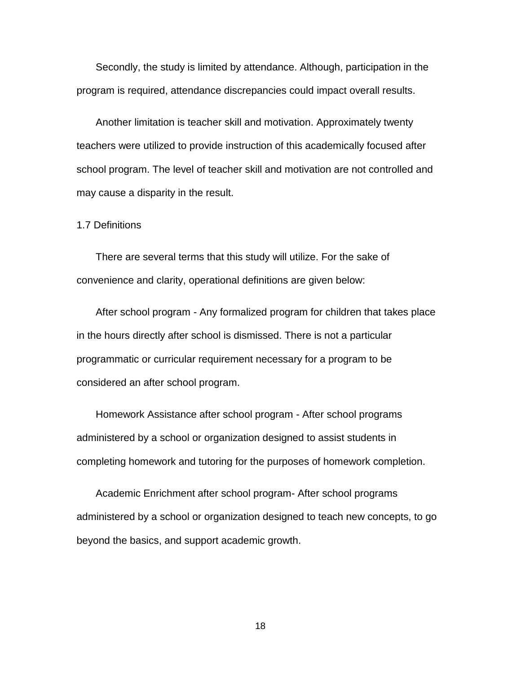Secondly, the study is limited by attendance. Although, participation in the program is required, attendance discrepancies could impact overall results.

Another limitation is teacher skill and motivation. Approximately twenty teachers were utilized to provide instruction of this academically focused after school program. The level of teacher skill and motivation are not controlled and may cause a disparity in the result.

1.7 Definitions

There are several terms that this study will utilize. For the sake of convenience and clarity, operational definitions are given below:

After school program - Any formalized program for children that takes place in the hours directly after school is dismissed. There is not a particular programmatic or curricular requirement necessary for a program to be considered an after school program.

Homework Assistance after school program - After school programs administered by a school or organization designed to assist students in completing homework and tutoring for the purposes of homework completion.

Academic Enrichment after school program- After school programs administered by a school or organization designed to teach new concepts, to go beyond the basics, and support academic growth.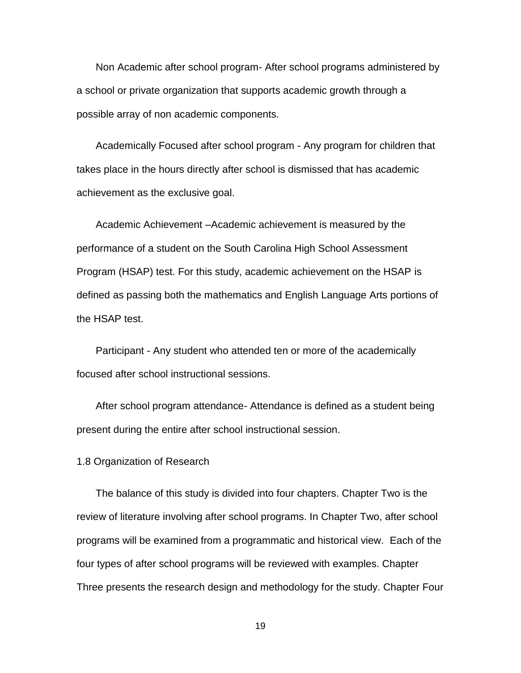Non Academic after school program- After school programs administered by a school or private organization that supports academic growth through a possible array of non academic components.

Academically Focused after school program - Any program for children that takes place in the hours directly after school is dismissed that has academic achievement as the exclusive goal.

Academic Achievement –Academic achievement is measured by the performance of a student on the South Carolina High School Assessment Program (HSAP) test. For this study, academic achievement on the HSAP is defined as passing both the mathematics and English Language Arts portions of the HSAP test.

Participant - Any student who attended ten or more of the academically focused after school instructional sessions.

After school program attendance- Attendance is defined as a student being present during the entire after school instructional session.

1.8 Organization of Research

The balance of this study is divided into four chapters. Chapter Two is the review of literature involving after school programs. In Chapter Two, after school programs will be examined from a programmatic and historical view. Each of the four types of after school programs will be reviewed with examples. Chapter Three presents the research design and methodology for the study. Chapter Four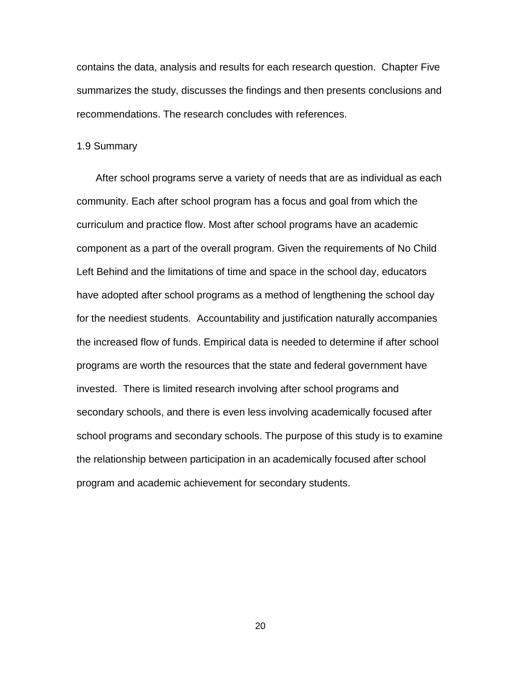contains the data, analysis and results for each research question. Chapter Five summarizes the study, discusses the findings and then presents conclusions and recommendations. The research concludes with references.

#### 1.9 Summary

After school programs serve a variety of needs that are as individual as each community. Each after school program has a focus and goal from which the curriculum and practice flow. Most after school programs have an academic component as a part of the overall program. Given the requirements of No Child Left Behind and the limitations of time and space in the school day, educators have adopted after school programs as a method of lengthening the school day for the neediest students. Accountability and justification naturally accompanies the increased flow of funds. Empirical data is needed to determine if after school programs are worth the resources that the state and federal government have invested. There is limited research involving after school programs and secondary schools, and there is even less involving academically focused after school programs and secondary schools. The purpose of this study is to examine the relationship between participation in an academically focused after school program and academic achievement for secondary students.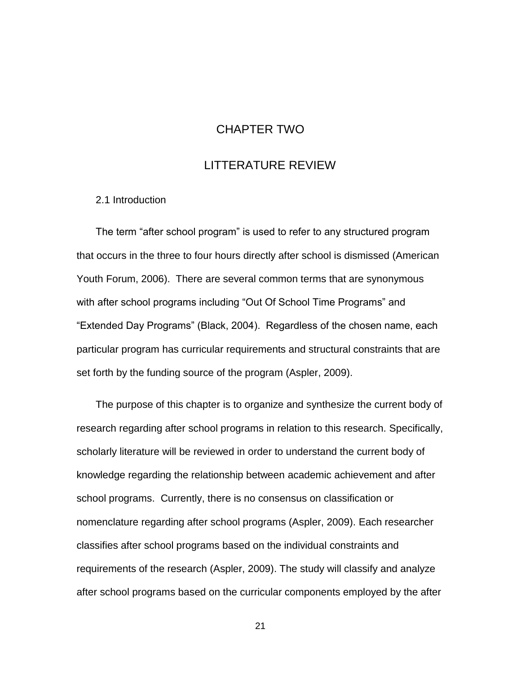## CHAPTER TWO

## LITTERATURE REVIEW

2.1 Introduction

The term "after school program" is used to refer to any structured program that occurs in the three to four hours directly after school is dismissed (American Youth Forum, 2006). There are several common terms that are synonymous with after school programs including "Out Of School Time Programs" and "Extended Day Programs" (Black, 2004). Regardless of the chosen name, each particular program has curricular requirements and structural constraints that are set forth by the funding source of the program (Aspler, 2009).

The purpose of this chapter is to organize and synthesize the current body of research regarding after school programs in relation to this research. Specifically, scholarly literature will be reviewed in order to understand the current body of knowledge regarding the relationship between academic achievement and after school programs. Currently, there is no consensus on classification or nomenclature regarding after school programs (Aspler, 2009). Each researcher classifies after school programs based on the individual constraints and requirements of the research (Aspler, 2009). The study will classify and analyze after school programs based on the curricular components employed by the after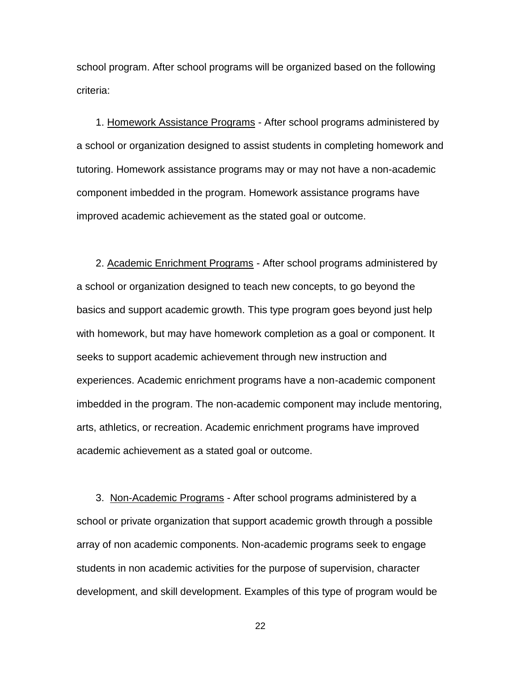school program. After school programs will be organized based on the following criteria:

1. Homework Assistance Programs - After school programs administered by a school or organization designed to assist students in completing homework and tutoring. Homework assistance programs may or may not have a non-academic component imbedded in the program. Homework assistance programs have improved academic achievement as the stated goal or outcome.

2. Academic Enrichment Programs - After school programs administered by a school or organization designed to teach new concepts, to go beyond the basics and support academic growth. This type program goes beyond just help with homework, but may have homework completion as a goal or component. It seeks to support academic achievement through new instruction and experiences. Academic enrichment programs have a non-academic component imbedded in the program. The non-academic component may include mentoring, arts, athletics, or recreation. Academic enrichment programs have improved academic achievement as a stated goal or outcome.

3. Non-Academic Programs - After school programs administered by a school or private organization that support academic growth through a possible array of non academic components. Non-academic programs seek to engage students in non academic activities for the purpose of supervision, character development, and skill development. Examples of this type of program would be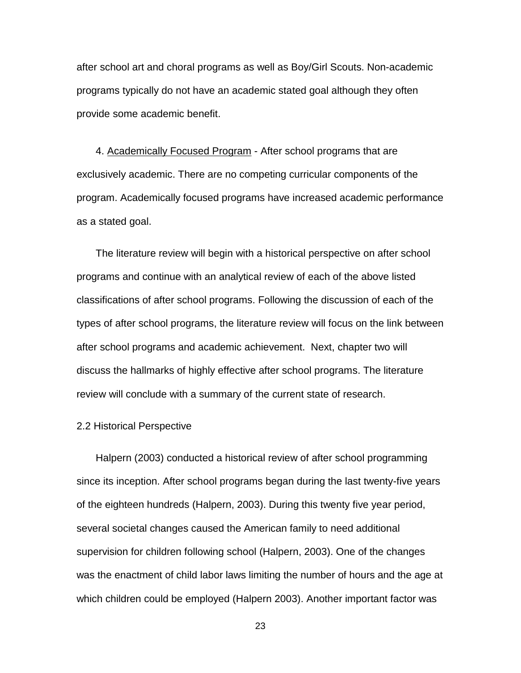after school art and choral programs as well as Boy/Girl Scouts. Non-academic programs typically do not have an academic stated goal although they often provide some academic benefit.

4. Academically Focused Program - After school programs that are exclusively academic. There are no competing curricular components of the program. Academically focused programs have increased academic performance as a stated goal.

The literature review will begin with a historical perspective on after school programs and continue with an analytical review of each of the above listed classifications of after school programs. Following the discussion of each of the types of after school programs, the literature review will focus on the link between after school programs and academic achievement. Next, chapter two will discuss the hallmarks of highly effective after school programs. The literature review will conclude with a summary of the current state of research.

#### 2.2 Historical Perspective

Halpern (2003) conducted a historical review of after school programming since its inception. After school programs began during the last twenty-five years of the eighteen hundreds (Halpern, 2003). During this twenty five year period, several societal changes caused the American family to need additional supervision for children following school (Halpern, 2003). One of the changes was the enactment of child labor laws limiting the number of hours and the age at which children could be employed (Halpern 2003). Another important factor was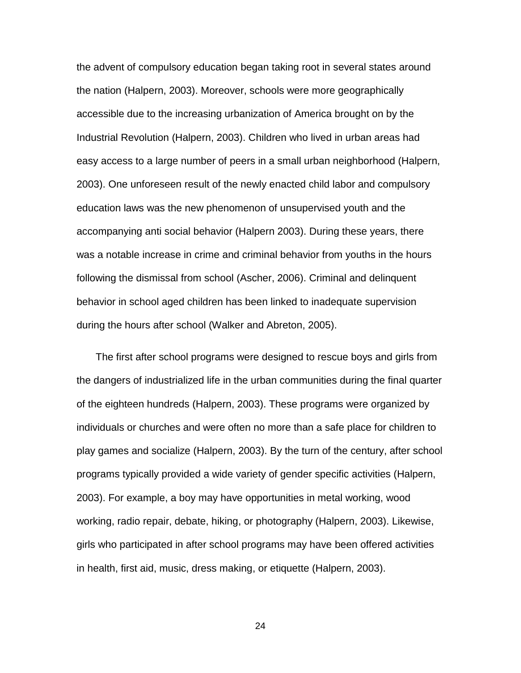the advent of compulsory education began taking root in several states around the nation (Halpern, 2003). Moreover, schools were more geographically accessible due to the increasing urbanization of America brought on by the Industrial Revolution (Halpern, 2003). Children who lived in urban areas had easy access to a large number of peers in a small urban neighborhood (Halpern, 2003). One unforeseen result of the newly enacted child labor and compulsory education laws was the new phenomenon of unsupervised youth and the accompanying anti social behavior (Halpern 2003). During these years, there was a notable increase in crime and criminal behavior from youths in the hours following the dismissal from school (Ascher, 2006). Criminal and delinquent behavior in school aged children has been linked to inadequate supervision during the hours after school (Walker and Abreton, 2005).

The first after school programs were designed to rescue boys and girls from the dangers of industrialized life in the urban communities during the final quarter of the eighteen hundreds (Halpern, 2003). These programs were organized by individuals or churches and were often no more than a safe place for children to play games and socialize (Halpern, 2003). By the turn of the century, after school programs typically provided a wide variety of gender specific activities (Halpern, 2003). For example, a boy may have opportunities in metal working, wood working, radio repair, debate, hiking, or photography (Halpern, 2003). Likewise, girls who participated in after school programs may have been offered activities in health, first aid, music, dress making, or etiquette (Halpern, 2003).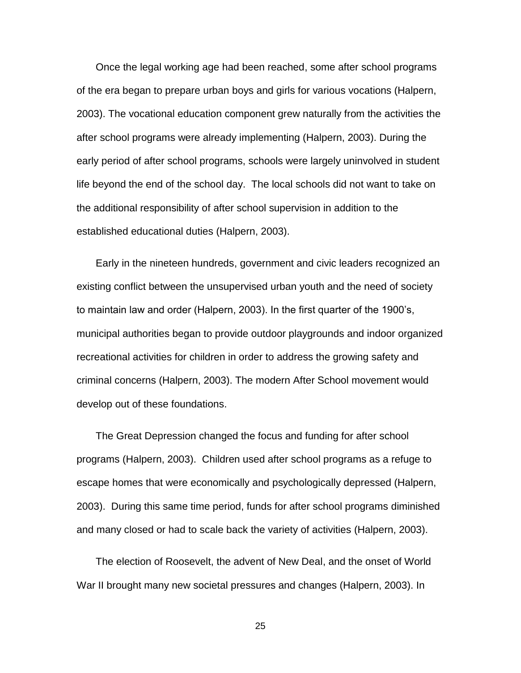Once the legal working age had been reached, some after school programs of the era began to prepare urban boys and girls for various vocations (Halpern, 2003). The vocational education component grew naturally from the activities the after school programs were already implementing (Halpern, 2003). During the early period of after school programs, schools were largely uninvolved in student life beyond the end of the school day. The local schools did not want to take on the additional responsibility of after school supervision in addition to the established educational duties (Halpern, 2003).

Early in the nineteen hundreds, government and civic leaders recognized an existing conflict between the unsupervised urban youth and the need of society to maintain law and order (Halpern, 2003). In the first quarter of the 1900's, municipal authorities began to provide outdoor playgrounds and indoor organized recreational activities for children in order to address the growing safety and criminal concerns (Halpern, 2003). The modern After School movement would develop out of these foundations.

The Great Depression changed the focus and funding for after school programs (Halpern, 2003). Children used after school programs as a refuge to escape homes that were economically and psychologically depressed (Halpern, 2003). During this same time period, funds for after school programs diminished and many closed or had to scale back the variety of activities (Halpern, 2003).

The election of Roosevelt, the advent of New Deal, and the onset of World War II brought many new societal pressures and changes (Halpern, 2003). In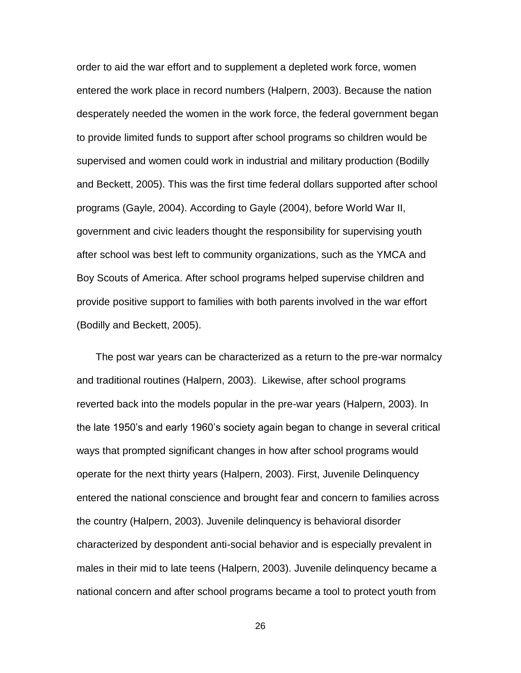order to aid the war effort and to supplement a depleted work force, women entered the work place in record numbers (Halpern, 2003). Because the nation desperately needed the women in the work force, the federal government began to provide limited funds to support after school programs so children would be supervised and women could work in industrial and military production (Bodilly and Beckett, 2005). This was the first time federal dollars supported after school programs (Gayle, 2004). According to Gayle (2004), before World War II, government and civic leaders thought the responsibility for supervising youth after school was best left to community organizations, such as the YMCA and Boy Scouts of America. After school programs helped supervise children and provide positive support to families with both parents involved in the war effort (Bodilly and Beckett, 2005).

The post war years can be characterized as a return to the pre-war normalcy and traditional routines (Halpern, 2003). Likewise, after school programs reverted back into the models popular in the pre-war years (Halpern, 2003). In the late 1950's and early 1960's society again began to change in several critical ways that prompted significant changes in how after school programs would operate for the next thirty years (Halpern, 2003). First, Juvenile Delinquency entered the national conscience and brought fear and concern to families across the country (Halpern, 2003). Juvenile delinquency is behavioral disorder characterized by despondent anti-social behavior and is especially prevalent in males in their mid to late teens (Halpern, 2003). Juvenile delinquency became a national concern and after school programs became a tool to protect youth from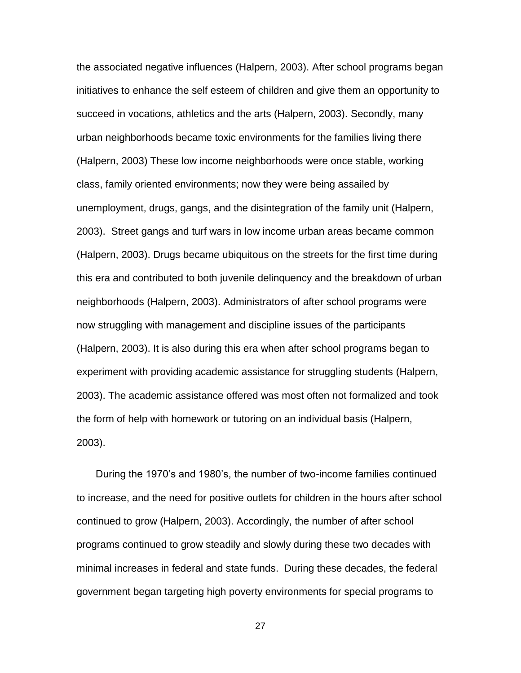the associated negative influences (Halpern, 2003). After school programs began initiatives to enhance the self esteem of children and give them an opportunity to succeed in vocations, athletics and the arts (Halpern, 2003). Secondly, many urban neighborhoods became toxic environments for the families living there (Halpern, 2003) These low income neighborhoods were once stable, working class, family oriented environments; now they were being assailed by unemployment, drugs, gangs, and the disintegration of the family unit (Halpern, 2003). Street gangs and turf wars in low income urban areas became common (Halpern, 2003). Drugs became ubiquitous on the streets for the first time during this era and contributed to both juvenile delinquency and the breakdown of urban neighborhoods (Halpern, 2003). Administrators of after school programs were now struggling with management and discipline issues of the participants (Halpern, 2003). It is also during this era when after school programs began to experiment with providing academic assistance for struggling students (Halpern, 2003). The academic assistance offered was most often not formalized and took the form of help with homework or tutoring on an individual basis (Halpern, 2003).

During the 1970's and 1980's, the number of two-income families continued to increase, and the need for positive outlets for children in the hours after school continued to grow (Halpern, 2003). Accordingly, the number of after school programs continued to grow steadily and slowly during these two decades with minimal increases in federal and state funds. During these decades, the federal government began targeting high poverty environments for special programs to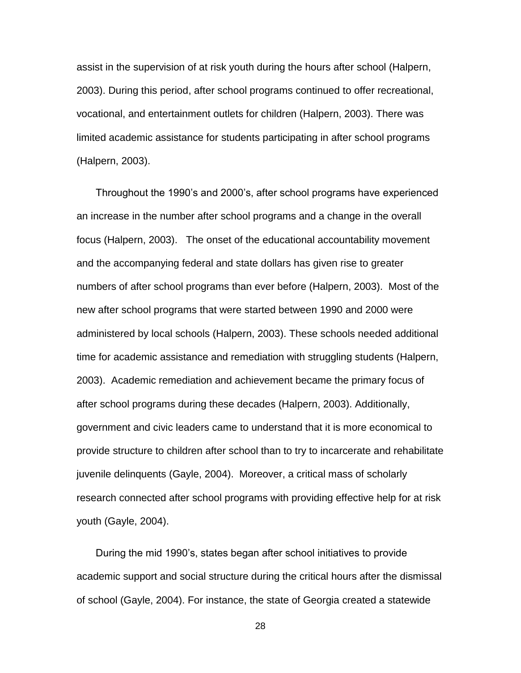assist in the supervision of at risk youth during the hours after school (Halpern, 2003). During this period, after school programs continued to offer recreational, vocational, and entertainment outlets for children (Halpern, 2003). There was limited academic assistance for students participating in after school programs (Halpern, 2003).

Throughout the 1990's and 2000's, after school programs have experienced an increase in the number after school programs and a change in the overall focus (Halpern, 2003). The onset of the educational accountability movement and the accompanying federal and state dollars has given rise to greater numbers of after school programs than ever before (Halpern, 2003). Most of the new after school programs that were started between 1990 and 2000 were administered by local schools (Halpern, 2003). These schools needed additional time for academic assistance and remediation with struggling students (Halpern, 2003). Academic remediation and achievement became the primary focus of after school programs during these decades (Halpern, 2003). Additionally, government and civic leaders came to understand that it is more economical to provide structure to children after school than to try to incarcerate and rehabilitate juvenile delinquents (Gayle, 2004). Moreover, a critical mass of scholarly research connected after school programs with providing effective help for at risk youth (Gayle, 2004).

During the mid 1990's, states began after school initiatives to provide academic support and social structure during the critical hours after the dismissal of school (Gayle, 2004). For instance, the state of Georgia created a statewide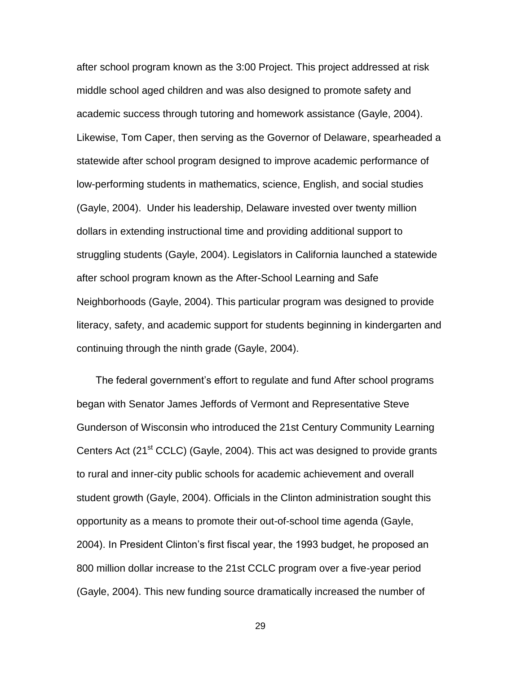after school program known as the 3:00 Project. This project addressed at risk middle school aged children and was also designed to promote safety and academic success through tutoring and homework assistance (Gayle, 2004). Likewise, Tom Caper, then serving as the Governor of Delaware, spearheaded a statewide after school program designed to improve academic performance of low-performing students in mathematics, science, English, and social studies (Gayle, 2004). Under his leadership, Delaware invested over twenty million dollars in extending instructional time and providing additional support to struggling students (Gayle, 2004). Legislators in California launched a statewide after school program known as the After-School Learning and Safe Neighborhoods (Gayle, 2004). This particular program was designed to provide literacy, safety, and academic support for students beginning in kindergarten and continuing through the ninth grade (Gayle, 2004).

The federal government's effort to regulate and fund After school programs began with Senator James Jeffords of Vermont and Representative Steve Gunderson of Wisconsin who introduced the 21st Century Community Learning Centers Act (21<sup>st</sup> CCLC) (Gayle, 2004). This act was designed to provide grants to rural and inner-city public schools for academic achievement and overall student growth (Gayle, 2004). Officials in the Clinton administration sought this opportunity as a means to promote their out-of-school time agenda (Gayle, 2004). In President Clinton's first fiscal year, the 1993 budget, he proposed an 800 million dollar increase to the 21st CCLC program over a five-year period (Gayle, 2004). This new funding source dramatically increased the number of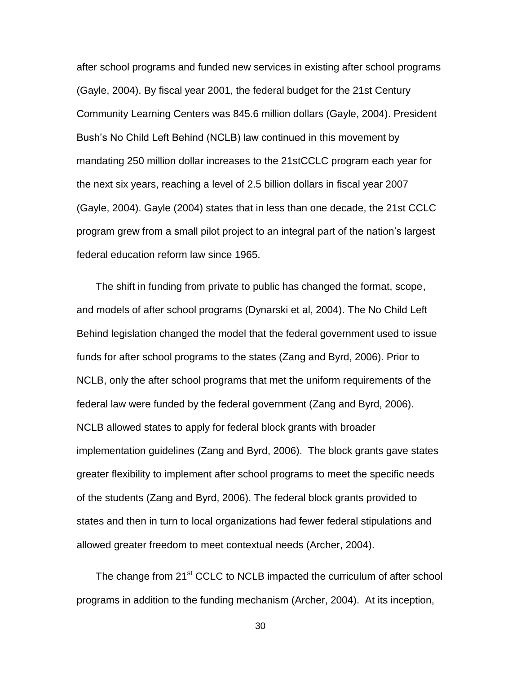after school programs and funded new services in existing after school programs (Gayle, 2004). By fiscal year 2001, the federal budget for the 21st Century Community Learning Centers was 845.6 million dollars (Gayle, 2004). President Bush's No Child Left Behind (NCLB) law continued in this movement by mandating 250 million dollar increases to the 21stCCLC program each year for the next six years, reaching a level of 2.5 billion dollars in fiscal year 2007 (Gayle, 2004). Gayle (2004) states that in less than one decade, the 21st CCLC program grew from a small pilot project to an integral part of the nation's largest federal education reform law since 1965.

The shift in funding from private to public has changed the format, scope, and models of after school programs (Dynarski et al, 2004). The No Child Left Behind legislation changed the model that the federal government used to issue funds for after school programs to the states (Zang and Byrd, 2006). Prior to NCLB, only the after school programs that met the uniform requirements of the federal law were funded by the federal government (Zang and Byrd, 2006). NCLB allowed states to apply for federal block grants with broader implementation guidelines (Zang and Byrd, 2006). The block grants gave states greater flexibility to implement after school programs to meet the specific needs of the students (Zang and Byrd, 2006). The federal block grants provided to states and then in turn to local organizations had fewer federal stipulations and allowed greater freedom to meet contextual needs (Archer, 2004).

The change from 21<sup>st</sup> CCLC to NCLB impacted the curriculum of after school programs in addition to the funding mechanism (Archer, 2004). At its inception,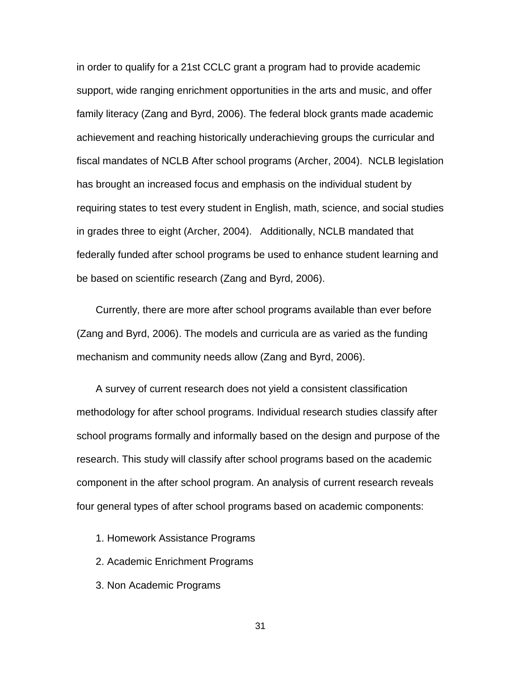in order to qualify for a 21st CCLC grant a program had to provide academic support, wide ranging enrichment opportunities in the arts and music, and offer family literacy (Zang and Byrd, 2006). The federal block grants made academic achievement and reaching historically underachieving groups the curricular and fiscal mandates of NCLB After school programs (Archer, 2004). NCLB legislation has brought an increased focus and emphasis on the individual student by requiring states to test every student in English, math, science, and social studies in grades three to eight (Archer, 2004). Additionally, NCLB mandated that federally funded after school programs be used to enhance student learning and be based on scientific research (Zang and Byrd, 2006).

Currently, there are more after school programs available than ever before (Zang and Byrd, 2006). The models and curricula are as varied as the funding mechanism and community needs allow (Zang and Byrd, 2006).

A survey of current research does not yield a consistent classification methodology for after school programs. Individual research studies classify after school programs formally and informally based on the design and purpose of the research. This study will classify after school programs based on the academic component in the after school program. An analysis of current research reveals four general types of after school programs based on academic components:

- 1. Homework Assistance Programs
- 2. Academic Enrichment Programs
- 3. Non Academic Programs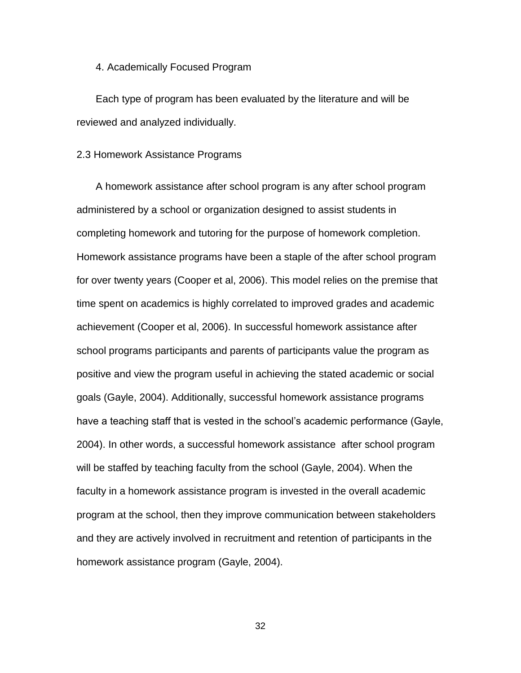4. Academically Focused Program

Each type of program has been evaluated by the literature and will be reviewed and analyzed individually.

### 2.3 Homework Assistance Programs

A homework assistance after school program is any after school program administered by a school or organization designed to assist students in completing homework and tutoring for the purpose of homework completion. Homework assistance programs have been a staple of the after school program for over twenty years (Cooper et al, 2006). This model relies on the premise that time spent on academics is highly correlated to improved grades and academic achievement (Cooper et al, 2006). In successful homework assistance after school programs participants and parents of participants value the program as positive and view the program useful in achieving the stated academic or social goals (Gayle, 2004). Additionally, successful homework assistance programs have a teaching staff that is vested in the school's academic performance (Gayle, 2004). In other words, a successful homework assistance after school program will be staffed by teaching faculty from the school (Gayle, 2004). When the faculty in a homework assistance program is invested in the overall academic program at the school, then they improve communication between stakeholders and they are actively involved in recruitment and retention of participants in the homework assistance program (Gayle, 2004).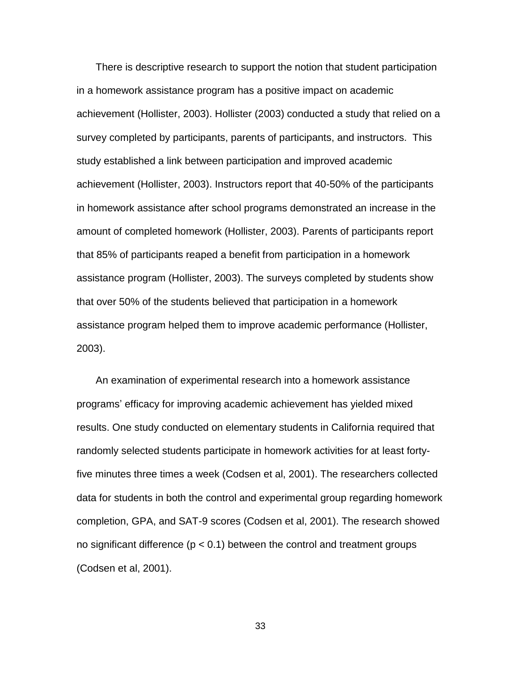There is descriptive research to support the notion that student participation in a homework assistance program has a positive impact on academic achievement (Hollister, 2003). Hollister (2003) conducted a study that relied on a survey completed by participants, parents of participants, and instructors. This study established a link between participation and improved academic achievement (Hollister, 2003). Instructors report that 40-50% of the participants in homework assistance after school programs demonstrated an increase in the amount of completed homework (Hollister, 2003). Parents of participants report that 85% of participants reaped a benefit from participation in a homework assistance program (Hollister, 2003). The surveys completed by students show that over 50% of the students believed that participation in a homework assistance program helped them to improve academic performance (Hollister, 2003).

An examination of experimental research into a homework assistance programs' efficacy for improving academic achievement has yielded mixed results. One study conducted on elementary students in California required that randomly selected students participate in homework activities for at least fortyfive minutes three times a week (Codsen et al, 2001). The researchers collected data for students in both the control and experimental group regarding homework completion, GPA, and SAT-9 scores (Codsen et al, 2001). The research showed no significant difference ( $p < 0.1$ ) between the control and treatment groups (Codsen et al, 2001).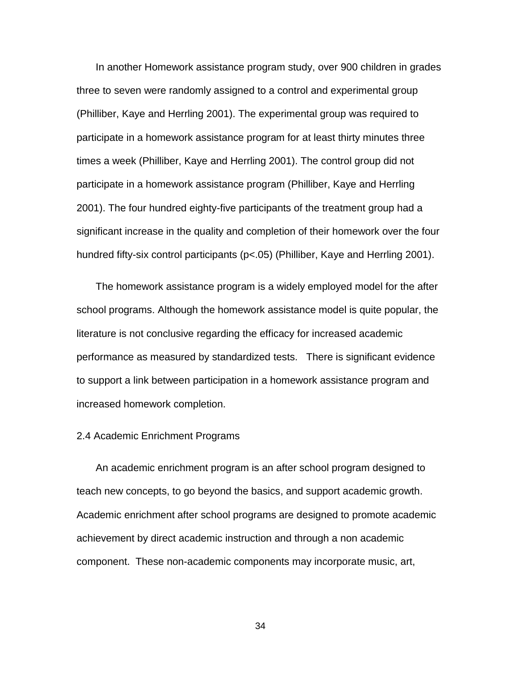In another Homework assistance program study, over 900 children in grades three to seven were randomly assigned to a control and experimental group (Philliber, Kaye and Herrling 2001). The experimental group was required to participate in a homework assistance program for at least thirty minutes three times a week (Philliber, Kaye and Herrling 2001). The control group did not participate in a homework assistance program (Philliber, Kaye and Herrling 2001). The four hundred eighty-five participants of the treatment group had a significant increase in the quality and completion of their homework over the four hundred fifty-six control participants (p<.05) (Philliber, Kaye and Herrling 2001).

The homework assistance program is a widely employed model for the after school programs. Although the homework assistance model is quite popular, the literature is not conclusive regarding the efficacy for increased academic performance as measured by standardized tests. There is significant evidence to support a link between participation in a homework assistance program and increased homework completion.

# 2.4 Academic Enrichment Programs

An academic enrichment program is an after school program designed to teach new concepts, to go beyond the basics, and support academic growth. Academic enrichment after school programs are designed to promote academic achievement by direct academic instruction and through a non academic component. These non-academic components may incorporate music, art,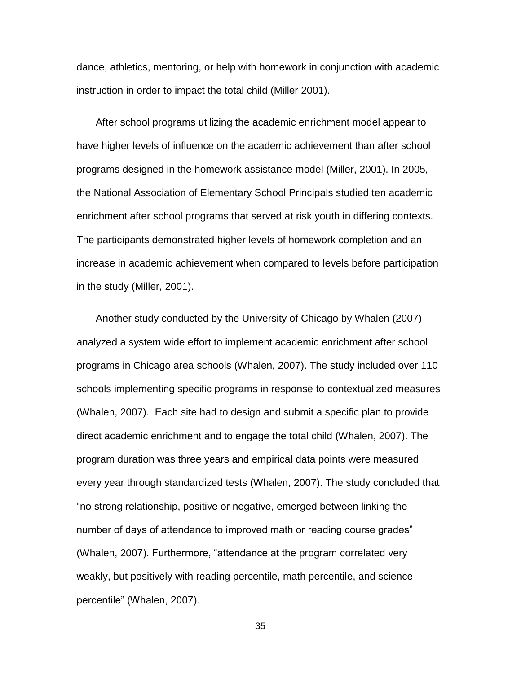dance, athletics, mentoring, or help with homework in conjunction with academic instruction in order to impact the total child (Miller 2001).

After school programs utilizing the academic enrichment model appear to have higher levels of influence on the academic achievement than after school programs designed in the homework assistance model (Miller, 2001). In 2005, the National Association of Elementary School Principals studied ten academic enrichment after school programs that served at risk youth in differing contexts. The participants demonstrated higher levels of homework completion and an increase in academic achievement when compared to levels before participation in the study (Miller, 2001).

Another study conducted by the University of Chicago by Whalen (2007) analyzed a system wide effort to implement academic enrichment after school programs in Chicago area schools (Whalen, 2007). The study included over 110 schools implementing specific programs in response to contextualized measures (Whalen, 2007). Each site had to design and submit a specific plan to provide direct academic enrichment and to engage the total child (Whalen, 2007). The program duration was three years and empirical data points were measured every year through standardized tests (Whalen, 2007). The study concluded that "no strong relationship, positive or negative, emerged between linking the number of days of attendance to improved math or reading course grades" (Whalen, 2007). Furthermore, "attendance at the program correlated very weakly, but positively with reading percentile, math percentile, and science percentile" (Whalen, 2007).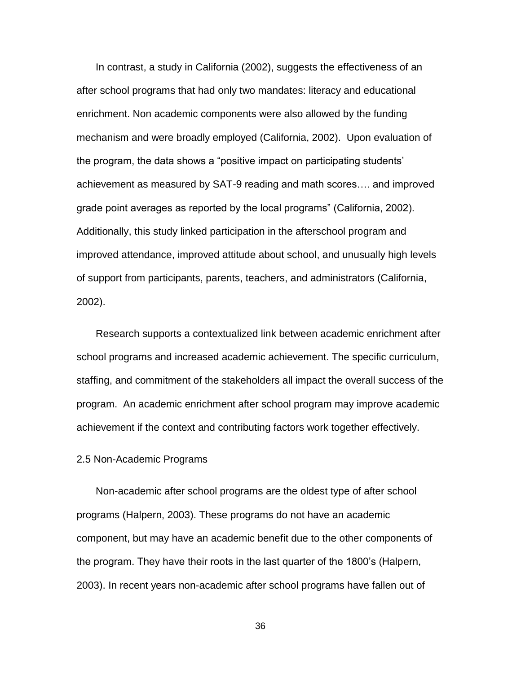In contrast, a study in California (2002), suggests the effectiveness of an after school programs that had only two mandates: literacy and educational enrichment. Non academic components were also allowed by the funding mechanism and were broadly employed (California, 2002). Upon evaluation of the program, the data shows a "positive impact on participating students' achievement as measured by SAT-9 reading and math scores…. and improved grade point averages as reported by the local programs" (California, 2002). Additionally, this study linked participation in the afterschool program and improved attendance, improved attitude about school, and unusually high levels of support from participants, parents, teachers, and administrators (California, 2002).

Research supports a contextualized link between academic enrichment after school programs and increased academic achievement. The specific curriculum, staffing, and commitment of the stakeholders all impact the overall success of the program. An academic enrichment after school program may improve academic achievement if the context and contributing factors work together effectively.

# 2.5 Non-Academic Programs

Non-academic after school programs are the oldest type of after school programs (Halpern, 2003). These programs do not have an academic component, but may have an academic benefit due to the other components of the program. They have their roots in the last quarter of the 1800's (Halpern, 2003). In recent years non-academic after school programs have fallen out of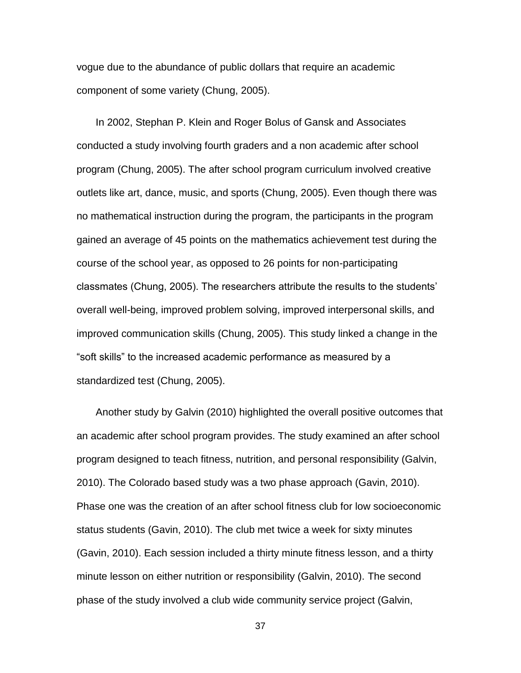vogue due to the abundance of public dollars that require an academic component of some variety (Chung, 2005).

In 2002, Stephan P. Klein and Roger Bolus of Gansk and Associates conducted a study involving fourth graders and a non academic after school program (Chung, 2005). The after school program curriculum involved creative outlets like art, dance, music, and sports (Chung, 2005). Even though there was no mathematical instruction during the program, the participants in the program gained an average of 45 points on the mathematics achievement test during the course of the school year, as opposed to 26 points for non-participating classmates (Chung, 2005). The researchers attribute the results to the students' overall well-being, improved problem solving, improved interpersonal skills, and improved communication skills (Chung, 2005). This study linked a change in the "soft skills" to the increased academic performance as measured by a standardized test (Chung, 2005).

Another study by Galvin (2010) highlighted the overall positive outcomes that an academic after school program provides. The study examined an after school program designed to teach fitness, nutrition, and personal responsibility (Galvin, 2010). The Colorado based study was a two phase approach (Gavin, 2010). Phase one was the creation of an after school fitness club for low socioeconomic status students (Gavin, 2010). The club met twice a week for sixty minutes (Gavin, 2010). Each session included a thirty minute fitness lesson, and a thirty minute lesson on either nutrition or responsibility (Galvin, 2010). The second phase of the study involved a club wide community service project (Galvin,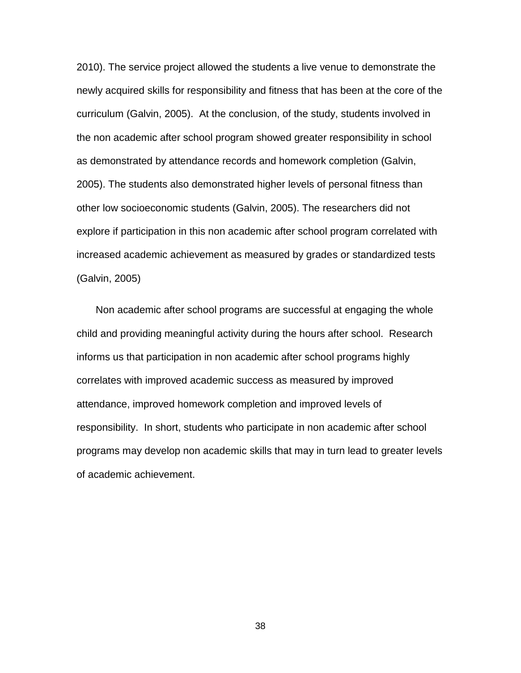2010). The service project allowed the students a live venue to demonstrate the newly acquired skills for responsibility and fitness that has been at the core of the curriculum (Galvin, 2005). At the conclusion, of the study, students involved in the non academic after school program showed greater responsibility in school as demonstrated by attendance records and homework completion (Galvin, 2005). The students also demonstrated higher levels of personal fitness than other low socioeconomic students (Galvin, 2005). The researchers did not explore if participation in this non academic after school program correlated with increased academic achievement as measured by grades or standardized tests (Galvin, 2005)

Non academic after school programs are successful at engaging the whole child and providing meaningful activity during the hours after school. Research informs us that participation in non academic after school programs highly correlates with improved academic success as measured by improved attendance, improved homework completion and improved levels of responsibility. In short, students who participate in non academic after school programs may develop non academic skills that may in turn lead to greater levels of academic achievement.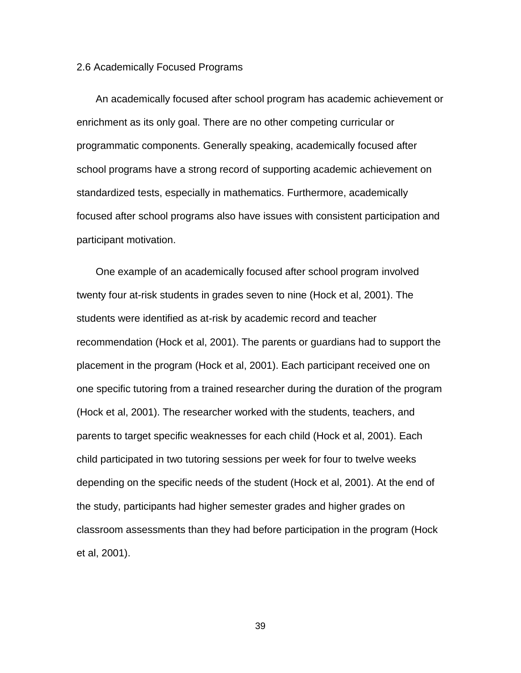## 2.6 Academically Focused Programs

An academically focused after school program has academic achievement or enrichment as its only goal. There are no other competing curricular or programmatic components. Generally speaking, academically focused after school programs have a strong record of supporting academic achievement on standardized tests, especially in mathematics. Furthermore, academically focused after school programs also have issues with consistent participation and participant motivation.

One example of an academically focused after school program involved twenty four at-risk students in grades seven to nine (Hock et al, 2001). The students were identified as at-risk by academic record and teacher recommendation (Hock et al, 2001). The parents or guardians had to support the placement in the program (Hock et al, 2001). Each participant received one on one specific tutoring from a trained researcher during the duration of the program (Hock et al, 2001). The researcher worked with the students, teachers, and parents to target specific weaknesses for each child (Hock et al, 2001). Each child participated in two tutoring sessions per week for four to twelve weeks depending on the specific needs of the student (Hock et al, 2001). At the end of the study, participants had higher semester grades and higher grades on classroom assessments than they had before participation in the program (Hock et al, 2001).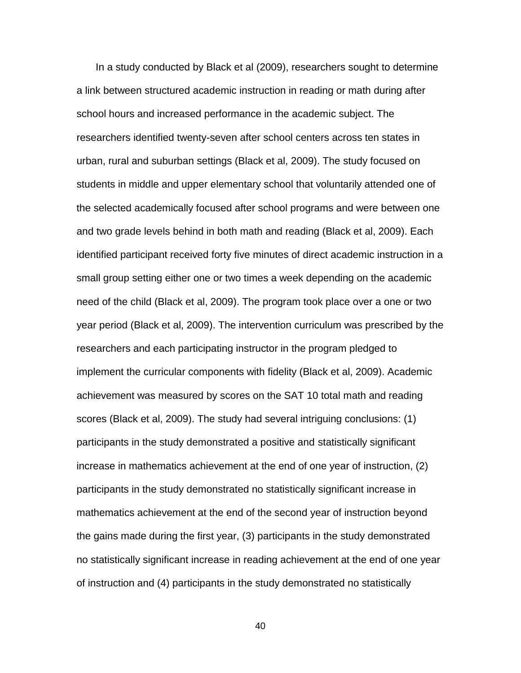In a study conducted by Black et al (2009), researchers sought to determine a link between structured academic instruction in reading or math during after school hours and increased performance in the academic subject. The researchers identified twenty-seven after school centers across ten states in urban, rural and suburban settings (Black et al, 2009). The study focused on students in middle and upper elementary school that voluntarily attended one of the selected academically focused after school programs and were between one and two grade levels behind in both math and reading (Black et al, 2009). Each identified participant received forty five minutes of direct academic instruction in a small group setting either one or two times a week depending on the academic need of the child (Black et al, 2009). The program took place over a one or two year period (Black et al, 2009). The intervention curriculum was prescribed by the researchers and each participating instructor in the program pledged to implement the curricular components with fidelity (Black et al, 2009). Academic achievement was measured by scores on the SAT 10 total math and reading scores (Black et al, 2009). The study had several intriguing conclusions: (1) participants in the study demonstrated a positive and statistically significant increase in mathematics achievement at the end of one year of instruction, (2) participants in the study demonstrated no statistically significant increase in mathematics achievement at the end of the second year of instruction beyond the gains made during the first year, (3) participants in the study demonstrated no statistically significant increase in reading achievement at the end of one year of instruction and (4) participants in the study demonstrated no statistically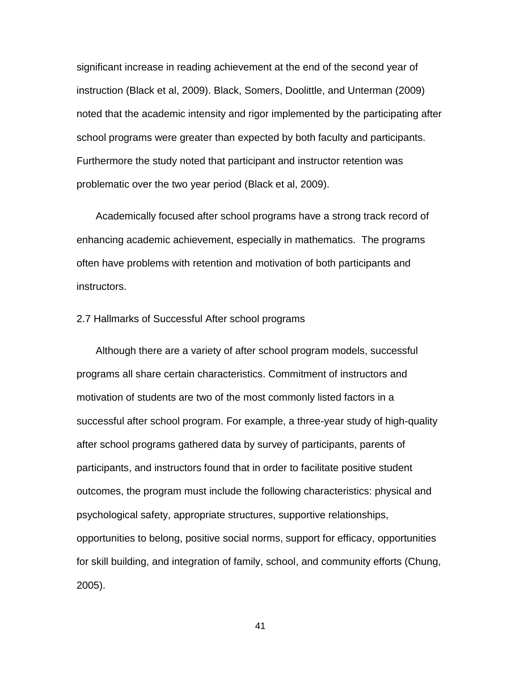significant increase in reading achievement at the end of the second year of instruction (Black et al, 2009). Black, Somers, Doolittle, and Unterman (2009) noted that the academic intensity and rigor implemented by the participating after school programs were greater than expected by both faculty and participants. Furthermore the study noted that participant and instructor retention was problematic over the two year period (Black et al, 2009).

Academically focused after school programs have a strong track record of enhancing academic achievement, especially in mathematics. The programs often have problems with retention and motivation of both participants and instructors.

2.7 Hallmarks of Successful After school programs

Although there are a variety of after school program models, successful programs all share certain characteristics. Commitment of instructors and motivation of students are two of the most commonly listed factors in a successful after school program. For example, a three-year study of high-quality after school programs gathered data by survey of participants, parents of participants, and instructors found that in order to facilitate positive student outcomes, the program must include the following characteristics: physical and psychological safety, appropriate structures, supportive relationships, opportunities to belong, positive social norms, support for efficacy, opportunities for skill building, and integration of family, school, and community efforts (Chung, 2005).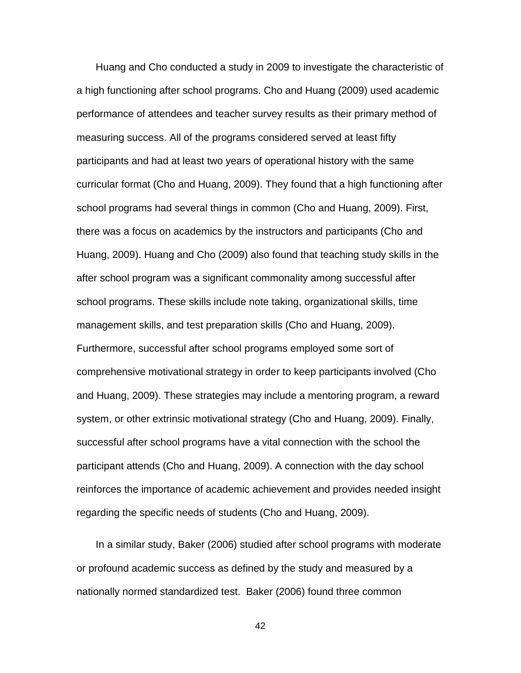Huang and Cho conducted a study in 2009 to investigate the characteristic of a high functioning after school programs. Cho and Huang (2009) used academic performance of attendees and teacher survey results as their primary method of measuring success. All of the programs considered served at least fifty participants and had at least two years of operational history with the same curricular format (Cho and Huang, 2009). They found that a high functioning after school programs had several things in common (Cho and Huang, 2009). First, there was a focus on academics by the instructors and participants (Cho and Huang, 2009). Huang and Cho (2009) also found that teaching study skills in the after school program was a significant commonality among successful after school programs. These skills include note taking, organizational skills, time management skills, and test preparation skills (Cho and Huang, 2009). Furthermore, successful after school programs employed some sort of comprehensive motivational strategy in order to keep participants involved (Cho and Huang, 2009). These strategies may include a mentoring program, a reward system, or other extrinsic motivational strategy (Cho and Huang, 2009). Finally, successful after school programs have a vital connection with the school the participant attends (Cho and Huang, 2009). A connection with the day school reinforces the importance of academic achievement and provides needed insight regarding the specific needs of students (Cho and Huang, 2009).

In a similar study, Baker (2006) studied after school programs with moderate or profound academic success as defined by the study and measured by a nationally normed standardized test. Baker (2006) found three common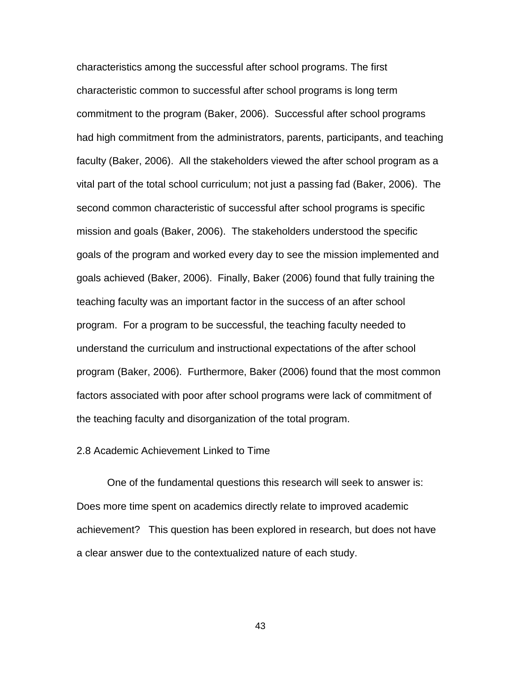characteristics among the successful after school programs. The first characteristic common to successful after school programs is long term commitment to the program (Baker, 2006). Successful after school programs had high commitment from the administrators, parents, participants, and teaching faculty (Baker, 2006). All the stakeholders viewed the after school program as a vital part of the total school curriculum; not just a passing fad (Baker, 2006). The second common characteristic of successful after school programs is specific mission and goals (Baker, 2006). The stakeholders understood the specific goals of the program and worked every day to see the mission implemented and goals achieved (Baker, 2006). Finally, Baker (2006) found that fully training the teaching faculty was an important factor in the success of an after school program. For a program to be successful, the teaching faculty needed to understand the curriculum and instructional expectations of the after school program (Baker, 2006). Furthermore, Baker (2006) found that the most common factors associated with poor after school programs were lack of commitment of the teaching faculty and disorganization of the total program.

## 2.8 Academic Achievement Linked to Time

One of the fundamental questions this research will seek to answer is: Does more time spent on academics directly relate to improved academic achievement? This question has been explored in research, but does not have a clear answer due to the contextualized nature of each study.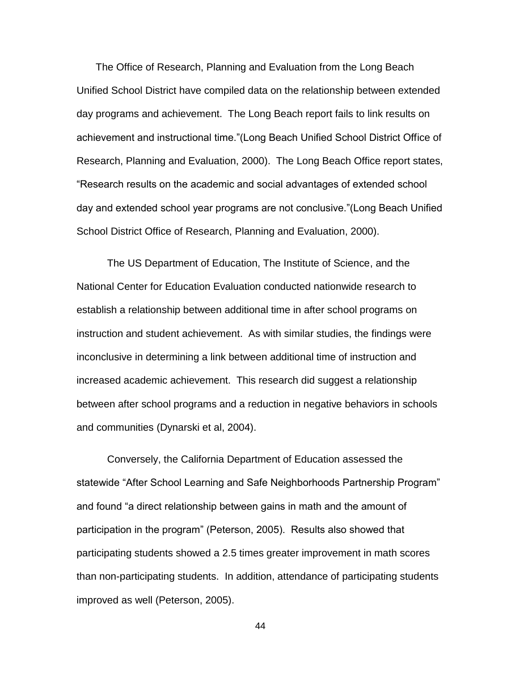The Office of Research, Planning and Evaluation from the Long Beach Unified School District have compiled data on the relationship between extended day programs and achievement. The Long Beach report fails to link results on achievement and instructional time."(Long Beach Unified School District Office of Research, Planning and Evaluation, 2000). The Long Beach Office report states, "Research results on the academic and social advantages of extended school day and extended school year programs are not conclusive."(Long Beach Unified School District Office of Research, Planning and Evaluation, 2000).

The US Department of Education, The Institute of Science, and the National Center for Education Evaluation conducted nationwide research to establish a relationship between additional time in after school programs on instruction and student achievement. As with similar studies, the findings were inconclusive in determining a link between additional time of instruction and increased academic achievement. This research did suggest a relationship between after school programs and a reduction in negative behaviors in schools and communities (Dynarski et al, 2004).

Conversely, the California Department of Education assessed the statewide "After School Learning and Safe Neighborhoods Partnership Program" and found "a direct relationship between gains in math and the amount of participation in the program" (Peterson, 2005). Results also showed that participating students showed a 2.5 times greater improvement in math scores than non-participating students. In addition, attendance of participating students improved as well (Peterson, 2005).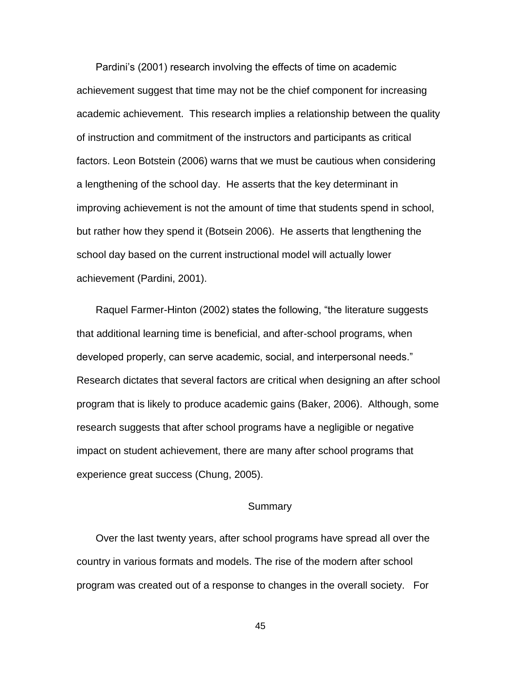Pardini's (2001) research involving the effects of time on academic achievement suggest that time may not be the chief component for increasing academic achievement. This research implies a relationship between the quality of instruction and commitment of the instructors and participants as critical factors. Leon Botstein (2006) warns that we must be cautious when considering a lengthening of the school day. He asserts that the key determinant in improving achievement is not the amount of time that students spend in school, but rather how they spend it (Botsein 2006). He asserts that lengthening the school day based on the current instructional model will actually lower achievement (Pardini, 2001).

Raquel Farmer-Hinton (2002) states the following, "the literature suggests that additional learning time is beneficial, and after-school programs, when developed properly, can serve academic, social, and interpersonal needs." Research dictates that several factors are critical when designing an after school program that is likely to produce academic gains (Baker, 2006). Although, some research suggests that after school programs have a negligible or negative impact on student achievement, there are many after school programs that experience great success (Chung, 2005).

# **Summary**

Over the last twenty years, after school programs have spread all over the country in various formats and models. The rise of the modern after school program was created out of a response to changes in the overall society. For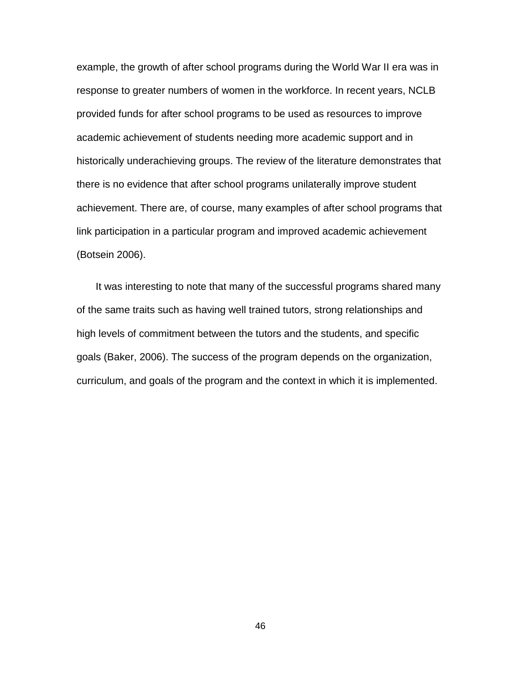example, the growth of after school programs during the World War II era was in response to greater numbers of women in the workforce. In recent years, NCLB provided funds for after school programs to be used as resources to improve academic achievement of students needing more academic support and in historically underachieving groups. The review of the literature demonstrates that there is no evidence that after school programs unilaterally improve student achievement. There are, of course, many examples of after school programs that link participation in a particular program and improved academic achievement (Botsein 2006).

It was interesting to note that many of the successful programs shared many of the same traits such as having well trained tutors, strong relationships and high levels of commitment between the tutors and the students, and specific goals (Baker, 2006). The success of the program depends on the organization, curriculum, and goals of the program and the context in which it is implemented.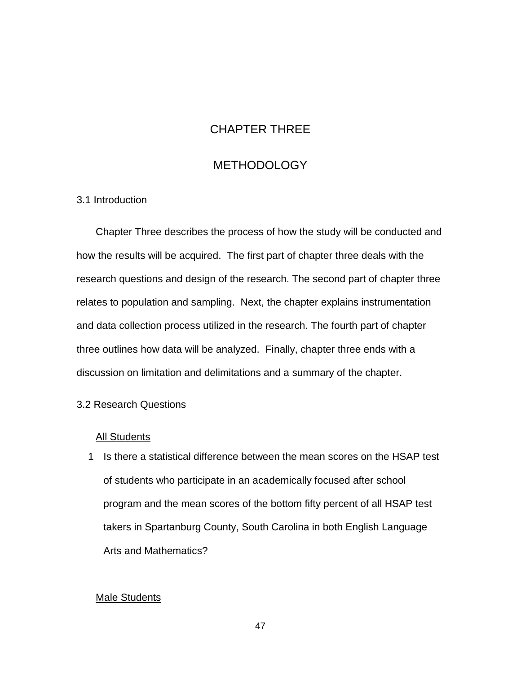# CHAPTER THREE

# **METHODOLOGY**

# 3.1 Introduction

Chapter Three describes the process of how the study will be conducted and how the results will be acquired. The first part of chapter three deals with the research questions and design of the research. The second part of chapter three relates to population and sampling. Next, the chapter explains instrumentation and data collection process utilized in the research. The fourth part of chapter three outlines how data will be analyzed. Finally, chapter three ends with a discussion on limitation and delimitations and a summary of the chapter.

# 3.2 Research Questions

# All Students

1 Is there a statistical difference between the mean scores on the HSAP test of students who participate in an academically focused after school program and the mean scores of the bottom fifty percent of all HSAP test takers in Spartanburg County, South Carolina in both English Language Arts and Mathematics?

# Male Students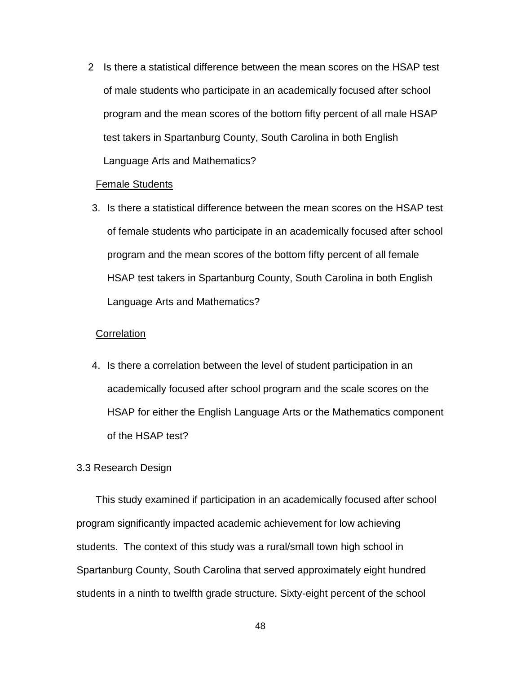2 Is there a statistical difference between the mean scores on the HSAP test of male students who participate in an academically focused after school program and the mean scores of the bottom fifty percent of all male HSAP test takers in Spartanburg County, South Carolina in both English Language Arts and Mathematics?

# Female Students

3. Is there a statistical difference between the mean scores on the HSAP test of female students who participate in an academically focused after school program and the mean scores of the bottom fifty percent of all female HSAP test takers in Spartanburg County, South Carolina in both English Language Arts and Mathematics?

# **Correlation**

4. Is there a correlation between the level of student participation in an academically focused after school program and the scale scores on the HSAP for either the English Language Arts or the Mathematics component of the HSAP test?

# 3.3 Research Design

This study examined if participation in an academically focused after school program significantly impacted academic achievement for low achieving students. The context of this study was a rural/small town high school in Spartanburg County, South Carolina that served approximately eight hundred students in a ninth to twelfth grade structure. Sixty-eight percent of the school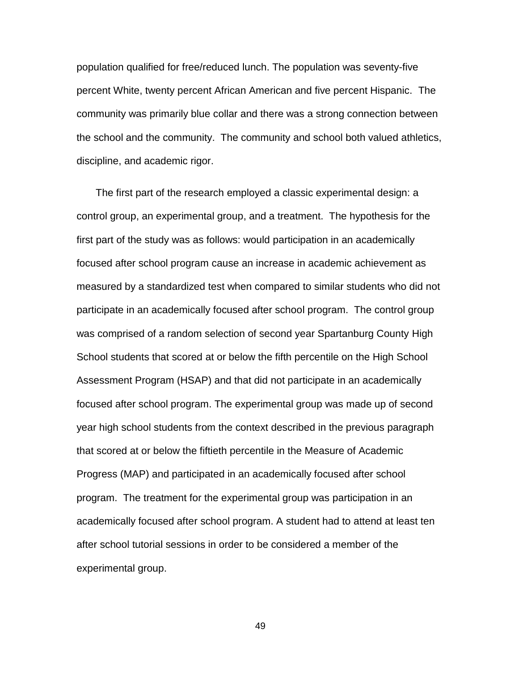population qualified for free/reduced lunch. The population was seventy-five percent White, twenty percent African American and five percent Hispanic. The community was primarily blue collar and there was a strong connection between the school and the community. The community and school both valued athletics, discipline, and academic rigor.

The first part of the research employed a classic experimental design: a control group, an experimental group, and a treatment. The hypothesis for the first part of the study was as follows: would participation in an academically focused after school program cause an increase in academic achievement as measured by a standardized test when compared to similar students who did not participate in an academically focused after school program. The control group was comprised of a random selection of second year Spartanburg County High School students that scored at or below the fifth percentile on the High School Assessment Program (HSAP) and that did not participate in an academically focused after school program. The experimental group was made up of second year high school students from the context described in the previous paragraph that scored at or below the fiftieth percentile in the Measure of Academic Progress (MAP) and participated in an academically focused after school program. The treatment for the experimental group was participation in an academically focused after school program. A student had to attend at least ten after school tutorial sessions in order to be considered a member of the experimental group.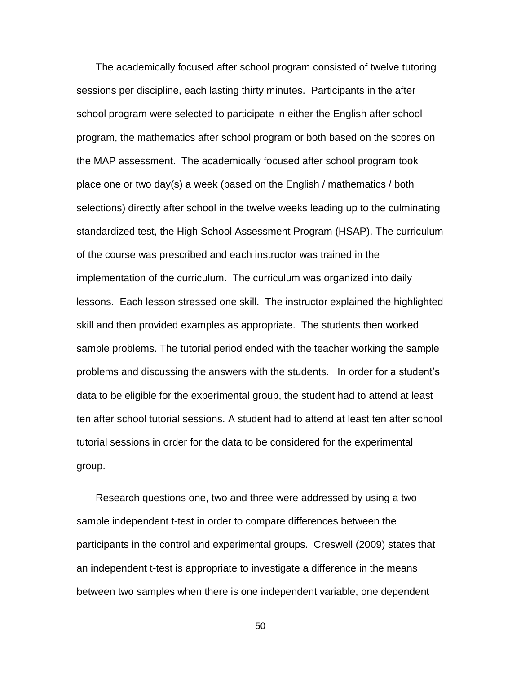The academically focused after school program consisted of twelve tutoring sessions per discipline, each lasting thirty minutes. Participants in the after school program were selected to participate in either the English after school program, the mathematics after school program or both based on the scores on the MAP assessment. The academically focused after school program took place one or two day(s) a week (based on the English / mathematics / both selections) directly after school in the twelve weeks leading up to the culminating standardized test, the High School Assessment Program (HSAP). The curriculum of the course was prescribed and each instructor was trained in the implementation of the curriculum. The curriculum was organized into daily lessons. Each lesson stressed one skill. The instructor explained the highlighted skill and then provided examples as appropriate. The students then worked sample problems. The tutorial period ended with the teacher working the sample problems and discussing the answers with the students. In order for a student's data to be eligible for the experimental group, the student had to attend at least ten after school tutorial sessions. A student had to attend at least ten after school tutorial sessions in order for the data to be considered for the experimental group.

Research questions one, two and three were addressed by using a two sample independent t-test in order to compare differences between the participants in the control and experimental groups. Creswell (2009) states that an independent t-test is appropriate to investigate a difference in the means between two samples when there is one independent variable, one dependent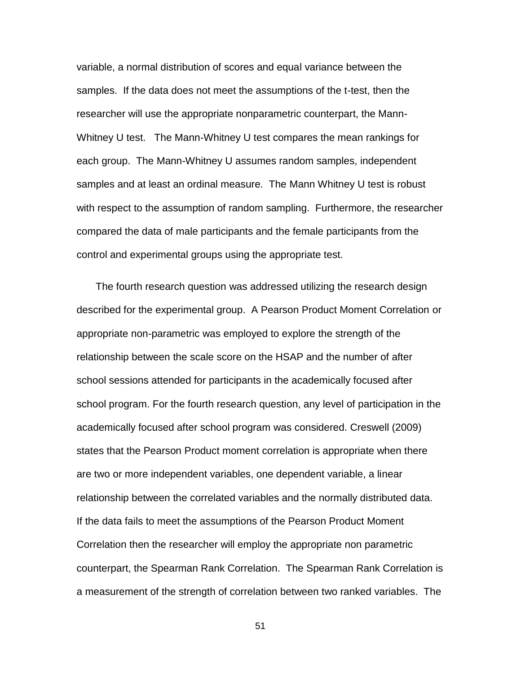variable, a normal distribution of scores and equal variance between the samples. If the data does not meet the assumptions of the t-test, then the researcher will use the appropriate nonparametric counterpart, the Mann-Whitney U test. The Mann-Whitney U test compares the mean rankings for each group. The Mann-Whitney U assumes random samples, independent samples and at least an ordinal measure. The Mann Whitney U test is robust with respect to the assumption of random sampling. Furthermore, the researcher compared the data of male participants and the female participants from the control and experimental groups using the appropriate test.

The fourth research question was addressed utilizing the research design described for the experimental group. A Pearson Product Moment Correlation or appropriate non-parametric was employed to explore the strength of the relationship between the scale score on the HSAP and the number of after school sessions attended for participants in the academically focused after school program. For the fourth research question, any level of participation in the academically focused after school program was considered. Creswell (2009) states that the Pearson Product moment correlation is appropriate when there are two or more independent variables, one dependent variable, a linear relationship between the correlated variables and the normally distributed data. If the data fails to meet the assumptions of the Pearson Product Moment Correlation then the researcher will employ the appropriate non parametric counterpart, the Spearman Rank Correlation. The Spearman Rank Correlation is a measurement of the strength of correlation between two ranked variables. The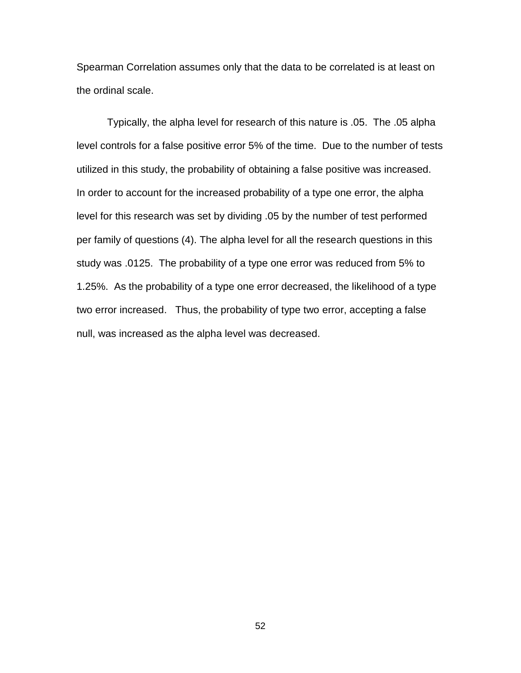Spearman Correlation assumes only that the data to be correlated is at least on the ordinal scale.

Typically, the alpha level for research of this nature is .05. The .05 alpha level controls for a false positive error 5% of the time. Due to the number of tests utilized in this study, the probability of obtaining a false positive was increased. In order to account for the increased probability of a type one error, the alpha level for this research was set by dividing .05 by the number of test performed per family of questions (4). The alpha level for all the research questions in this study was .0125. The probability of a type one error was reduced from 5% to 1.25%. As the probability of a type one error decreased, the likelihood of a type two error increased. Thus, the probability of type two error, accepting a false null, was increased as the alpha level was decreased.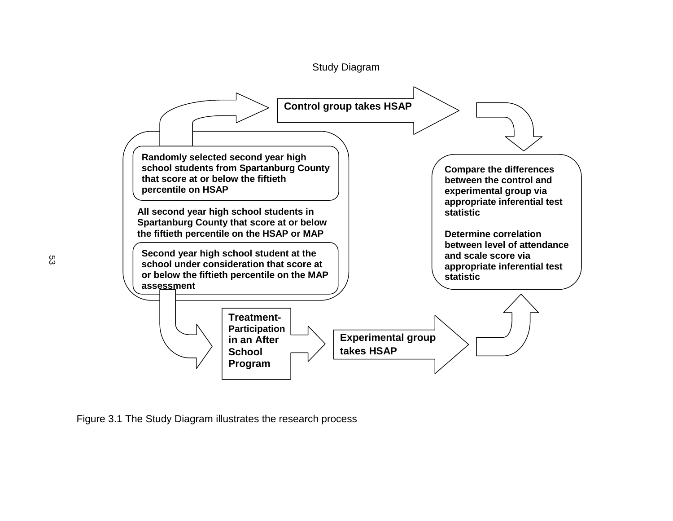

Figure 3.1 The Study Diagram illustrates the research process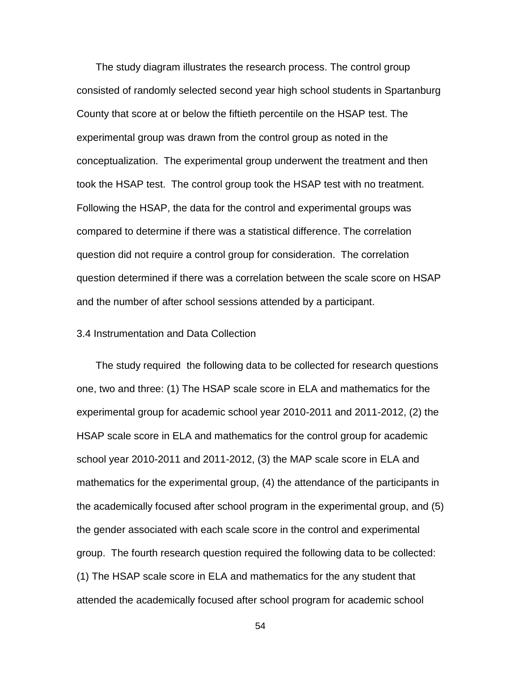The study diagram illustrates the research process. The control group consisted of randomly selected second year high school students in Spartanburg County that score at or below the fiftieth percentile on the HSAP test. The experimental group was drawn from the control group as noted in the conceptualization. The experimental group underwent the treatment and then took the HSAP test. The control group took the HSAP test with no treatment. Following the HSAP, the data for the control and experimental groups was compared to determine if there was a statistical difference. The correlation question did not require a control group for consideration. The correlation question determined if there was a correlation between the scale score on HSAP and the number of after school sessions attended by a participant.

## 3.4 Instrumentation and Data Collection

The study required the following data to be collected for research questions one, two and three: (1) The HSAP scale score in ELA and mathematics for the experimental group for academic school year 2010-2011 and 2011-2012, (2) the HSAP scale score in ELA and mathematics for the control group for academic school year 2010-2011 and 2011-2012, (3) the MAP scale score in ELA and mathematics for the experimental group, (4) the attendance of the participants in the academically focused after school program in the experimental group, and (5) the gender associated with each scale score in the control and experimental group. The fourth research question required the following data to be collected: (1) The HSAP scale score in ELA and mathematics for the any student that attended the academically focused after school program for academic school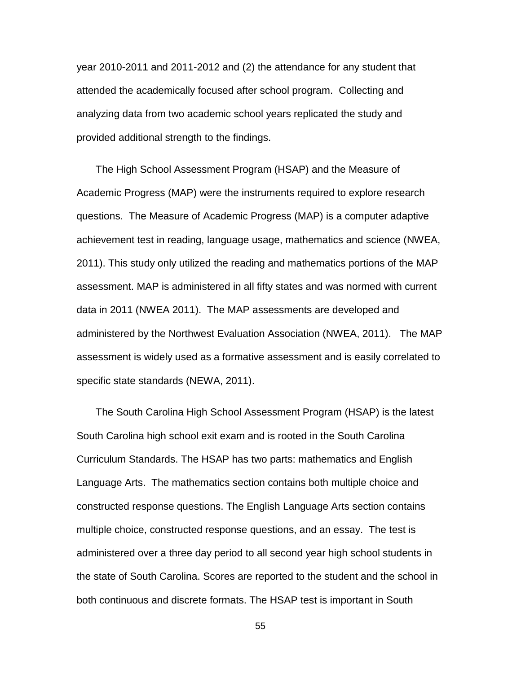year 2010-2011 and 2011-2012 and (2) the attendance for any student that attended the academically focused after school program. Collecting and analyzing data from two academic school years replicated the study and provided additional strength to the findings.

The High School Assessment Program (HSAP) and the Measure of Academic Progress (MAP) were the instruments required to explore research questions. The Measure of Academic Progress (MAP) is a computer adaptive achievement test in reading, language usage, mathematics and science (NWEA, 2011). This study only utilized the reading and mathematics portions of the MAP assessment. MAP is administered in all fifty states and was normed with current data in 2011 (NWEA 2011). The MAP assessments are developed and administered by the Northwest Evaluation Association (NWEA, 2011). The MAP assessment is widely used as a formative assessment and is easily correlated to specific state standards (NEWA, 2011).

The South Carolina High School Assessment Program (HSAP) is the latest South Carolina high school exit exam and is rooted in the South Carolina Curriculum Standards. The HSAP has two parts: mathematics and English Language Arts. The mathematics section contains both multiple choice and constructed response questions. The English Language Arts section contains multiple choice, constructed response questions, and an essay. The test is administered over a three day period to all second year high school students in the state of South Carolina. Scores are reported to the student and the school in both continuous and discrete formats. The HSAP test is important in South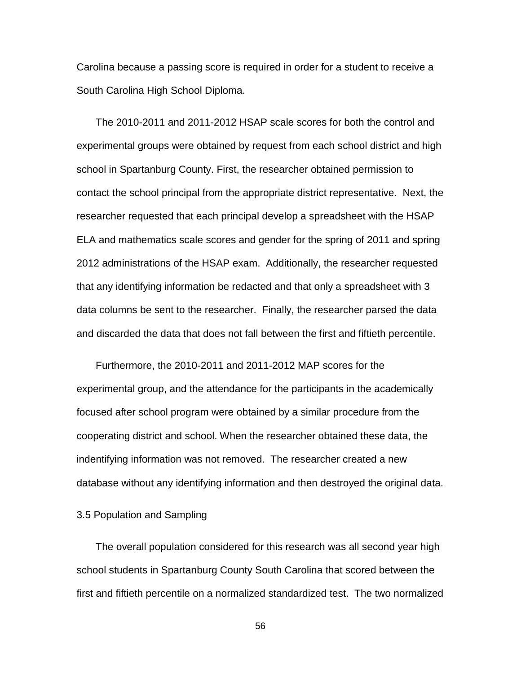Carolina because a passing score is required in order for a student to receive a South Carolina High School Diploma.

The 2010-2011 and 2011-2012 HSAP scale scores for both the control and experimental groups were obtained by request from each school district and high school in Spartanburg County. First, the researcher obtained permission to contact the school principal from the appropriate district representative. Next, the researcher requested that each principal develop a spreadsheet with the HSAP ELA and mathematics scale scores and gender for the spring of 2011 and spring 2012 administrations of the HSAP exam. Additionally, the researcher requested that any identifying information be redacted and that only a spreadsheet with 3 data columns be sent to the researcher. Finally, the researcher parsed the data and discarded the data that does not fall between the first and fiftieth percentile.

Furthermore, the 2010-2011 and 2011-2012 MAP scores for the experimental group, and the attendance for the participants in the academically focused after school program were obtained by a similar procedure from the cooperating district and school. When the researcher obtained these data, the indentifying information was not removed. The researcher created a new database without any identifying information and then destroyed the original data.

3.5 Population and Sampling

The overall population considered for this research was all second year high school students in Spartanburg County South Carolina that scored between the first and fiftieth percentile on a normalized standardized test. The two normalized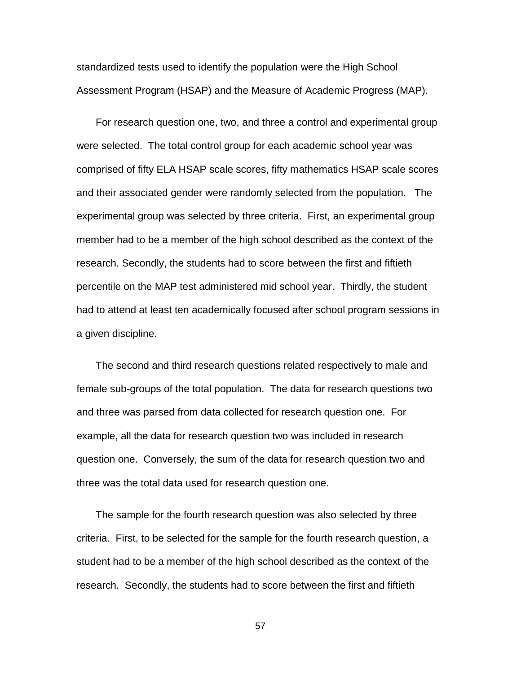standardized tests used to identify the population were the High School Assessment Program (HSAP) and the Measure of Academic Progress (MAP).

For research question one, two, and three a control and experimental group were selected. The total control group for each academic school year was comprised of fifty ELA HSAP scale scores, fifty mathematics HSAP scale scores and their associated gender were randomly selected from the population. The experimental group was selected by three criteria. First, an experimental group member had to be a member of the high school described as the context of the research. Secondly, the students had to score between the first and fiftieth percentile on the MAP test administered mid school year. Thirdly, the student had to attend at least ten academically focused after school program sessions in a given discipline.

The second and third research questions related respectively to male and female sub-groups of the total population. The data for research questions two and three was parsed from data collected for research question one. For example, all the data for research question two was included in research question one. Conversely, the sum of the data for research question two and three was the total data used for research question one.

The sample for the fourth research question was also selected by three criteria. First, to be selected for the sample for the fourth research question, a student had to be a member of the high school described as the context of the research. Secondly, the students had to score between the first and fiftieth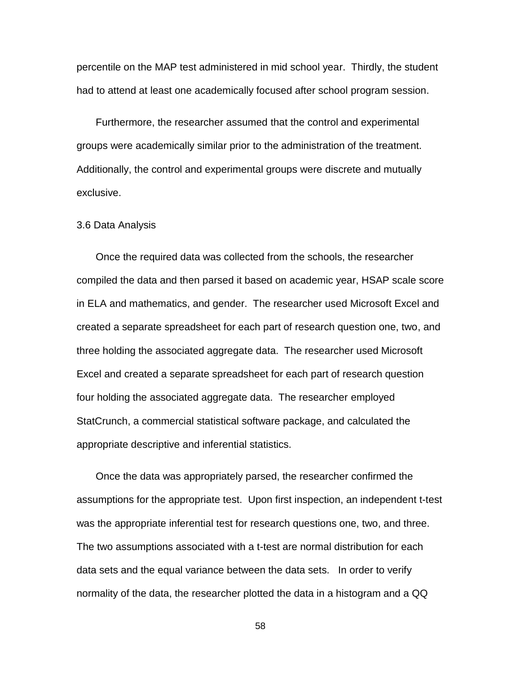percentile on the MAP test administered in mid school year. Thirdly, the student had to attend at least one academically focused after school program session.

Furthermore, the researcher assumed that the control and experimental groups were academically similar prior to the administration of the treatment. Additionally, the control and experimental groups were discrete and mutually exclusive.

#### 3.6 Data Analysis

Once the required data was collected from the schools, the researcher compiled the data and then parsed it based on academic year, HSAP scale score in ELA and mathematics, and gender. The researcher used Microsoft Excel and created a separate spreadsheet for each part of research question one, two, and three holding the associated aggregate data. The researcher used Microsoft Excel and created a separate spreadsheet for each part of research question four holding the associated aggregate data. The researcher employed StatCrunch, a commercial statistical software package, and calculated the appropriate descriptive and inferential statistics.

Once the data was appropriately parsed, the researcher confirmed the assumptions for the appropriate test. Upon first inspection, an independent t-test was the appropriate inferential test for research questions one, two, and three. The two assumptions associated with a t-test are normal distribution for each data sets and the equal variance between the data sets. In order to verify normality of the data, the researcher plotted the data in a histogram and a QQ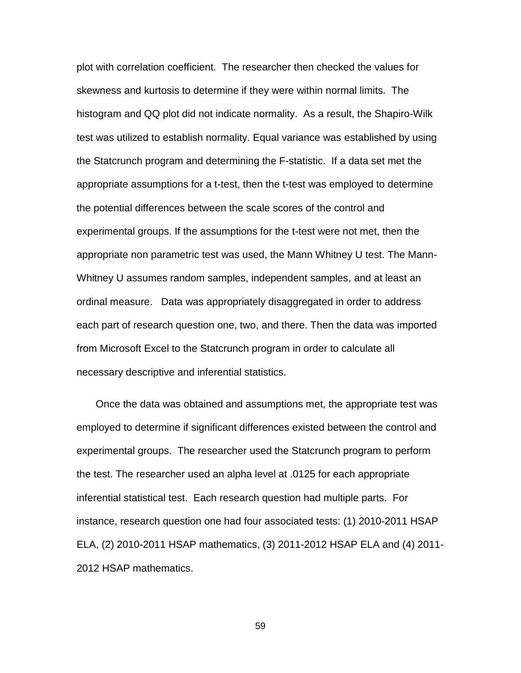plot with correlation coefficient. The researcher then checked the values for skewness and kurtosis to determine if they were within normal limits. The histogram and QQ plot did not indicate normality. As a result, the Shapiro-Wilk test was utilized to establish normality. Equal variance was established by using the Statcrunch program and determining the F-statistic. If a data set met the appropriate assumptions for a t-test, then the t-test was employed to determine the potential differences between the scale scores of the control and experimental groups. If the assumptions for the t-test were not met, then the appropriate non parametric test was used, the Mann Whitney U test. The Mann-Whitney U assumes random samples, independent samples, and at least an ordinal measure. Data was appropriately disaggregated in order to address each part of research question one, two, and there. Then the data was imported from Microsoft Excel to the Statcrunch program in order to calculate all necessary descriptive and inferential statistics.

Once the data was obtained and assumptions met, the appropriate test was employed to determine if significant differences existed between the control and experimental groups. The researcher used the Statcrunch program to perform the test. The researcher used an alpha level at .0125 for each appropriate inferential statistical test. Each research question had multiple parts. For instance, research question one had four associated tests: (1) 2010-2011 HSAP ELA, (2) 2010-2011 HSAP mathematics, (3) 2011-2012 HSAP ELA and (4) 2011- 2012 HSAP mathematics.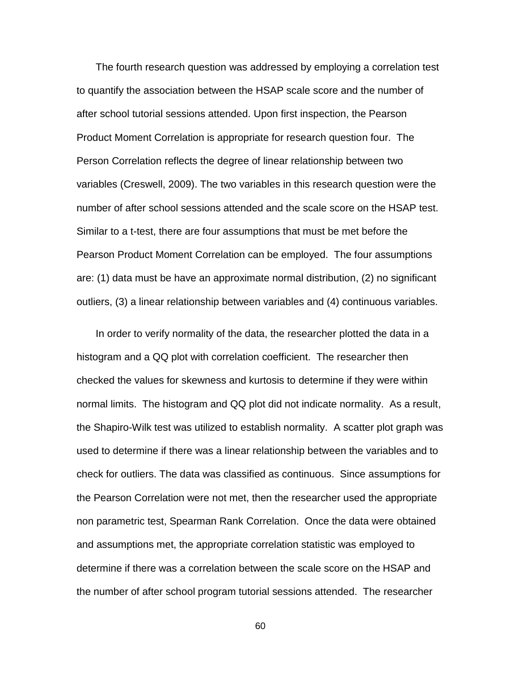The fourth research question was addressed by employing a correlation test to quantify the association between the HSAP scale score and the number of after school tutorial sessions attended. Upon first inspection, the Pearson Product Moment Correlation is appropriate for research question four. The Person Correlation reflects the degree of linear relationship between two variables (Creswell, 2009). The two variables in this research question were the number of after school sessions attended and the scale score on the HSAP test. Similar to a t-test, there are four assumptions that must be met before the Pearson Product Moment Correlation can be employed. The four assumptions are: (1) data must be have an approximate normal distribution, (2) no significant outliers, (3) a linear relationship between variables and (4) continuous variables.

In order to verify normality of the data, the researcher plotted the data in a histogram and a QQ plot with correlation coefficient. The researcher then checked the values for skewness and kurtosis to determine if they were within normal limits. The histogram and QQ plot did not indicate normality. As a result, the Shapiro-Wilk test was utilized to establish normality. A scatter plot graph was used to determine if there was a linear relationship between the variables and to check for outliers. The data was classified as continuous. Since assumptions for the Pearson Correlation were not met, then the researcher used the appropriate non parametric test, Spearman Rank Correlation. Once the data were obtained and assumptions met, the appropriate correlation statistic was employed to determine if there was a correlation between the scale score on the HSAP and the number of after school program tutorial sessions attended. The researcher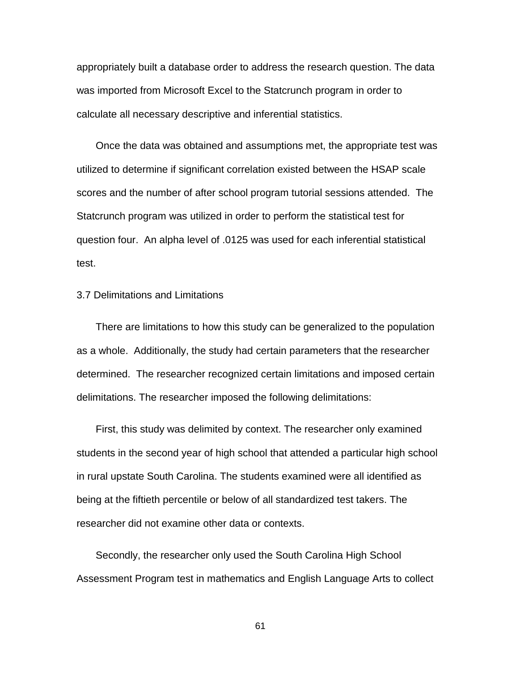appropriately built a database order to address the research question. The data was imported from Microsoft Excel to the Statcrunch program in order to calculate all necessary descriptive and inferential statistics.

Once the data was obtained and assumptions met, the appropriate test was utilized to determine if significant correlation existed between the HSAP scale scores and the number of after school program tutorial sessions attended. The Statcrunch program was utilized in order to perform the statistical test for question four. An alpha level of .0125 was used for each inferential statistical test.

#### 3.7 Delimitations and Limitations

There are limitations to how this study can be generalized to the population as a whole. Additionally, the study had certain parameters that the researcher determined. The researcher recognized certain limitations and imposed certain delimitations. The researcher imposed the following delimitations:

First, this study was delimited by context. The researcher only examined students in the second year of high school that attended a particular high school in rural upstate South Carolina. The students examined were all identified as being at the fiftieth percentile or below of all standardized test takers. The researcher did not examine other data or contexts.

Secondly, the researcher only used the South Carolina High School Assessment Program test in mathematics and English Language Arts to collect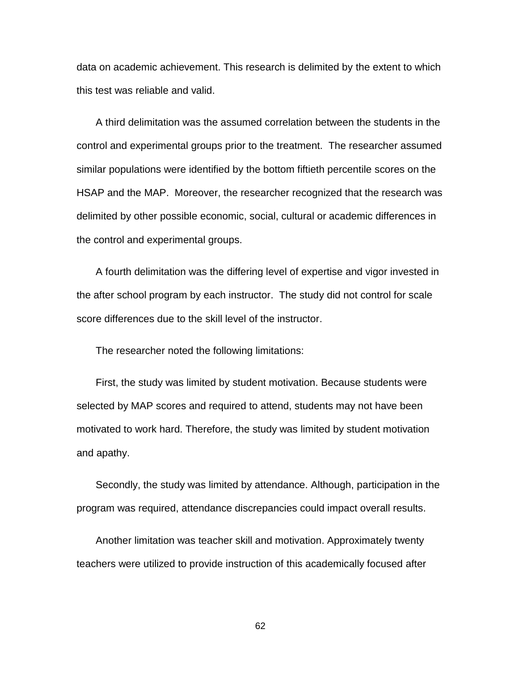data on academic achievement. This research is delimited by the extent to which this test was reliable and valid.

A third delimitation was the assumed correlation between the students in the control and experimental groups prior to the treatment. The researcher assumed similar populations were identified by the bottom fiftieth percentile scores on the HSAP and the MAP. Moreover, the researcher recognized that the research was delimited by other possible economic, social, cultural or academic differences in the control and experimental groups.

A fourth delimitation was the differing level of expertise and vigor invested in the after school program by each instructor. The study did not control for scale score differences due to the skill level of the instructor.

The researcher noted the following limitations:

First, the study was limited by student motivation. Because students were selected by MAP scores and required to attend, students may not have been motivated to work hard. Therefore, the study was limited by student motivation and apathy.

Secondly, the study was limited by attendance. Although, participation in the program was required, attendance discrepancies could impact overall results.

Another limitation was teacher skill and motivation. Approximately twenty teachers were utilized to provide instruction of this academically focused after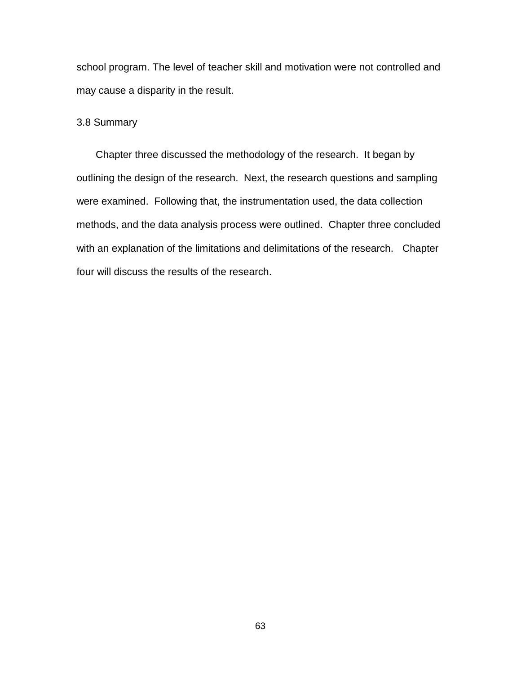school program. The level of teacher skill and motivation were not controlled and may cause a disparity in the result.

#### 3.8 Summary

Chapter three discussed the methodology of the research. It began by outlining the design of the research. Next, the research questions and sampling were examined. Following that, the instrumentation used, the data collection methods, and the data analysis process were outlined. Chapter three concluded with an explanation of the limitations and delimitations of the research. Chapter four will discuss the results of the research.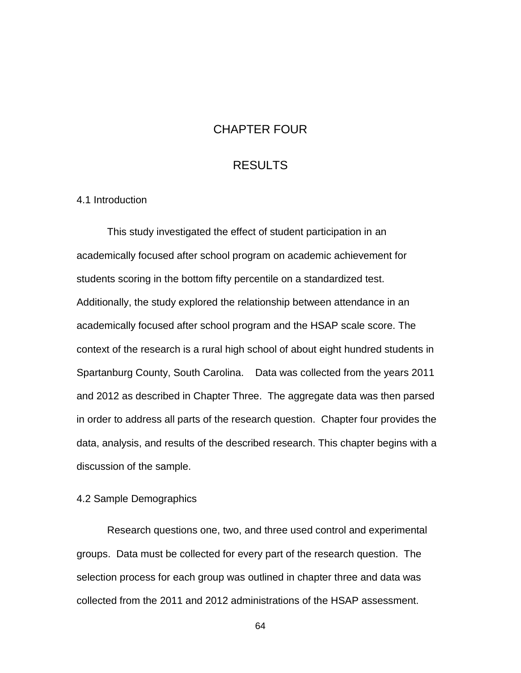### CHAPTER FOUR

## RESULTS

#### 4.1 Introduction

This study investigated the effect of student participation in an academically focused after school program on academic achievement for students scoring in the bottom fifty percentile on a standardized test. Additionally, the study explored the relationship between attendance in an academically focused after school program and the HSAP scale score. The context of the research is a rural high school of about eight hundred students in Spartanburg County, South Carolina. Data was collected from the years 2011 and 2012 as described in Chapter Three. The aggregate data was then parsed in order to address all parts of the research question. Chapter four provides the data, analysis, and results of the described research. This chapter begins with a discussion of the sample.

#### 4.2 Sample Demographics

Research questions one, two, and three used control and experimental groups. Data must be collected for every part of the research question. The selection process for each group was outlined in chapter three and data was collected from the 2011 and 2012 administrations of the HSAP assessment.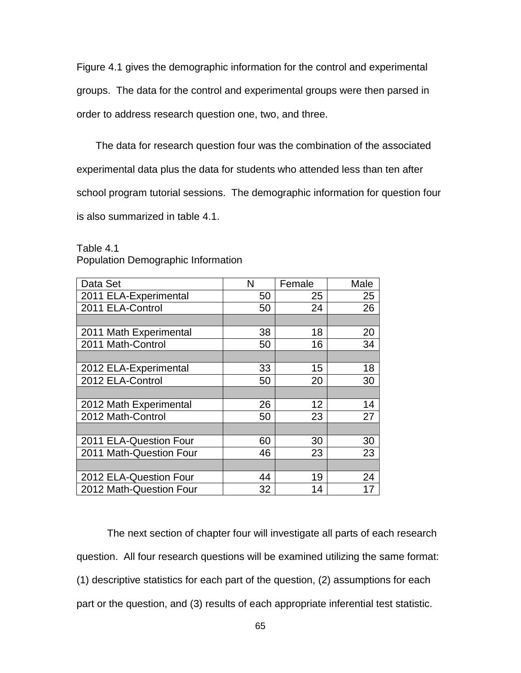Figure 4.1 gives the demographic information for the control and experimental groups. The data for the control and experimental groups were then parsed in order to address research question one, two, and three.

The data for research question four was the combination of the associated experimental data plus the data for students who attended less than ten after school program tutorial sessions. The demographic information for question four is also summarized in table 4.1.

| Data Set                | N  | Female | Male |
|-------------------------|----|--------|------|
| 2011 ELA-Experimental   | 50 | 25     | 25   |
| 2011 ELA-Control        | 50 | 24     | 26   |
|                         |    |        |      |
| 2011 Math Experimental  | 38 | 18     | 20   |
| 2011 Math-Control       | 50 | 16     | 34   |
|                         |    |        |      |
| 2012 ELA-Experimental   | 33 | 15     | 18   |
| 2012 ELA-Control        | 50 | 20     | 30   |
|                         |    |        |      |
| 2012 Math Experimental  | 26 | 12     | 14   |
| 2012 Math-Control       | 50 | 23     | 27   |
|                         |    |        |      |
| 2011 ELA-Question Four  | 60 | 30     | 30   |
| 2011 Math-Question Four | 46 | 23     | 23   |
|                         |    |        |      |
| 2012 ELA-Question Four  | 44 | 19     | 24   |
| 2012 Math-Question Four | 32 | 14     | 17   |

Table 4.1 Population Demographic Information

The next section of chapter four will investigate all parts of each research question. All four research questions will be examined utilizing the same format: (1) descriptive statistics for each part of the question, (2) assumptions for each part or the question, and (3) results of each appropriate inferential test statistic.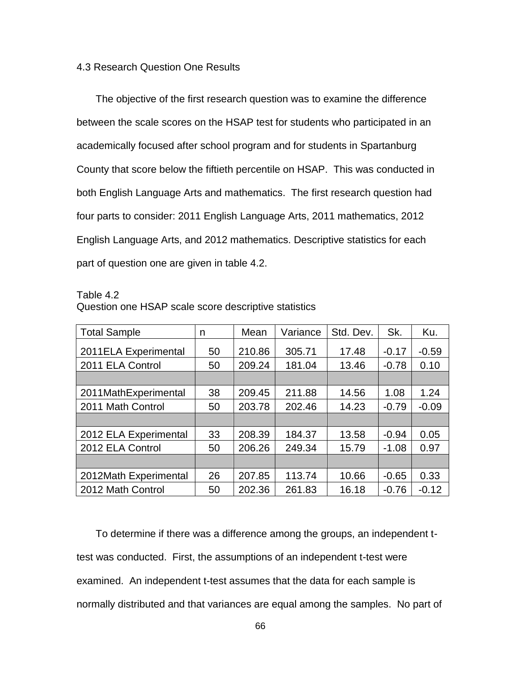#### 4.3 Research Question One Results

The objective of the first research question was to examine the difference between the scale scores on the HSAP test for students who participated in an academically focused after school program and for students in Spartanburg County that score below the fiftieth percentile on HSAP. This was conducted in both English Language Arts and mathematics. The first research question had four parts to consider: 2011 English Language Arts, 2011 mathematics, 2012 English Language Arts, and 2012 mathematics. Descriptive statistics for each part of question one are given in table 4.2.

Table 4.2

| <b>Total Sample</b>   | n  | Mean   | Variance | Std. Dev. | Sk.     | Ku.     |
|-----------------------|----|--------|----------|-----------|---------|---------|
| 2011ELA Experimental  | 50 | 210.86 | 305.71   | 17.48     | $-0.17$ | $-0.59$ |
|                       |    |        |          |           |         |         |
| 2011 ELA Control      | 50 | 209.24 | 181.04   | 13.46     | $-0.78$ | 0.10    |
|                       |    |        |          |           |         |         |
| 2011MathExperimental  | 38 | 209.45 | 211.88   | 14.56     | 1.08    | 1.24    |
| 2011 Math Control     | 50 | 203.78 | 202.46   | 14.23     | $-0.79$ | $-0.09$ |
|                       |    |        |          |           |         |         |
| 2012 ELA Experimental | 33 | 208.39 | 184.37   | 13.58     | $-0.94$ | 0.05    |
| 2012 ELA Control      | 50 | 206.26 | 249.34   | 15.79     | $-1.08$ | 0.97    |
|                       |    |        |          |           |         |         |
| 2012Math Experimental | 26 | 207.85 | 113.74   | 10.66     | $-0.65$ | 0.33    |
| 2012 Math Control     | 50 | 202.36 | 261.83   | 16.18     | $-0.76$ | $-0.12$ |

Question one HSAP scale score descriptive statistics

To determine if there was a difference among the groups, an independent ttest was conducted. First, the assumptions of an independent t-test were examined. An independent t-test assumes that the data for each sample is normally distributed and that variances are equal among the samples. No part of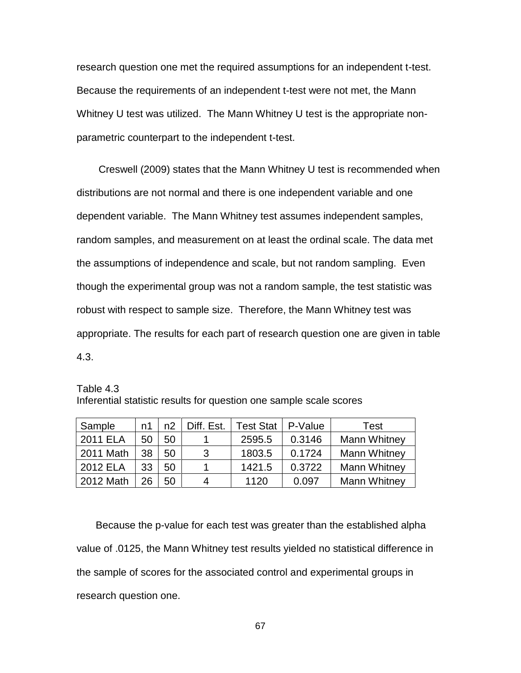research question one met the required assumptions for an independent t-test. Because the requirements of an independent t-test were not met, the Mann Whitney U test was utilized. The Mann Whitney U test is the appropriate nonparametric counterpart to the independent t-test.

Creswell (2009) states that the Mann Whitney U test is recommended when distributions are not normal and there is one independent variable and one dependent variable. The Mann Whitney test assumes independent samples, random samples, and measurement on at least the ordinal scale. The data met the assumptions of independence and scale, but not random sampling. Even though the experimental group was not a random sample, the test statistic was robust with respect to sample size. Therefore, the Mann Whitney test was appropriate. The results for each part of research question one are given in table 4.3.

Table 4.3 Inferential statistic results for question one sample scale scores

| Sample    | n1 | n2 | Diff. Est. | <b>Test Stat</b> | P-Value | <b>Test</b>         |
|-----------|----|----|------------|------------------|---------|---------------------|
| 2011 ELA  | 50 | 50 |            | 2595.5           | 0.3146  | <b>Mann Whitney</b> |
| 2011 Math | 38 | 50 | 3          | 1803.5           | 0.1724  | <b>Mann Whitney</b> |
| 2012 ELA  | 33 | 50 |            | 1421.5           | 0.3722  | <b>Mann Whitney</b> |
| 2012 Math | 26 | 50 | 4          | 1120             | 0.097   | <b>Mann Whitney</b> |

Because the p-value for each test was greater than the established alpha value of .0125, the Mann Whitney test results yielded no statistical difference in the sample of scores for the associated control and experimental groups in research question one.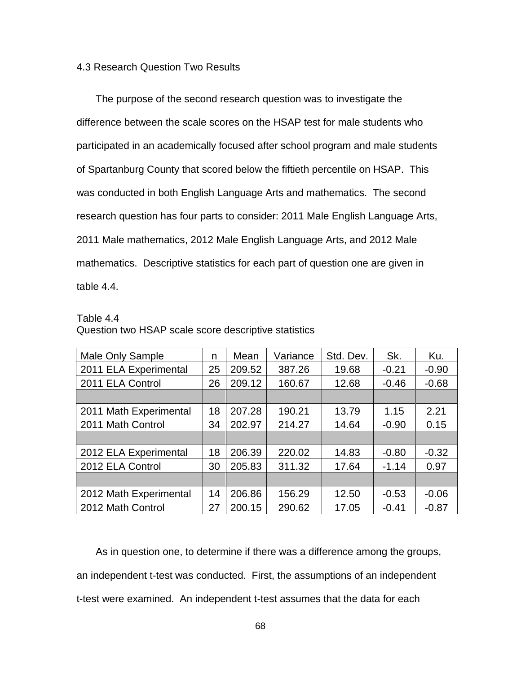#### 4.3 Research Question Two Results

The purpose of the second research question was to investigate the difference between the scale scores on the HSAP test for male students who participated in an academically focused after school program and male students of Spartanburg County that scored below the fiftieth percentile on HSAP. This was conducted in both English Language Arts and mathematics. The second research question has four parts to consider: 2011 Male English Language Arts, 2011 Male mathematics, 2012 Male English Language Arts, and 2012 Male mathematics. Descriptive statistics for each part of question one are given in table 4.4.

#### Table 4.4

| Male Only Sample       | n  | Mean   | Variance | Std. Dev. | Sk.     | Ku.     |
|------------------------|----|--------|----------|-----------|---------|---------|
| 2011 ELA Experimental  | 25 | 209.52 | 387.26   | 19.68     | $-0.21$ | $-0.90$ |
| 2011 ELA Control       | 26 | 209.12 | 160.67   | 12.68     | $-0.46$ | $-0.68$ |
|                        |    |        |          |           |         |         |
| 2011 Math Experimental | 18 | 207.28 | 190.21   | 13.79     | 1.15    | 2.21    |
| 2011 Math Control      | 34 | 202.97 | 214.27   | 14.64     | $-0.90$ | 0.15    |
|                        |    |        |          |           |         |         |
| 2012 ELA Experimental  | 18 | 206.39 | 220.02   | 14.83     | $-0.80$ | $-0.32$ |
| 2012 ELA Control       | 30 | 205.83 | 311.32   | 17.64     | $-1.14$ | 0.97    |
|                        |    |        |          |           |         |         |
| 2012 Math Experimental | 14 | 206.86 | 156.29   | 12.50     | $-0.53$ | $-0.06$ |
| 2012 Math Control      | 27 | 200.15 | 290.62   | 17.05     | $-0.41$ | $-0.87$ |

Question two HSAP scale score descriptive statistics

As in question one, to determine if there was a difference among the groups, an independent t-test was conducted. First, the assumptions of an independent t-test were examined. An independent t-test assumes that the data for each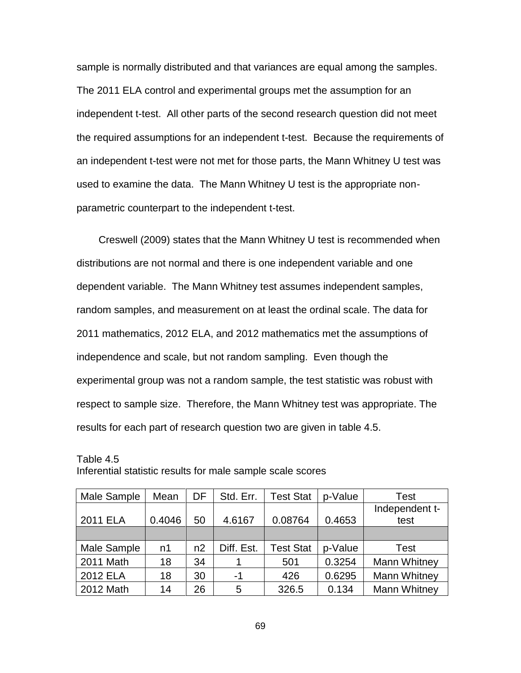sample is normally distributed and that variances are equal among the samples. The 2011 ELA control and experimental groups met the assumption for an independent t-test. All other parts of the second research question did not meet the required assumptions for an independent t-test. Because the requirements of an independent t-test were not met for those parts, the Mann Whitney U test was used to examine the data. The Mann Whitney U test is the appropriate nonparametric counterpart to the independent t-test.

Creswell (2009) states that the Mann Whitney U test is recommended when distributions are not normal and there is one independent variable and one dependent variable. The Mann Whitney test assumes independent samples, random samples, and measurement on at least the ordinal scale. The data for 2011 mathematics, 2012 ELA, and 2012 mathematics met the assumptions of independence and scale, but not random sampling. Even though the experimental group was not a random sample, the test statistic was robust with respect to sample size. Therefore, the Mann Whitney test was appropriate. The results for each part of research question two are given in table 4.5.

| Male Sample | Mean   | DF | Std. Err.  | <b>Test Stat</b> | p-Value | Test                |
|-------------|--------|----|------------|------------------|---------|---------------------|
|             |        |    |            |                  |         | Independent t-      |
| 2011 ELA    | 0.4046 | 50 | 4.6167     | 0.08764          | 0.4653  | test                |
|             |        |    |            |                  |         |                     |
| Male Sample | n1     | n2 | Diff. Est. | <b>Test Stat</b> | p-Value | Test                |
| 2011 Math   | 18     | 34 |            | 501              | 0.3254  | <b>Mann Whitney</b> |
| 2012 ELA    | 18     | 30 | -1         | 426              | 0.6295  | Mann Whitney        |
| 2012 Math   | 14     | 26 | 5          | 326.5            | 0.134   | <b>Mann Whitney</b> |

Table 4.5 Inferential statistic results for male sample scale scores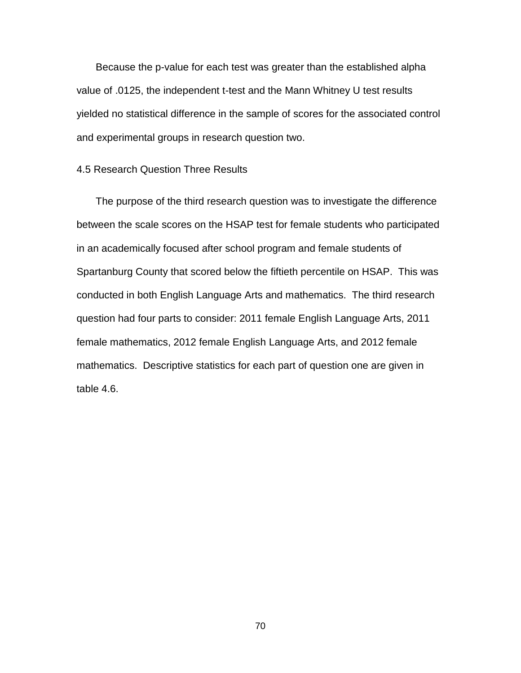Because the p-value for each test was greater than the established alpha value of .0125, the independent t-test and the Mann Whitney U test results yielded no statistical difference in the sample of scores for the associated control and experimental groups in research question two.

#### 4.5 Research Question Three Results

The purpose of the third research question was to investigate the difference between the scale scores on the HSAP test for female students who participated in an academically focused after school program and female students of Spartanburg County that scored below the fiftieth percentile on HSAP. This was conducted in both English Language Arts and mathematics. The third research question had four parts to consider: 2011 female English Language Arts, 2011 female mathematics, 2012 female English Language Arts, and 2012 female mathematics. Descriptive statistics for each part of question one are given in table 4.6.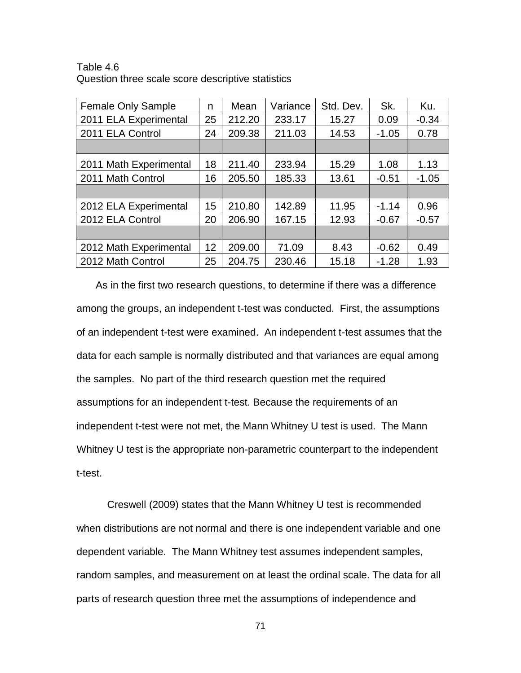Table 4.6 Question three scale score descriptive statistics

| <b>Female Only Sample</b> | n  | Mean   | Variance | Std. Dev. | Sk.     | Ku.     |
|---------------------------|----|--------|----------|-----------|---------|---------|
| 2011 ELA Experimental     | 25 | 212.20 | 233.17   | 15.27     | 0.09    | $-0.34$ |
| 2011 ELA Control          | 24 | 209.38 | 211.03   | 14.53     | $-1.05$ | 0.78    |
|                           |    |        |          |           |         |         |
| 2011 Math Experimental    | 18 | 211.40 | 233.94   | 15.29     | 1.08    | 1.13    |
| 2011 Math Control         | 16 | 205.50 | 185.33   | 13.61     | $-0.51$ | $-1.05$ |
|                           |    |        |          |           |         |         |
| 2012 ELA Experimental     | 15 | 210.80 | 142.89   | 11.95     | $-1.14$ | 0.96    |
| 2012 ELA Control          | 20 | 206.90 | 167.15   | 12.93     | $-0.67$ | $-0.57$ |
|                           |    |        |          |           |         |         |
| 2012 Math Experimental    | 12 | 209.00 | 71.09    | 8.43      | $-0.62$ | 0.49    |
| 2012 Math Control         | 25 | 204.75 | 230.46   | 15.18     | $-1.28$ | 1.93    |

As in the first two research questions, to determine if there was a difference among the groups, an independent t-test was conducted. First, the assumptions of an independent t-test were examined. An independent t-test assumes that the data for each sample is normally distributed and that variances are equal among the samples. No part of the third research question met the required assumptions for an independent t-test. Because the requirements of an independent t-test were not met, the Mann Whitney U test is used. The Mann Whitney U test is the appropriate non-parametric counterpart to the independent t-test.

Creswell (2009) states that the Mann Whitney U test is recommended when distributions are not normal and there is one independent variable and one dependent variable. The Mann Whitney test assumes independent samples, random samples, and measurement on at least the ordinal scale. The data for all parts of research question three met the assumptions of independence and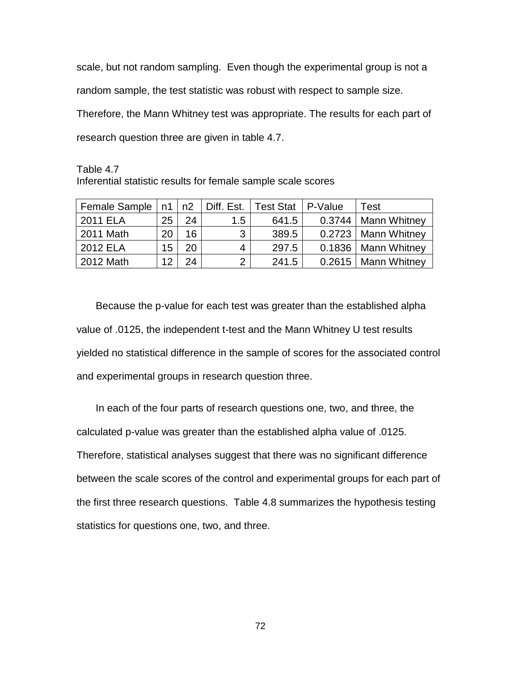scale, but not random sampling. Even though the experimental group is not a random sample, the test statistic was robust with respect to sample size. Therefore, the Mann Whitney test was appropriate. The results for each part of research question three are given in table 4.7.

Table 4.7 Inferential statistic results for female sample scale scores

| Female Sample   n1 |    | n2 | Diff. Est. | <b>Test Stat</b> | P-Value | Test                  |
|--------------------|----|----|------------|------------------|---------|-----------------------|
| 2011 ELA           | 25 | 24 | 1.5        | 641.5            |         | 0.3744   Mann Whitney |
| 2011 Math          | 20 | 16 | 2          | 389.5            |         | 0.2723   Mann Whitney |
| 2012 ELA           | 15 | 20 | 4          | 297.5            |         | 0.1836   Mann Whitney |
| 2012 Math          | ィク | 24 |            | 241.5            |         | 0.2615   Mann Whitney |

Because the p-value for each test was greater than the established alpha value of .0125, the independent t-test and the Mann Whitney U test results yielded no statistical difference in the sample of scores for the associated control and experimental groups in research question three.

In each of the four parts of research questions one, two, and three, the calculated p-value was greater than the established alpha value of .0125. Therefore, statistical analyses suggest that there was no significant difference between the scale scores of the control and experimental groups for each part of the first three research questions. Table 4.8 summarizes the hypothesis testing statistics for questions one, two, and three.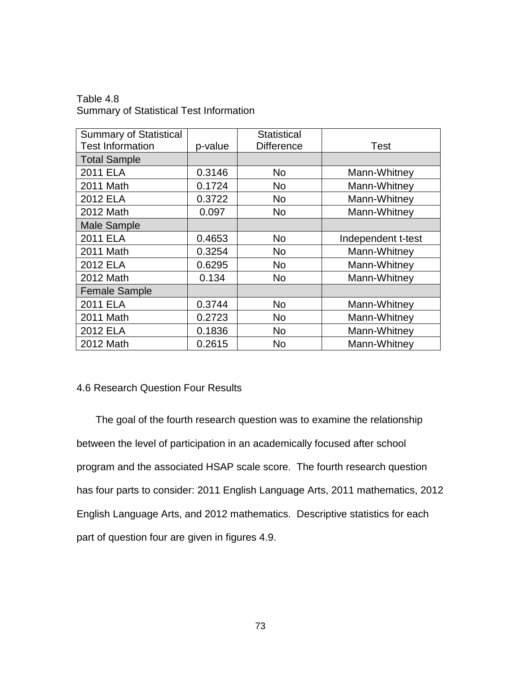Table 4.8 Summary of Statistical Test Information

| <b>Summary of Statistical</b> |         | <b>Statistical</b> |                    |
|-------------------------------|---------|--------------------|--------------------|
| <b>Test Information</b>       | p-value | <b>Difference</b>  | Test               |
| <b>Total Sample</b>           |         |                    |                    |
| 2011 ELA                      | 0.3146  | <b>No</b>          | Mann-Whitney       |
| 2011 Math                     | 0.1724  | No                 | Mann-Whitney       |
| 2012 ELA                      | 0.3722  | No.                | Mann-Whitney       |
| 2012 Math                     | 0.097   | No.                | Mann-Whitney       |
| <b>Male Sample</b>            |         |                    |                    |
| 2011 ELA                      | 0.4653  | No                 | Independent t-test |
| 2011 Math                     | 0.3254  | No                 | Mann-Whitney       |
| 2012 ELA                      | 0.6295  | No                 | Mann-Whitney       |
| 2012 Math                     | 0.134   | No.                | Mann-Whitney       |
| <b>Female Sample</b>          |         |                    |                    |
| 2011 ELA                      | 0.3744  | <b>No</b>          | Mann-Whitney       |
| 2011 Math                     | 0.2723  | No                 | Mann-Whitney       |
| 2012 ELA                      | 0.1836  | No                 | Mann-Whitney       |
| 2012 Math                     | 0.2615  | <b>No</b>          | Mann-Whitney       |

#### 4.6 Research Question Four Results

The goal of the fourth research question was to examine the relationship between the level of participation in an academically focused after school program and the associated HSAP scale score. The fourth research question has four parts to consider: 2011 English Language Arts, 2011 mathematics, 2012 English Language Arts, and 2012 mathematics. Descriptive statistics for each part of question four are given in figures 4.9.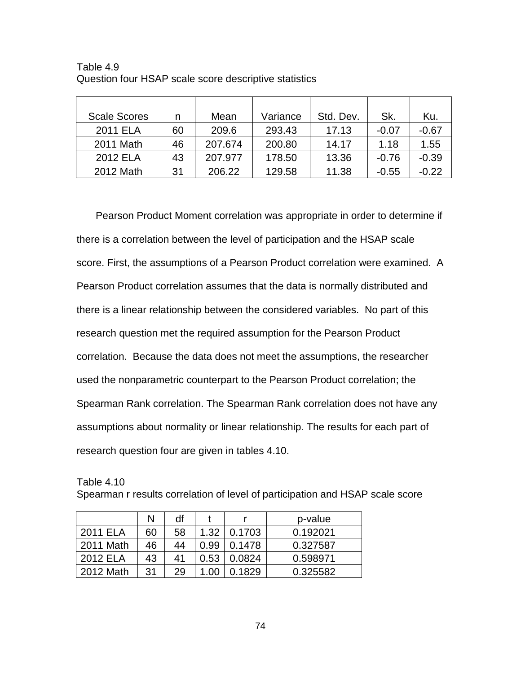| <b>Scale Scores</b> | n  | Mean    | Variance | Std. Dev. | Sk.     | Ku.     |
|---------------------|----|---------|----------|-----------|---------|---------|
| 2011 ELA            | 60 | 209.6   | 293.43   | 17.13     | $-0.07$ | $-0.67$ |
| 2011 Math           | 46 | 207.674 | 200.80   | 14.17     | 1.18    | 1.55    |
| 2012 ELA            | 43 | 207.977 | 178.50   | 13.36     | $-0.76$ | $-0.39$ |
| 2012 Math           | 31 | 206.22  | 129.58   | 11.38     | $-0.55$ | $-0.22$ |

Table 4.9 Question four HSAP scale score descriptive statistics

Pearson Product Moment correlation was appropriate in order to determine if there is a correlation between the level of participation and the HSAP scale score. First, the assumptions of a Pearson Product correlation were examined. A Pearson Product correlation assumes that the data is normally distributed and there is a linear relationship between the considered variables. No part of this research question met the required assumption for the Pearson Product correlation. Because the data does not meet the assumptions, the researcher used the nonparametric counterpart to the Pearson Product correlation; the Spearman Rank correlation. The Spearman Rank correlation does not have any assumptions about normality or linear relationship. The results for each part of research question four are given in tables 4.10.

Table 4.10

|  | Spearman r results correlation of level of participation and HSAP scale score |  |  |  |  |  |
|--|-------------------------------------------------------------------------------|--|--|--|--|--|
|  |                                                                               |  |  |  |  |  |
|  |                                                                               |  |  |  |  |  |

|           | N  | df |      |        | p-value  |
|-----------|----|----|------|--------|----------|
| 2011 ELA  | 60 | 58 | 1.32 | 0.1703 | 0.192021 |
| 2011 Math | 46 | 44 | 0.99 | 0.1478 | 0.327587 |
| 2012 ELA  | 43 | 41 | 0.53 | 0.0824 | 0.598971 |
| 2012 Math | 31 | 29 |      | 0.1829 | 0.325582 |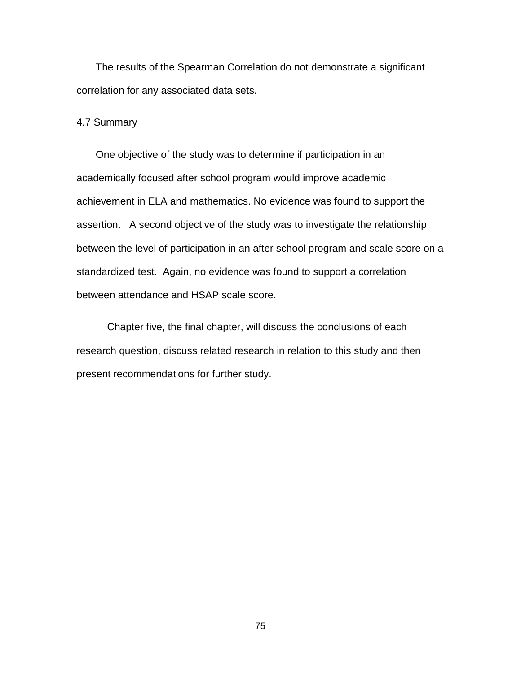The results of the Spearman Correlation do not demonstrate a significant correlation for any associated data sets.

#### 4.7 Summary

One objective of the study was to determine if participation in an academically focused after school program would improve academic achievement in ELA and mathematics. No evidence was found to support the assertion. A second objective of the study was to investigate the relationship between the level of participation in an after school program and scale score on a standardized test. Again, no evidence was found to support a correlation between attendance and HSAP scale score.

Chapter five, the final chapter, will discuss the conclusions of each research question, discuss related research in relation to this study and then present recommendations for further study.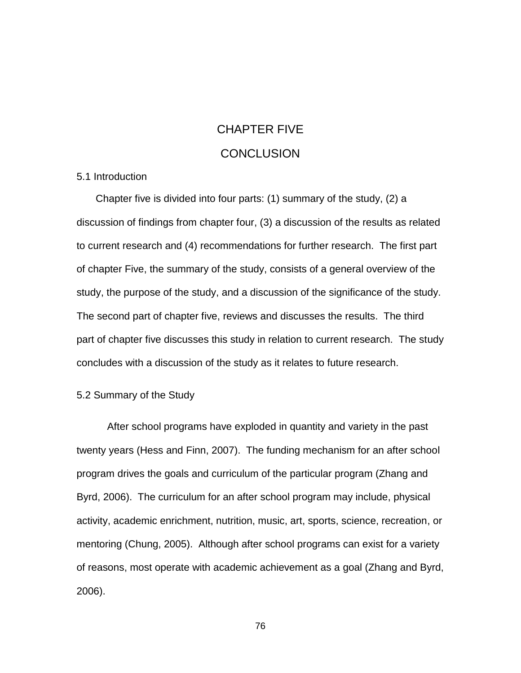# CHAPTER FIVE **CONCLUSION**

#### 5.1 Introduction

Chapter five is divided into four parts: (1) summary of the study, (2) a discussion of findings from chapter four, (3) a discussion of the results as related to current research and (4) recommendations for further research. The first part of chapter Five, the summary of the study, consists of a general overview of the study, the purpose of the study, and a discussion of the significance of the study. The second part of chapter five, reviews and discusses the results. The third part of chapter five discusses this study in relation to current research. The study concludes with a discussion of the study as it relates to future research.

#### 5.2 Summary of the Study

After school programs have exploded in quantity and variety in the past twenty years (Hess and Finn, 2007). The funding mechanism for an after school program drives the goals and curriculum of the particular program (Zhang and Byrd, 2006). The curriculum for an after school program may include, physical activity, academic enrichment, nutrition, music, art, sports, science, recreation, or mentoring (Chung, 2005). Although after school programs can exist for a variety of reasons, most operate with academic achievement as a goal (Zhang and Byrd, 2006).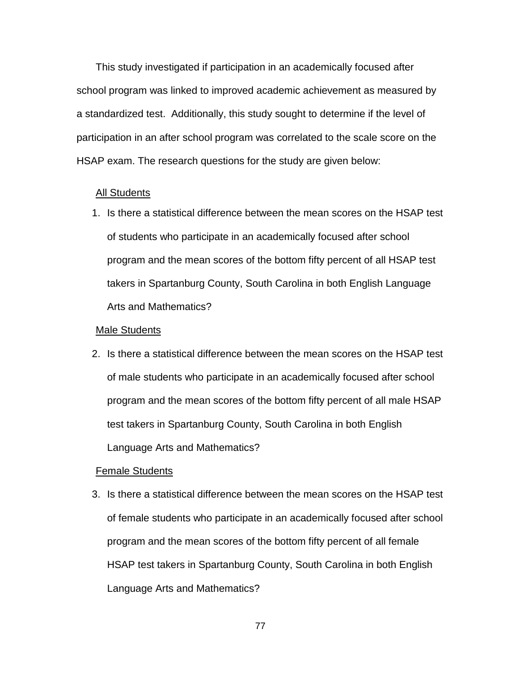This study investigated if participation in an academically focused after school program was linked to improved academic achievement as measured by a standardized test. Additionally, this study sought to determine if the level of participation in an after school program was correlated to the scale score on the HSAP exam. The research questions for the study are given below:

#### All Students

1. Is there a statistical difference between the mean scores on the HSAP test of students who participate in an academically focused after school program and the mean scores of the bottom fifty percent of all HSAP test takers in Spartanburg County, South Carolina in both English Language Arts and Mathematics?

#### Male Students

2. Is there a statistical difference between the mean scores on the HSAP test of male students who participate in an academically focused after school program and the mean scores of the bottom fifty percent of all male HSAP test takers in Spartanburg County, South Carolina in both English Language Arts and Mathematics?

#### Female Students

3. Is there a statistical difference between the mean scores on the HSAP test of female students who participate in an academically focused after school program and the mean scores of the bottom fifty percent of all female HSAP test takers in Spartanburg County, South Carolina in both English Language Arts and Mathematics?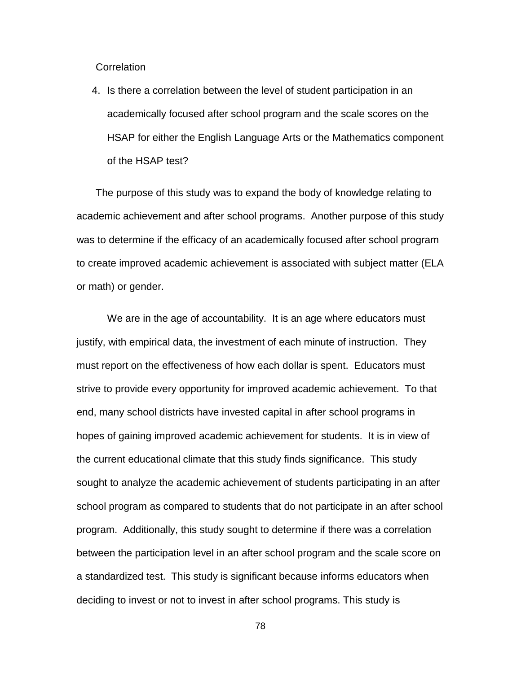#### **Correlation**

4. Is there a correlation between the level of student participation in an academically focused after school program and the scale scores on the HSAP for either the English Language Arts or the Mathematics component of the HSAP test?

The purpose of this study was to expand the body of knowledge relating to academic achievement and after school programs. Another purpose of this study was to determine if the efficacy of an academically focused after school program to create improved academic achievement is associated with subject matter (ELA or math) or gender.

We are in the age of accountability. It is an age where educators must justify, with empirical data, the investment of each minute of instruction. They must report on the effectiveness of how each dollar is spent. Educators must strive to provide every opportunity for improved academic achievement. To that end, many school districts have invested capital in after school programs in hopes of gaining improved academic achievement for students. It is in view of the current educational climate that this study finds significance. This study sought to analyze the academic achievement of students participating in an after school program as compared to students that do not participate in an after school program. Additionally, this study sought to determine if there was a correlation between the participation level in an after school program and the scale score on a standardized test. This study is significant because informs educators when deciding to invest or not to invest in after school programs. This study is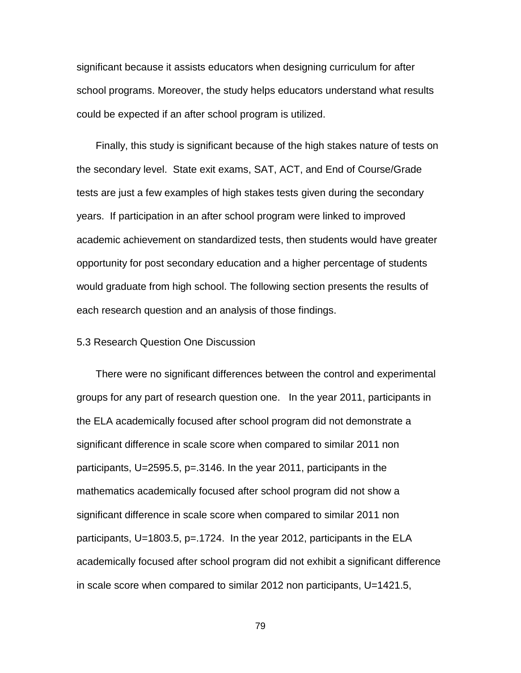significant because it assists educators when designing curriculum for after school programs. Moreover, the study helps educators understand what results could be expected if an after school program is utilized.

Finally, this study is significant because of the high stakes nature of tests on the secondary level. State exit exams, SAT, ACT, and End of Course/Grade tests are just a few examples of high stakes tests given during the secondary years. If participation in an after school program were linked to improved academic achievement on standardized tests, then students would have greater opportunity for post secondary education and a higher percentage of students would graduate from high school. The following section presents the results of each research question and an analysis of those findings.

#### 5.3 Research Question One Discussion

There were no significant differences between the control and experimental groups for any part of research question one. In the year 2011, participants in the ELA academically focused after school program did not demonstrate a significant difference in scale score when compared to similar 2011 non participants, U=2595.5, p=.3146. In the year 2011, participants in the mathematics academically focused after school program did not show a significant difference in scale score when compared to similar 2011 non participants, U=1803.5, p=.1724. In the year 2012, participants in the ELA academically focused after school program did not exhibit a significant difference in scale score when compared to similar 2012 non participants, U=1421.5,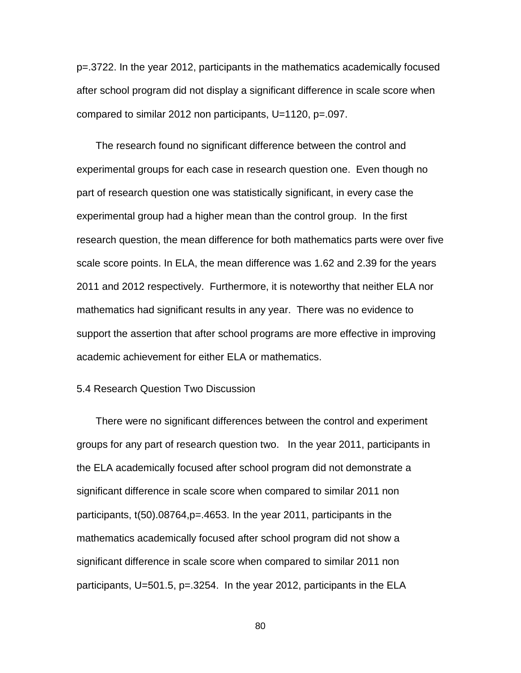p=.3722. In the year 2012, participants in the mathematics academically focused after school program did not display a significant difference in scale score when compared to similar 2012 non participants, U=1120, p=.097.

The research found no significant difference between the control and experimental groups for each case in research question one. Even though no part of research question one was statistically significant, in every case the experimental group had a higher mean than the control group. In the first research question, the mean difference for both mathematics parts were over five scale score points. In ELA, the mean difference was 1.62 and 2.39 for the years 2011 and 2012 respectively. Furthermore, it is noteworthy that neither ELA nor mathematics had significant results in any year. There was no evidence to support the assertion that after school programs are more effective in improving academic achievement for either ELA or mathematics.

#### 5.4 Research Question Two Discussion

There were no significant differences between the control and experiment groups for any part of research question two. In the year 2011, participants in the ELA academically focused after school program did not demonstrate a significant difference in scale score when compared to similar 2011 non participants, t(50).08764,p=.4653. In the year 2011, participants in the mathematics academically focused after school program did not show a significant difference in scale score when compared to similar 2011 non participants, U=501.5, p=.3254. In the year 2012, participants in the ELA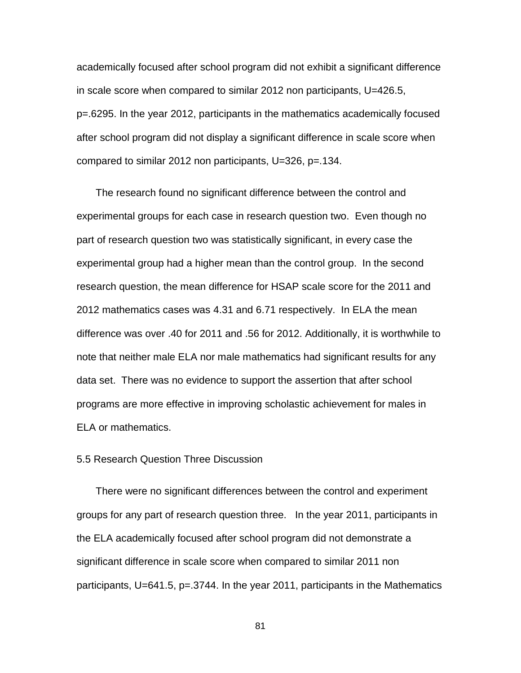academically focused after school program did not exhibit a significant difference in scale score when compared to similar 2012 non participants, U=426.5, p=.6295. In the year 2012, participants in the mathematics academically focused after school program did not display a significant difference in scale score when compared to similar 2012 non participants, U=326, p=.134.

The research found no significant difference between the control and experimental groups for each case in research question two. Even though no part of research question two was statistically significant, in every case the experimental group had a higher mean than the control group. In the second research question, the mean difference for HSAP scale score for the 2011 and 2012 mathematics cases was 4.31 and 6.71 respectively. In ELA the mean difference was over .40 for 2011 and .56 for 2012. Additionally, it is worthwhile to note that neither male ELA nor male mathematics had significant results for any data set. There was no evidence to support the assertion that after school programs are more effective in improving scholastic achievement for males in ELA or mathematics.

#### 5.5 Research Question Three Discussion

There were no significant differences between the control and experiment groups for any part of research question three. In the year 2011, participants in the ELA academically focused after school program did not demonstrate a significant difference in scale score when compared to similar 2011 non participants, U=641.5, p=.3744. In the year 2011, participants in the Mathematics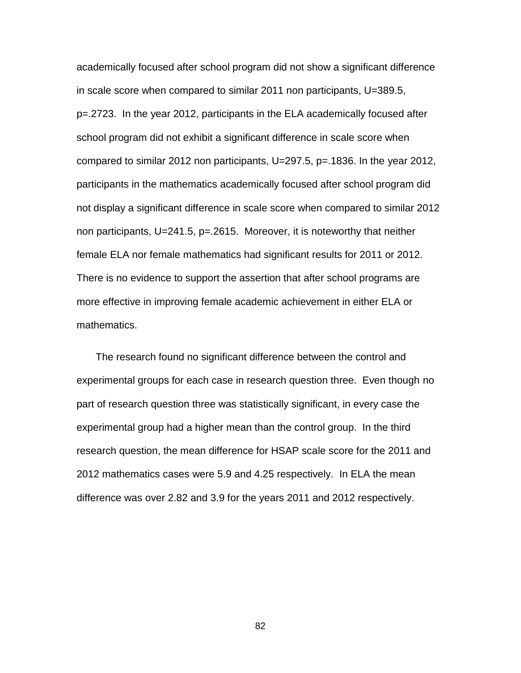academically focused after school program did not show a significant difference in scale score when compared to similar 2011 non participants, U=389.5, p=.2723. In the year 2012, participants in the ELA academically focused after school program did not exhibit a significant difference in scale score when compared to similar 2012 non participants, U=297.5, p=.1836. In the year 2012, participants in the mathematics academically focused after school program did not display a significant difference in scale score when compared to similar 2012 non participants, U=241.5, p=.2615. Moreover, it is noteworthy that neither female ELA nor female mathematics had significant results for 2011 or 2012. There is no evidence to support the assertion that after school programs are more effective in improving female academic achievement in either ELA or mathematics.

The research found no significant difference between the control and experimental groups for each case in research question three. Even though no part of research question three was statistically significant, in every case the experimental group had a higher mean than the control group. In the third research question, the mean difference for HSAP scale score for the 2011 and 2012 mathematics cases were 5.9 and 4.25 respectively. In ELA the mean difference was over 2.82 and 3.9 for the years 2011 and 2012 respectively.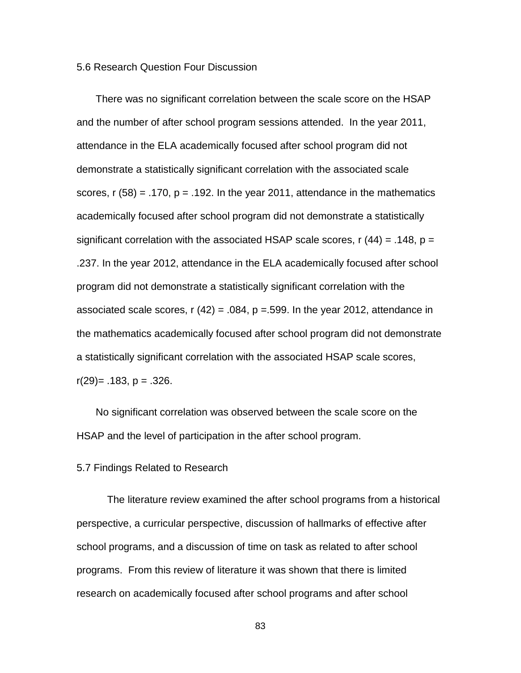#### 5.6 Research Question Four Discussion

There was no significant correlation between the scale score on the HSAP and the number of after school program sessions attended. In the year 2011, attendance in the ELA academically focused after school program did not demonstrate a statistically significant correlation with the associated scale scores,  $r$  (58) = .170,  $p = .192$ . In the year 2011, attendance in the mathematics academically focused after school program did not demonstrate a statistically significant correlation with the associated HSAP scale scores,  $r(44) = .148$ ,  $p =$ .237. In the year 2012, attendance in the ELA academically focused after school program did not demonstrate a statistically significant correlation with the associated scale scores,  $r(42) = .084$ ,  $p = .599$ . In the year 2012, attendance in the mathematics academically focused after school program did not demonstrate a statistically significant correlation with the associated HSAP scale scores,  $r(29) = .183$ ,  $p = .326$ .

No significant correlation was observed between the scale score on the HSAP and the level of participation in the after school program.

#### 5.7 Findings Related to Research

The literature review examined the after school programs from a historical perspective, a curricular perspective, discussion of hallmarks of effective after school programs, and a discussion of time on task as related to after school programs. From this review of literature it was shown that there is limited research on academically focused after school programs and after school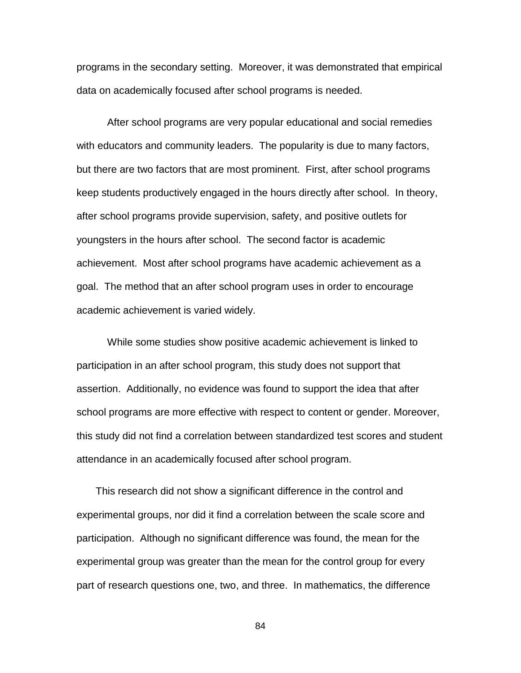programs in the secondary setting. Moreover, it was demonstrated that empirical data on academically focused after school programs is needed.

After school programs are very popular educational and social remedies with educators and community leaders. The popularity is due to many factors, but there are two factors that are most prominent. First, after school programs keep students productively engaged in the hours directly after school. In theory, after school programs provide supervision, safety, and positive outlets for youngsters in the hours after school. The second factor is academic achievement. Most after school programs have academic achievement as a goal. The method that an after school program uses in order to encourage academic achievement is varied widely.

While some studies show positive academic achievement is linked to participation in an after school program, this study does not support that assertion. Additionally, no evidence was found to support the idea that after school programs are more effective with respect to content or gender. Moreover, this study did not find a correlation between standardized test scores and student attendance in an academically focused after school program.

This research did not show a significant difference in the control and experimental groups, nor did it find a correlation between the scale score and participation. Although no significant difference was found, the mean for the experimental group was greater than the mean for the control group for every part of research questions one, two, and three. In mathematics, the difference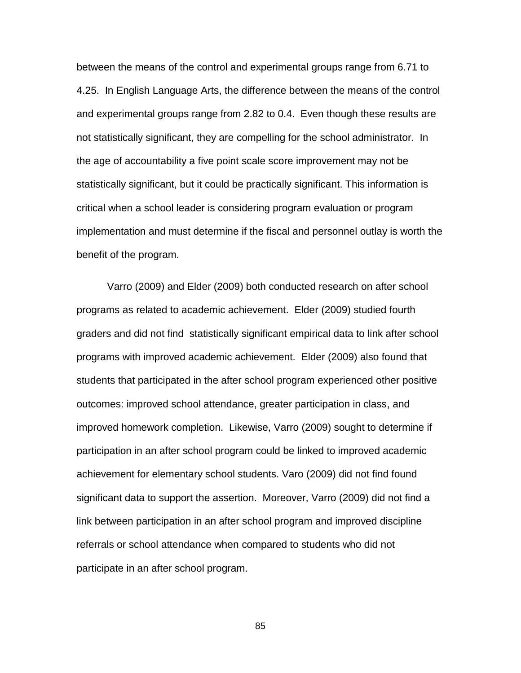between the means of the control and experimental groups range from 6.71 to 4.25. In English Language Arts, the difference between the means of the control and experimental groups range from 2.82 to 0.4. Even though these results are not statistically significant, they are compelling for the school administrator. In the age of accountability a five point scale score improvement may not be statistically significant, but it could be practically significant. This information is critical when a school leader is considering program evaluation or program implementation and must determine if the fiscal and personnel outlay is worth the benefit of the program.

Varro (2009) and Elder (2009) both conducted research on after school programs as related to academic achievement. Elder (2009) studied fourth graders and did not find statistically significant empirical data to link after school programs with improved academic achievement. Elder (2009) also found that students that participated in the after school program experienced other positive outcomes: improved school attendance, greater participation in class, and improved homework completion. Likewise, Varro (2009) sought to determine if participation in an after school program could be linked to improved academic achievement for elementary school students. Varo (2009) did not find found significant data to support the assertion. Moreover, Varro (2009) did not find a link between participation in an after school program and improved discipline referrals or school attendance when compared to students who did not participate in an after school program.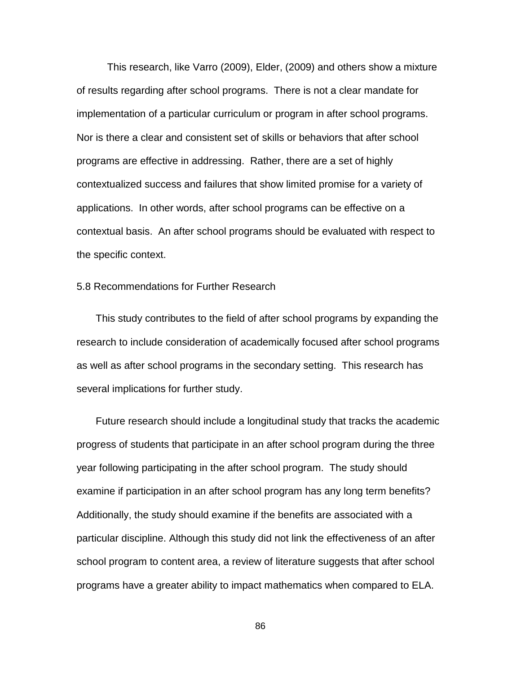This research, like Varro (2009), Elder, (2009) and others show a mixture of results regarding after school programs. There is not a clear mandate for implementation of a particular curriculum or program in after school programs. Nor is there a clear and consistent set of skills or behaviors that after school programs are effective in addressing. Rather, there are a set of highly contextualized success and failures that show limited promise for a variety of applications. In other words, after school programs can be effective on a contextual basis. An after school programs should be evaluated with respect to the specific context.

#### 5.8 Recommendations for Further Research

This study contributes to the field of after school programs by expanding the research to include consideration of academically focused after school programs as well as after school programs in the secondary setting. This research has several implications for further study.

Future research should include a longitudinal study that tracks the academic progress of students that participate in an after school program during the three year following participating in the after school program. The study should examine if participation in an after school program has any long term benefits? Additionally, the study should examine if the benefits are associated with a particular discipline. Although this study did not link the effectiveness of an after school program to content area, a review of literature suggests that after school programs have a greater ability to impact mathematics when compared to ELA.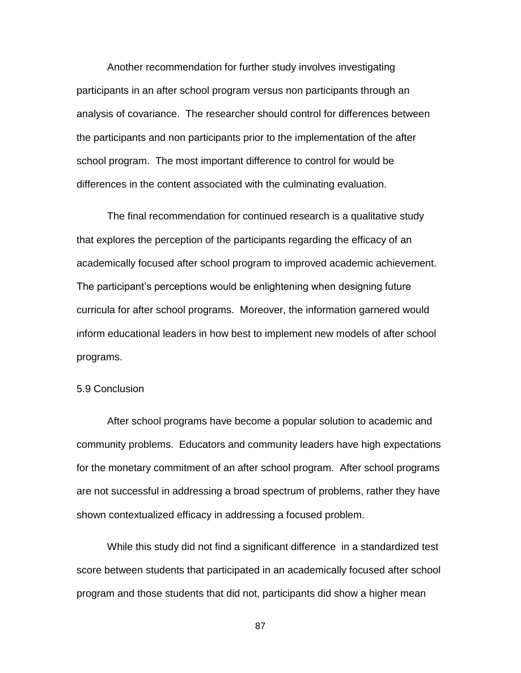Another recommendation for further study involves investigating participants in an after school program versus non participants through an analysis of covariance. The researcher should control for differences between the participants and non participants prior to the implementation of the after school program. The most important difference to control for would be differences in the content associated with the culminating evaluation.

The final recommendation for continued research is a qualitative study that explores the perception of the participants regarding the efficacy of an academically focused after school program to improved academic achievement. The participant's perceptions would be enlightening when designing future curricula for after school programs. Moreover, the information garnered would inform educational leaders in how best to implement new models of after school programs.

#### 5.9 Conclusion

After school programs have become a popular solution to academic and community problems. Educators and community leaders have high expectations for the monetary commitment of an after school program. After school programs are not successful in addressing a broad spectrum of problems, rather they have shown contextualized efficacy in addressing a focused problem.

While this study did not find a significant difference in a standardized test score between students that participated in an academically focused after school program and those students that did not, participants did show a higher mean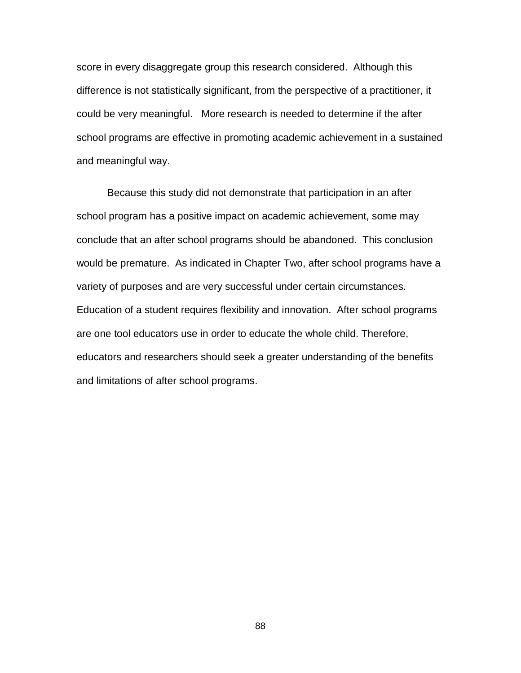score in every disaggregate group this research considered. Although this difference is not statistically significant, from the perspective of a practitioner, it could be very meaningful. More research is needed to determine if the after school programs are effective in promoting academic achievement in a sustained and meaningful way.

Because this study did not demonstrate that participation in an after school program has a positive impact on academic achievement, some may conclude that an after school programs should be abandoned. This conclusion would be premature. As indicated in Chapter Two, after school programs have a variety of purposes and are very successful under certain circumstances. Education of a student requires flexibility and innovation. After school programs are one tool educators use in order to educate the whole child. Therefore, educators and researchers should seek a greater understanding of the benefits and limitations of after school programs.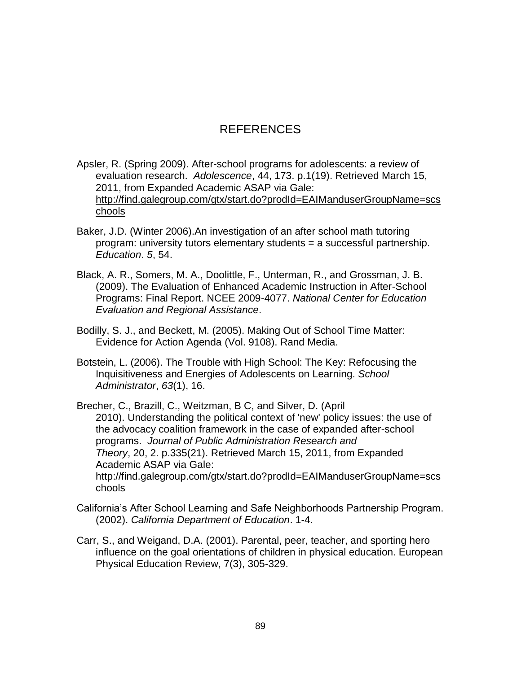# REFERENCES

Apsler, R. (Spring 2009). After-school programs for adolescents: a review of evaluation research. *Adolescence*, 44, 173. p.1(19). Retrieved March 15, 2011, from Expanded Academic ASAP via Gale: [http://find.galegroup.com/gtx/start.do?prodId=EAIManduserGroupName=scs](http://find.galegroup.com/gtx/start.do?prodId=EAIM&userGroupName=scschools) [chools](http://find.galegroup.com/gtx/start.do?prodId=EAIM&userGroupName=scschools)

- Baker, J.D. (Winter 2006).An investigation of an after school math tutoring program: university tutors elementary students = a successful partnership. *Education*. *5*, 54.
- Black, A. R., Somers, M. A., Doolittle, F., Unterman, R., and Grossman, J. B. (2009). The Evaluation of Enhanced Academic Instruction in After-School Programs: Final Report. NCEE 2009-4077. *National Center for Education Evaluation and Regional Assistance*.
- Bodilly, S. J., and Beckett, M. (2005). Making Out of School Time Matter: Evidence for Action Agenda (Vol. 9108). Rand Media.
- Botstein, L. (2006). The Trouble with High School: The Key: Refocusing the Inquisitiveness and Energies of Adolescents on Learning. *School Administrator*, *63*(1), 16.
- Brecher, C., Brazill, C., Weitzman, B C, and Silver, D. (April 2010). Understanding the political context of 'new' policy issues: the use of the advocacy coalition framework in the case of expanded after-school programs. *Journal of Public Administration Research and Theory*, 20, 2. p.335(21). Retrieved March 15, 2011, from Expanded Academic ASAP via Gale: http://find.galegroup.com/gtx/start.do?prodId=EAIManduserGroupName=scs chools
- California's After School Learning and Safe Neighborhoods Partnership Program. (2002). *California Department of Education*. 1-4.
- Carr, S., and Weigand, D.A. (2001). Parental, peer, teacher, and sporting hero influence on the goal orientations of children in physical education. European Physical Education Review, 7(3), 305-329.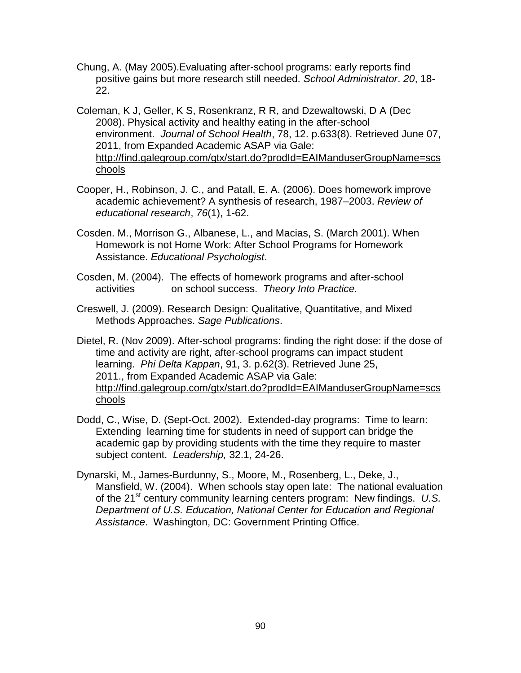- Chung, A. (May 2005).Evaluating after-school programs: early reports find positive gains but more research still needed. *School Administrator*. *20*, 18- 22.
- Coleman, K J, Geller, K S, Rosenkranz, R R, and Dzewaltowski, D A (Dec 2008). Physical activity and healthy eating in the after-school environment. *Journal of School Health*, 78, 12. p.633(8). Retrieved June 07, 2011, from Expanded Academic ASAP via Gale: [http://find.galegroup.com/gtx/start.do?prodId=EAIManduserGroupName=scs](http://find.galegroup.com/gtx/start.do?prodId=EAIM&userGroupName=scschools) [chools](http://find.galegroup.com/gtx/start.do?prodId=EAIM&userGroupName=scschools)
- Cooper, H., Robinson, J. C., and Patall, E. A. (2006). Does homework improve academic achievement? A synthesis of research, 1987–2003. *Review of educational research*, *76*(1), 1-62.
- Cosden. M., Morrison G., Albanese, L., and Macias, S. (March 2001). When Homework is not Home Work: After School Programs for Homework Assistance. *Educational Psychologist*.
- Cosden, M. (2004). The effects of homework programs and after-school activities on school success. *Theory Into Practice.*
- Creswell, J. (2009). Research Design: Qualitative, Quantitative, and Mixed Methods Approaches. *Sage Publications*.
- Dietel, R. (Nov 2009). After-school programs: finding the right dose: if the dose of time and activity are right, after-school programs can impact student learning. *Phi Delta Kappan*, 91, 3. p.62(3). Retrieved June 25, 2011., from Expanded Academic ASAP via Gale: [http://find.galegroup.com/gtx/start.do?prodId=EAIManduserGroupName=scs](http://find.galegroup.com/gtx/start.do?prodId=EAIM&userGroupName=scschools) [chools](http://find.galegroup.com/gtx/start.do?prodId=EAIM&userGroupName=scschools)
- Dodd, C., Wise, D. (Sept-Oct. 2002). Extended-day programs: Time to learn: Extending learning time for students in need of support can bridge the academic gap by providing students with the time they require to master subject content. *Leadership,* 32.1, 24-26.
- Dynarski, M., James-Burdunny, S., Moore, M., Rosenberg, L., Deke, J., Mansfield, W. (2004). When schools stay open late: The national evaluation of the 21st century community learning centers program: New findings. *U.S. Department of U.S. Education, National Center for Education and Regional Assistance*. Washington, DC: Government Printing Office.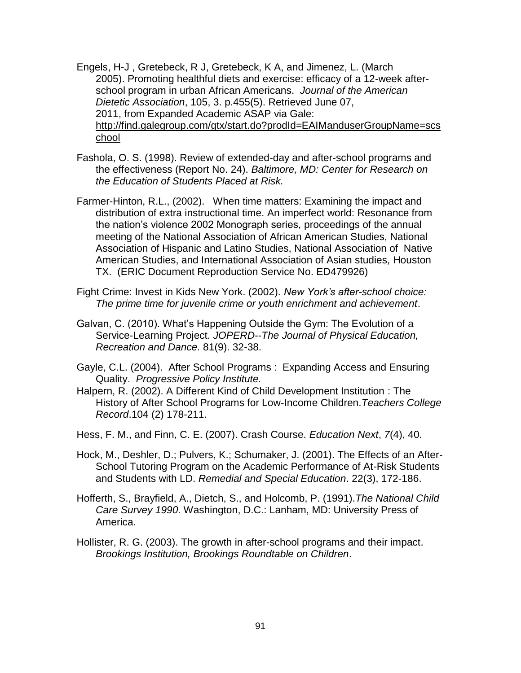- Engels, H-J , Gretebeck, R J, Gretebeck, K A, and Jimenez, L. (March 2005). Promoting healthful diets and exercise: efficacy of a 12-week afterschool program in urban African Americans. *Journal of the American Dietetic Association*, 105, 3. p.455(5). Retrieved June 07, 2011, from Expanded Academic ASAP via Gale: [http://find.galegroup.com/gtx/start.do?prodId=EAIManduserGroupName=scs](http://find.galegroup.com/gtx/start.do?prodId=EAIM&userGroupName=scschool) [chool](http://find.galegroup.com/gtx/start.do?prodId=EAIM&userGroupName=scschool)
- Fashola, O. S. (1998). Review of extended-day and after-school programs and the effectiveness (Report No. 24). *Baltimore, MD: Center for Research on the Education of Students Placed at Risk.*
- Farmer-Hinton, R.L., (2002). When time matters: Examining the impact and distribution of extra instructional time. An imperfect world: Resonance from the nation's violence 2002 Monograph series, proceedings of the annual meeting of the National Association of African American Studies, National Association of Hispanic and Latino Studies, National Association of Native American Studies, and International Association of Asian studies*,* Houston TX. (ERIC Document Reproduction Service No. ED479926)
- Fight Crime: Invest in Kids New York. (2002). *New York's after-school choice: The prime time for juvenile crime or youth enrichment and achievement*.
- Galvan, C. (2010). What's Happening Outside the Gym: The Evolution of a Service-Learning Project. *JOPERD--The Journal of Physical Education, Recreation and Dance.* 81(9). 32-38.
- Gayle, C.L. (2004). After School Programs : Expanding Access and Ensuring Quality. *Progressive Policy Institute.*
- Halpern, R. (2002). A Different Kind of Child Development Institution : The History of After School Programs for Low-Income Children.*Teachers College Record*.104 (2) 178-211.
- Hess, F. M., and Finn, C. E. (2007). Crash Course. *Education Next*, *7*(4), 40.
- Hock, M., Deshler, D.; Pulvers, K.; Schumaker, J. (2001). The Effects of an After-School Tutoring Program on the Academic Performance of At-Risk Students and Students with LD. *Remedial and Special Education*. 22(3), 172-186.
- Hofferth, S., Brayfield, A., Dietch, S., and Holcomb, P. (1991).*The National Child Care Survey 1990*. Washington, D.C.: Lanham, MD: University Press of America.
- Hollister, R. G. (2003). The growth in after-school programs and their impact. *Brookings Institution, Brookings Roundtable on Children*.